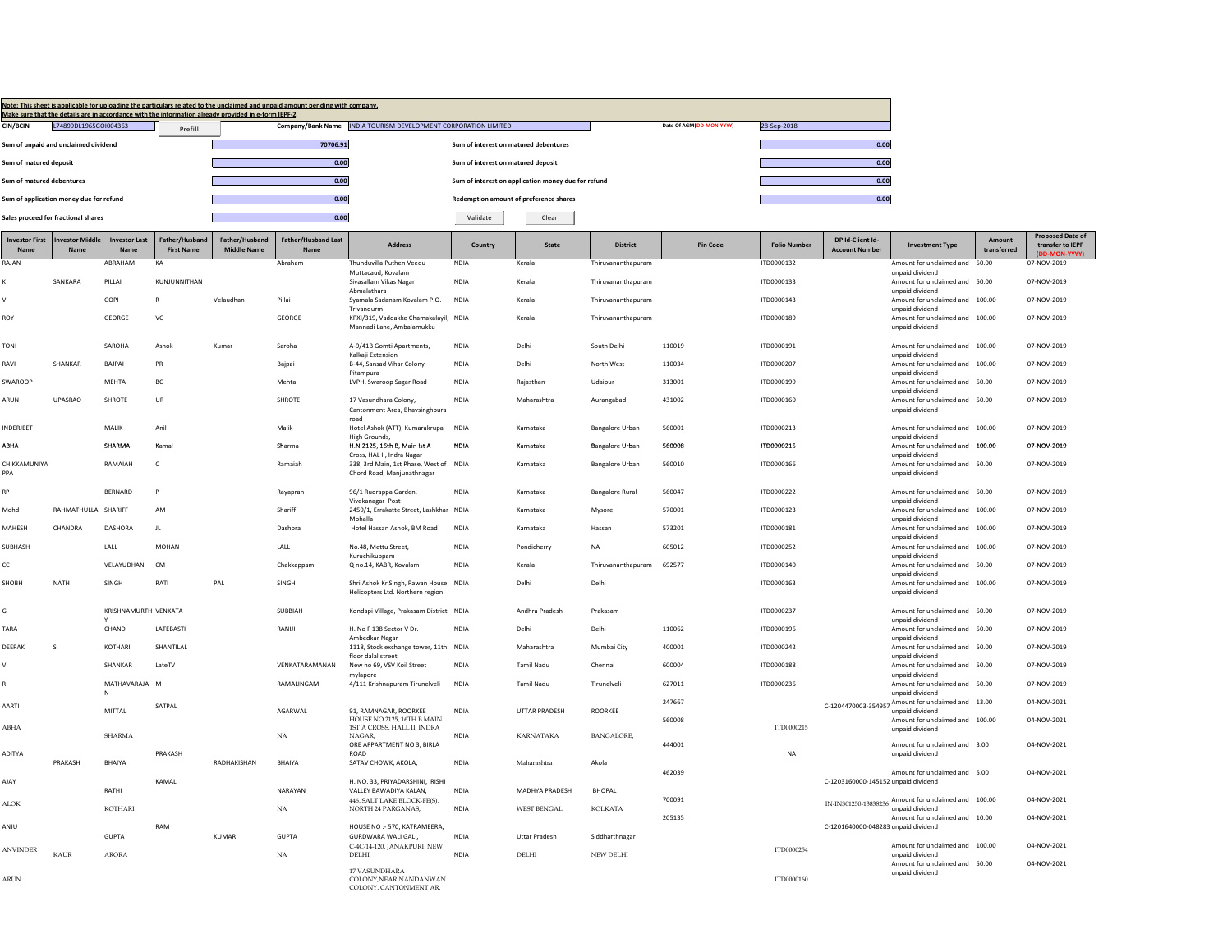|                               |                                         |                              |                                     | Make sure that the details are in accordance with the information already provided in e-form IEPF-2 | Note: This sheet is applicable for uploading the particulars related to the unclaimed and unpaid amount pending with company. |                                                                            |                                       |                                                     |                        |                          |                    |                                           |                                                                         |                       |                                      |
|-------------------------------|-----------------------------------------|------------------------------|-------------------------------------|-----------------------------------------------------------------------------------------------------|-------------------------------------------------------------------------------------------------------------------------------|----------------------------------------------------------------------------|---------------------------------------|-----------------------------------------------------|------------------------|--------------------------|--------------------|-------------------------------------------|-------------------------------------------------------------------------|-----------------------|--------------------------------------|
| <b>CIN/BCIN</b>               | L74899DL1965GOI004363                   |                              | Prefill                             |                                                                                                     |                                                                                                                               | Company/Bank Name   INDIA TOURISM DEVELOPMENT CORPORATION LIMITED          |                                       |                                                     |                        | Date Of AGM(DD-MON-YYYY) | 28-Sep-2018        |                                           |                                                                         |                       |                                      |
|                               | Sum of unpaid and unclaimed dividend    |                              |                                     |                                                                                                     | 70706.91                                                                                                                      |                                                                            | Sum of interest on matured debentures |                                                     |                        |                          |                    | 0.00                                      |                                                                         |                       |                                      |
| Sum of matured deposit        |                                         |                              |                                     |                                                                                                     | 0.00                                                                                                                          |                                                                            | Sum of interest on matured deposit    |                                                     |                        |                          |                    | 0.00                                      |                                                                         |                       |                                      |
| Sum of matured debentures     |                                         |                              |                                     |                                                                                                     | 0.00                                                                                                                          |                                                                            |                                       | Sum of interest on application money due for refund |                        |                          |                    | 0.00                                      |                                                                         |                       |                                      |
|                               | Sum of application money due for refund |                              |                                     |                                                                                                     | 0.00                                                                                                                          |                                                                            |                                       | <b>Redemption amount of preference shares</b>       |                        |                          |                    | 0.00                                      |                                                                         |                       |                                      |
|                               | Sales proceed for fractional shares     |                              |                                     |                                                                                                     | 0.00                                                                                                                          |                                                                            | Validate                              | Clear                                               |                        |                          |                    |                                           |                                                                         |                       |                                      |
| <b>Investor First</b><br>Name | nvestor Middle<br>Name                  | <b>Investor Last</b><br>Name | Father/Husband<br><b>First Name</b> | Father/Husband<br><b>Middle Name</b>                                                                | <b>Father/Husband Last</b><br>Name                                                                                            | <b>Address</b>                                                             | Country                               | <b>State</b>                                        | <b>District</b>        | Pin Code                 | <b>Folio Numbe</b> | DP Id-Client Id-<br><b>Account Number</b> | <b>Investment Type</b>                                                  | Amount<br>transferred | Proposed Date of<br>transfer to IEPF |
| RAJAN                         |                                         | ABRAHAM                      | KA                                  |                                                                                                     | Abraham                                                                                                                       | Thunduvilla Puthen Veedu                                                   | <b>INDIA</b>                          | Kerala                                              | Thiruvananthapuram     |                          | ITD0000132         |                                           | Amount for unclaimed and 50.00                                          |                       | (DD-MON-YYYY)<br>07-NOV-2019         |
| ĸ                             | SANKARA                                 | PILLAL                       | KUNIUNNITHAN                        |                                                                                                     |                                                                                                                               | Muttacaud, Kovalam<br>Siyasallam Vikas Nagar                               | <b>INDIA</b>                          | Kerala                                              | Thiruvananthanuram     |                          | ITD0000133         |                                           | unpaid dividend<br>Amount for unclaimed and 50.00                       |                       | 07-NOV-2019                          |
| $\vee$                        |                                         | GOPI                         | $\mathsf{R}$                        | Velaudhan                                                                                           | Pillai                                                                                                                        | Abmalathara<br>Syamala Sadanam Koyalam P.O.                                | <b>INDIA</b>                          | Kerala                                              | Thiruvananthanuram     |                          | ITD0000143         |                                           | unpaid dividend<br>Amount for unclaimed and 100.00                      |                       | 07-NOV-2019                          |
| ROY                           |                                         | GEORGE                       | VG                                  |                                                                                                     | GEORGE                                                                                                                        | Trivandurm<br>KPXI/319, Vaddakke Chamakalayil, INDIA                       |                                       | Kerala                                              | Thiruvananthapuram     |                          | ITD0000189         |                                           | unpaid dividend<br>Amount for unclaimed and 100.00                      |                       | 07-NOV-2019                          |
|                               |                                         |                              |                                     |                                                                                                     |                                                                                                                               | Mannadi Lane, Ambalamukku                                                  |                                       |                                                     |                        |                          |                    |                                           | unpaid dividend                                                         |                       |                                      |
| <b>TONI</b>                   |                                         | SAROHA                       | Ashok                               | Kumar                                                                                               | Saroha                                                                                                                        | A-9/41B Gomti Apartments,<br>Kalkaji Extensior                             | <b>INDIA</b>                          | Delhi                                               | South Delhi            | 110019                   | ITD0000191         |                                           | Amount for unclaimed and 100.00<br>unpaid dividend                      |                       | 07-NOV-2019                          |
| RAVI                          | SHANKAR                                 | BAJPAI                       | PR                                  |                                                                                                     | Baipai                                                                                                                        | B-44, Sansad Vihar Colony                                                  | INDIA                                 | Delhi                                               | North West             | 110034                   | ITD0000207         |                                           | Amount for unclaimed and 100.00                                         |                       | 07-NOV-2019                          |
| SWAROOP                       |                                         | MEHTA                        | ВC                                  |                                                                                                     | Mehta                                                                                                                         | Pitampura<br>LVPH, Swaroop Sagar Road                                      | INDIA                                 | Rajasthan                                           | Udaipur                | 313001                   | ITD0000199         |                                           | unpaid dividend<br>Amount for unclaimed and 50.00                       |                       | 07-NOV-2019                          |
| ARUN                          | <b>UPASRAO</b>                          | SHROTE                       | UR                                  |                                                                                                     | SHROTE                                                                                                                        | 17 Vasundhara Colony,<br>Cantonment Area, Bhavsinghpura                    | <b>INDIA</b>                          | Maharashtra                                         | Aurangabad             | 431002                   | ITD0000160         |                                           | unpaid dividend<br>Amount for unclaimed and 50.00<br>unnaid dividend    |                       | 07-NOV-2019                          |
| INDERJEET                     |                                         | MALIK                        | Anil                                |                                                                                                     | Malik                                                                                                                         | roac<br>Hotel Ashok (ATT), Kumarakrupa INDIA<br><b>High Grounds,</b>       |                                       | Karnataka                                           | <b>Bangalore Urban</b> | 560001                   | ITD0000213         |                                           | Amount for unclaimed and 100.00<br>unpaid dividend                      |                       | 07-NOV-2019                          |
| ABHA                          |                                         | SHARMA                       | Kamal                               |                                                                                                     | Sharma                                                                                                                        | H.N.2125, 16th B, Main Ist A<br>Cross, HAL II, Indra Nagar                 | <b>INDIA</b>                          | Karnataka                                           | <b>Bangalore Urban</b> | 560008                   | ITD0000215         |                                           | Amount for unclaimed and 100.00<br>unnaid dividend                      |                       | 07-NOV-2019                          |
| CHIKKAMUNIYA<br>PPA           |                                         | RAMAIAH                      | c                                   |                                                                                                     | Ramaiah                                                                                                                       | 338, 3rd Main, 1st Phase, West of INDIA<br>Chord Road, Manjunathnagar      |                                       | Karnataka                                           | <b>Bangalore Urban</b> | 560010                   | ITD0000166         |                                           | Amount for unclaimed and 50.00<br>unpaid dividend                       |                       | 07-NOV-2019                          |
| RP                            |                                         | BERNARD                      | $\mathsf{P}$                        |                                                                                                     | Rayapran                                                                                                                      | 96/1 Rudrappa Garden,                                                      | INDIA                                 | Karnataka                                           | <b>Bangalore Rural</b> | 560047                   | ITD0000222         |                                           | Amount for unclaimed and 50.00                                          |                       | 07-NOV-2019                          |
| Mohd                          | RAHMATHULLA SHARIFF                     |                              | AM                                  |                                                                                                     | Shariff                                                                                                                       | Vivekanagar Post<br>2459/1, Errakatte Street, Lashkhar INDIA<br>Mohalla    |                                       | Karnataka                                           | Mysore                 | 570001                   | ITD0000123         |                                           | unpaid dividend<br>Amount for unclaimed and<br>unpaid dividend          | 100.00                | 07-NOV-2019                          |
| MAHESH                        | CHANDRA                                 | DASHORA                      | JL                                  |                                                                                                     | Dashora                                                                                                                       | Hotel Hassan Ashok, BM Road                                                | INDIA                                 | Karnataka                                           | Hassar                 | 573201                   | ITD0000181         |                                           | Amount for unclaimed and 100.00<br>unpaid dividend                      |                       | 07-NOV-2019                          |
| SUBHASH                       |                                         | LALL                         | <b>MOHAN</b>                        |                                                                                                     | LALL                                                                                                                          | No.48, Mettu Street,<br>Kuruchikuppam                                      | <b>INDIA</b>                          | Pondicherry                                         | <b>NA</b>              | 605012                   | ITD0000252         |                                           | Amount for unclaimed and 100.00<br>unpaid dividend                      |                       | 07-NOV-2019                          |
| CC                            |                                         | <b>VFI AYUDHAN</b>           | C <sub>M</sub>                      |                                                                                                     | Chakkappam                                                                                                                    | Q no.14, KABR, Kovalam                                                     | <b>INDIA</b>                          | Kerala                                              | Thiruvananthanuram     | 692577                   | ITD0000140         |                                           | Amount for unclaimed and 50.00<br>unpaid dividend                       |                       | 07-NOV-2019                          |
| SHOBH                         | <b>NATH</b>                             | SINGH                        | RATI                                | PAL                                                                                                 | SINGH                                                                                                                         | Shri Ashok Kr Singh, Pawan House INDIA<br>Helicopters Ltd. Northern region |                                       | Delhi                                               | Delhi                  |                          | ITD0000163         |                                           | Amount for unclaimed and 100.00<br>unpaid dividend                      |                       | 07-NOV-2019                          |
| Ġ                             |                                         | KRISHNAMURTH VENKATA         |                                     |                                                                                                     | SUBBIAH                                                                                                                       | Kondapi Village, Prakasam District INDIA                                   |                                       | Andhra Pradesh                                      | Prakasam               |                          | ITD0000237         |                                           | Amount for unclaimed and 50.00                                          |                       | 07-NOV-2019                          |
| TARA                          |                                         | CHAND                        | LATEBASTI                           |                                                                                                     | RANUI                                                                                                                         | H. No F 138 Sector V Dr.                                                   | <b>INDIA</b>                          | Delhi                                               | Delhi                  | 110062                   | ITD0000196         |                                           | unpaid dividend<br>Amount for unclaimed and 50.00                       |                       | 07-NOV-2019                          |
| DEEPAK                        | s                                       | KOTHARI                      | SHANTILAL                           |                                                                                                     |                                                                                                                               | Ambedkar Naga<br>1118, Stock exchange tower, 11th INDIA                    |                                       | Maharashtra                                         | Mumbai City            | 400001                   | ITD0000242         |                                           | unpaid dividend<br>Amount for unclaimed and 50.00                       |                       | 07-NOV-2019                          |
| V                             |                                         | SHANKAR                      | LateTV                              |                                                                                                     | VENKATARAMANAN                                                                                                                | floor dalal street<br>New no 69, VSV Koil Street                           | <b>INDIA</b>                          | Tamil Nadu                                          | Chennai                | 600004                   | ITD0000188         |                                           | unpaid dividend<br>Amount for unclaimed and 50.00                       |                       | 07-NOV-2019                          |
|                               |                                         | MATHAVARAJA M                |                                     |                                                                                                     | RAMALINGAM                                                                                                                    | mylapore<br>4/111 Krishnapuram Tirunelveli                                 | INDIA                                 | <b>Tamil Nadu</b>                                   | Tirunelveli            | 627011                   | ITD0000236         |                                           | unpaid dividend<br>Amount for unclaimed and 50.00                       |                       | 07-NOV-2019                          |
| <b>AARTI</b>                  |                                         | N                            | SATPAL                              |                                                                                                     |                                                                                                                               |                                                                            |                                       |                                                     |                        | 247667                   |                    |                                           | unpaid dividend<br>C-1204470003-354957 Amount for unclaimed and 13.00   |                       | 04-NOV-2021                          |
|                               |                                         | MITTAL                       |                                     |                                                                                                     | AGARWAL                                                                                                                       | 91, RAMNAGAR, ROORKEE<br>HOUSE NO.2125, 16TH B MAIN                        | <b>INDIA</b>                          | <b>UTTAR PRADESH</b>                                | ROORKEE                | 560008                   |                    |                                           | unpaid dividend<br>Amount for unclaimed and 100.00                      |                       | 04-NOV-2021                          |
| ABHA                          |                                         | <b>SHARMA</b>                |                                     |                                                                                                     | <b>NA</b>                                                                                                                     | 1ST A CROSS. HALL IL INDRA<br>NAGAR.                                       | <b>INDIA</b>                          | <b>KARNATAKA</b>                                    | <b>BANGALORE</b>       |                          | ITD0000215         |                                           | unpaid dividend                                                         |                       |                                      |
| ADITYA                        | PRAKASH                                 | <b>BHAIYA</b>                | PRAKASH                             | RADHAKISHAN                                                                                         | BHAIYA                                                                                                                        | ORE APPARTMENT NO 3, BIRLA<br><b>ROAD</b><br>SATAV CHOWK, AKOLA,           | <b>INDIA</b>                          | Maharashtra                                         | Akola                  | 444001                   | <b>NA</b>          |                                           | Amount for unclaimed and 3.00<br>unpaid dividend                        |                       | 04-NOV-2021                          |
| AJAY                          |                                         |                              | KAMAI                               |                                                                                                     |                                                                                                                               | H. NO. 33, PRIYADARSHINI, RISHI                                            |                                       |                                                     |                        | 462039                   |                    | C-1203160000-145152 unpaid dividend       | Amount for unclaimed and 5.00                                           |                       | 04-NOV-2021                          |
|                               |                                         | RATHI                        |                                     |                                                                                                     | NARAYAN                                                                                                                       | VALLEY BAWADIYA KALAN.                                                     | <b>INDIA</b>                          | MADHYA PRADESH                                      | <b>BHOPAL</b>          | 700091                   |                    |                                           |                                                                         |                       | 04-NOV-2021                          |
| <b>ALOK</b>                   |                                         | KOTHARI                      |                                     |                                                                                                     | $_{\rm NA}$                                                                                                                   | 446, SALT LAKE BLOCK-FE(S),<br>NORTH 24 PARGANAS,                          | <b>INDIA</b>                          | <b>WEST BENGAL</b>                                  | <b>KOLKATA</b>         |                          |                    |                                           | IN-IN301250-13838236 Amount for unclaimed and 100.00<br>unpaid dividend |                       |                                      |
| ULIAA                         |                                         | <b>GUPTA</b>                 | RAM                                 | <b>KUMAR</b>                                                                                        | <b>GUPTA</b>                                                                                                                  | HOUSE NO :- 570. KATRAMEERA<br>GURDWARA WALI GALI.                         | <b>INDIA</b>                          | <b>Uttar Pradesh</b>                                | Siddharthnagar         | 205135                   |                    | C-1201640000-048283 unpaid dividend       | Amount for unclaimed and 10.00                                          |                       | 04-NOV-2021                          |
| <b>ANVINDER</b>               | KAUR                                    | <b>ARORA</b>                 |                                     |                                                                                                     | $_{\rm NA}$                                                                                                                   | C-4C-14-120, JANAKPURI, NEW<br>DELHI.                                      | <b>INDIA</b>                          | <b>DELHI</b>                                        | <b>NEW DELHI</b>       |                          | ITD0000254         |                                           | Amount for unclaimed and 100.00<br>unpaid dividend                      |                       | 04-NOV-2021                          |
| <b>ARUN</b>                   |                                         |                              |                                     |                                                                                                     |                                                                                                                               | 17 VASUNDHARA<br>COLONY, NEAR NANDANWAN<br>COLONY. CANTONMENT AR.          |                                       |                                                     |                        |                          | ITD0000160         |                                           | Amount for unclaimed and 50.00<br>unpaid dividend                       |                       | 04-NOV-2021                          |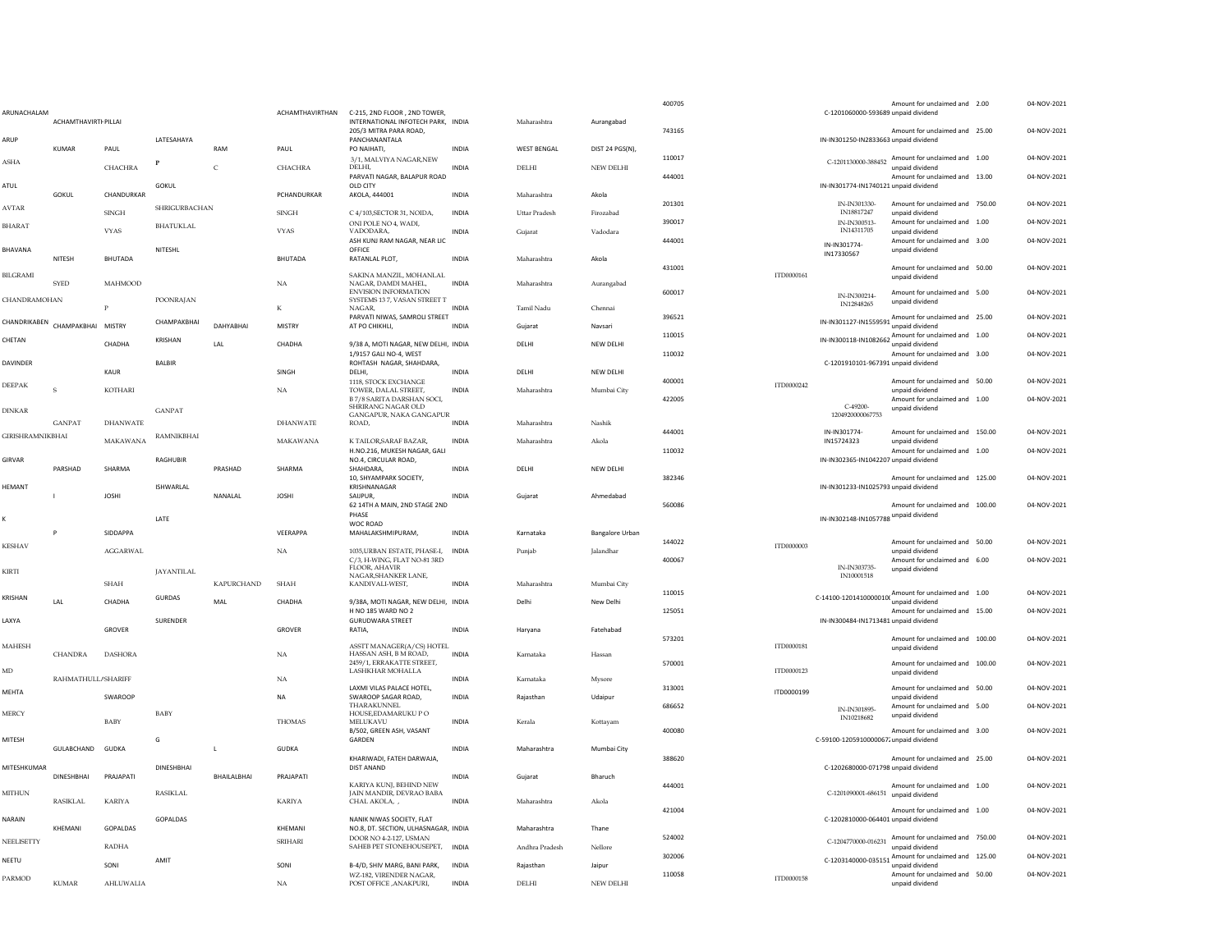| ARUNACHALAM             | <b>ACHAMTHAVIRTI PILLAI</b>     |                   |                   |                   | ACHAMTHAVIRTHAN               | C-215, 2ND FLOOR, 2ND TOWER.<br>INTERNATIONAL INFOTECH PARK. INDIA                         |              | Maharashtra              | Aurangabad             | 400705 |            | C-1201060000-593689 unpaid dividend   | Amount for unclaimed and 2.00                                                                            | 04-NOV-2021 |
|-------------------------|---------------------------------|-------------------|-------------------|-------------------|-------------------------------|--------------------------------------------------------------------------------------------|--------------|--------------------------|------------------------|--------|------------|---------------------------------------|----------------------------------------------------------------------------------------------------------|-------------|
| ARUP                    |                                 |                   | LATESAHAYA        |                   |                               | 205/3 MITRA PARA ROAD.<br>PANCHANANTALA                                                    |              |                          |                        | 743165 |            | IN-IN301250-IN2833663 unpaid dividend | Amount for unclaimed and 25,00                                                                           | 04-NOV-2021 |
| ASHA                    | KUMAR                           | PAUL              | $\mathbf{P}$      | RAM               | PAUL                          | PO NAIHATI.<br>3/1, MALVIYA NAGAR, NEW                                                     | <b>INDIA</b> | <b>WEST BENGAL</b>       | DIST 24 PGS(N),        | 110017 |            |                                       | C-1201130000-388452 Amount for unclaimed and 1.00                                                        | 04-NOV-2021 |
| ATUL                    |                                 | <b>CHACHRA</b>    | GOKUL             | $\mathsf{C}$      | CHACHRA                       | DELHI.<br>PARVATI NAGAR, BALAPUR ROAD<br>OLD CITY                                          | <b>INDIA</b> | $\rm DELHI$              | NEW DELHI              | 444001 |            | IN-IN301774-IN1740121 unpaid dividend | unnaid dividend<br>Amount for unclaimed and 13.00                                                        | 04-NOV-2021 |
|                         | GOKUL                           | CHANDURKAR        |                   |                   | PCHANDURKAR                   | AKOLA, 444001                                                                              | INDIA        | Maharashtra              | Akola                  | 201301 |            | IN-IN301330-                          | Amount for unclaimed and 750.00                                                                          | 04-NOV-2021 |
| AVTAR                   |                                 | <b>SINGH</b>      | SHRIGURBACHAN     |                   | $\mathop{\rm SINGH}\nolimits$ | C 4/103, SECTOR 31, NOIDA,<br>ONI POLE NO 4, WADI,                                         | INDIA        | Uttar Pradesh            | Firozabad              | 390017 |            | IN18817247<br>IN-IN300513-            | unpaid dividend<br>Amount for unclaimed and 1.00                                                         | 04-NOV-2021 |
| <b>HARAT</b>            |                                 | <b>VYAS</b>       | <b>BHATUKLAL</b>  |                   | <b>VYAS</b>                   | VADODARA,<br>ASH KUNJ RAM NAGAR, NEAR LIC                                                  | <b>INDIA</b> | Gujarat                  | Vadodara               | 444001 |            | IN14311705<br>IN-IN301774-            | unpaid dividend<br>Amount for unclaimed and 3.00                                                         | 04-NOV-2021 |
| BHAVANA                 | NITESH                          | <b>BHUTADA</b>    | <b>NITESHI</b>    |                   | <b>BHUTADA</b>                | OFFICE<br>RATANLAL PLOT,                                                                   | INDIA        | Maharashtra              | Akola                  |        |            | IN17330567                            | unpaid dividend                                                                                          |             |
| <b>BILGRAMI</b>         | <b>SYED</b>                     | <b>MAHMOOD</b>    |                   |                   | $_{\rm NA}$                   | SAKINA MANZIL, MOHANLAL<br>NAGAR, DAMDI MAHEL,                                             | <b>INDIA</b> | Maharashtra              | Aurangabad             | 431001 | ITD0000161 |                                       | Amount for unclaimed and 50.00<br>unpaid dividend                                                        | 04-NOV-2021 |
| CHANDRAMOHAN            |                                 |                   | <b>POONRAJAN</b>  |                   | К                             | ENVISION INFORMATION<br>SYSTEMS 13 7, VASAN STREET T<br>NAGAR,                             | INDIA        | Tamil Nadu               | Chennai                | 600017 |            | IN-IN300214-<br>IN12848265            | Amount for unclaimed and 5.00<br>unnaid dividend                                                         | 04-NOV-2021 |
|                         | CHANDRIKABEN CHAMPAKBHAI MISTRY |                   | СНАМРАКВНАІ       | DAHYABHAI         | MISTRY                        | PARVATI NIWAS, SAMROLI STREET<br>AT PO CHIKHLI,                                            | <b>INDIA</b> | Gujarat                  | Navsari                | 396521 |            |                                       | IN-IN301127-IN1559591 Amount for unclaimed and 25.00<br>unpaid dividend                                  | 04-NOV-2021 |
| CHETAN                  |                                 |                   | <b>KRISHAN</b>    |                   |                               |                                                                                            |              |                          |                        | 110015 |            |                                       | IN-IN300118-IN1082662 Amount for unclaimed and 1.00                                                      | 04-NOV-2021 |
| <b>DAVINDER</b>         |                                 | CHADHA            | <b>BALBIR</b>     | LAL               | CHADHA                        | 9/38 A, MOTI NAGAR, NEW DELHI, INDIA<br>1/9157 GALI NO-4, WEST<br>ROHTASH NAGAR, SHAHDARA, |              | DELHI                    | NEW DELHI              | 110032 |            | C-1201910101-967391 unpaid dividend   | unpaid dividend<br>Amount for unclaimed and 3.00                                                         | 04-NOV-2021 |
|                         |                                 | KAUR              |                   |                   | SINGH                         | DELHI.                                                                                     | <b>INDIA</b> | DELHI                    | NEW DELHI              | 400001 |            |                                       | Amount for unclaimed and 50.00                                                                           | 04-NOV-2021 |
| DEEPAK                  | $\mathbf S$                     | KOTHARI           |                   |                   | $_{\rm NA}$                   | 1118, STOCK EXCHANGE<br>TOWER, DALAL STREET,                                               | INDIA        | Maharashtra              | Mumbai City            |        | ITD0000242 |                                       | unpaid dividend                                                                                          |             |
| <b>DINKAR</b>           |                                 |                   | <b>GANPAT</b>     |                   |                               | B 7/8 SARITA DARSHAN SOCI,<br>SHRIRANG NAGAR OLD<br>GANGAPUR, NAKA GANGAPUR                |              |                          |                        | 422005 |            | $C-49200$<br>1204920000067753         | Amount for unclaimed and 1.00<br>unpaid dividend                                                         | 04-NOV-2021 |
|                         | <b>GANPAT</b>                   | <b>DHANWATE</b>   |                   |                   | <b>DHANWATE</b>               | ROAD,                                                                                      | <b>INDIA</b> | Maharashtra              | Nashik                 | 444001 |            | IN-IN301774-                          | Amount for unclaimed and 150.00                                                                          | 04-NOV-2021 |
| <b>GIRISHRAMNIKBHAI</b> |                                 | MAKAWANA          | RAMNIKBHAI        |                   | MAKAWANA                      | K TAILOR, SARAF BAZAR,<br>H.NO.216, MUKESH NAGAR, GALI                                     | INDIA        | Maharashtra              | Akola                  | 110032 |            | IN15724323                            | unnaid dividend<br>Amount for unclaimed and 1.00                                                         | 04-NOV-2021 |
| GIRVAR                  | PARSHAD                         | SHARMA            | RAGHUBIR          | PRASHAD           | SHARMA                        | NO.4. CIRCULAR ROAD.<br>SHAHDARA,                                                          | <b>INDIA</b> | DELHI                    | NEW DELHI              |        |            | IN-IN302365-IN1042207 unpaid dividend |                                                                                                          |             |
| <b>IEMANT</b>           |                                 |                   | ISHWARLAL         |                   |                               | 10. SHYAMPARK SOCIETY.<br>KRISHNANAGAR                                                     |              |                          |                        | 382346 |            | IN-IN301233-IN1025793 unpaid dividend | Amount for unclaimed and 125,00                                                                          | 04-NOV-2021 |
|                         | $\mathbf{I}$                    | <b>IOSHI</b>      |                   | NANAI AI          | <b>IOSHI</b>                  | SAIIPUR.<br>62 14TH A MAIN, 2ND STAGE 2ND                                                  | <b>INDIA</b> | Guiarat                  | Ahmedahad              | 560086 |            |                                       | Amount for unclaimed and 100.00                                                                          | 04-NOV-2021 |
|                         |                                 |                   | LATE              |                   |                               | PHASE<br>WOC ROAD                                                                          |              |                          |                        |        |            | IN-IN302148-IN1057788 unpaid dividend |                                                                                                          |             |
| <b>KESHAV</b>           | P                               | SIDDAPPA          |                   |                   | VEERAPPA                      | MAHALAKSHMIPURAM,                                                                          | <b>INDIA</b> | Karnataka                | <b>Bangalore Urban</b> | 144022 | ITD0000003 |                                       | Amount for unclaimed and 50.00                                                                           | 04-NOV-2021 |
|                         |                                 | <b>AGGARWAL</b>   |                   |                   | NA                            | 1035, URBAN ESTATE, PHASE-I,<br>C/3, H-WING, FLAT NO-81 3RD                                | <b>INDIA</b> | Punjab                   | <b>Jalandhar</b>       | 400067 |            |                                       | unpaid dividend<br>Amount for unclaimed and 6.00                                                         | 04-NOV-2021 |
| <b>KIRTI</b>            |                                 |                   | <b>JAYANTILAL</b> | <b>KAPURCHAND</b> |                               | <b>FLOOR, AHAVIR</b><br>NAGAR, SHANKER LANE,                                               | <b>INDIA</b> | Maharashtra              |                        |        |            | IN-IN303735-<br>IN10001518            | unpaid dividend                                                                                          |             |
| KRISHAN                 |                                 | SHAH              | <b>GURDAS</b>     |                   | SHAH                          | KANDIVALI-WEST,                                                                            |              |                          | Mumbai City            | 110015 |            |                                       | C-14100-1201410000010C $\frac{A_{\text{amount}}}{A_{\text{max}}}$ or unclaimed and 1.00                  | 04-NOV-2021 |
|                         | A                               | CHADHA            |                   | MAI               | CHADHA                        | 9/38A, MOTI NAGAR, NEW DELHI, INDIA<br>H NO 185 WARD NO 2                                  |              | Delhi                    | New Delhi              | 125051 |            |                                       | unpaid dividend<br>Amount for unclaimed and 15.00                                                        | 04-NOV-2021 |
| AXYA                    |                                 | GROVER            | <b>SURENDER</b>   |                   | GROVER                        | <b>GURUDWARA STREET</b><br>RATIA,                                                          | <b>INDIA</b> | Haryana                  | Fatehabad              |        |            | IN-IN300484-IN1713481 unpaid dividend |                                                                                                          |             |
| MAHESH                  | CHANDRA                         | <b>DASHORA</b>    |                   |                   | <b>NA</b>                     | ASSTT MANAGER(A/CS) HOTEL<br>HASSAN ASH, B M ROAD.                                         | <b>INDIA</b> | Karnataka                | Hassan                 | 573201 | ITD0000181 |                                       | Amount for unclaimed and 100.00<br>unpaid dividend                                                       | 04-NOV-2021 |
| MD                      |                                 |                   |                   |                   |                               | 2459/1, ERRAKATTE STREET,<br>LASHKHAR MOHALLA                                              |              |                          |                        | 570001 | ITD0000123 |                                       | Amount for unclaimed and 100.00                                                                          | 04-NOV-2021 |
| MEHTA                   |                                 |                   |                   |                   |                               |                                                                                            |              |                          |                        |        |            |                                       | unpaid dividend                                                                                          |             |
| MERCY                   | RAHMATHULL/SHARIFF              |                   |                   |                   | $_{\rm NA}$                   | LAXMI VILAS PALACE HOTEL                                                                   | INDIA        | Karnataka                | Mysore                 | 313001 | ITD0000199 |                                       | Amount for unclaimed and 50.00                                                                           | 04-NOV-2021 |
|                         |                                 | SWAROOP           |                   |                   | <b>NA</b>                     | SWAROOP SAGAR ROAD,<br><b>THARAKUNNEL</b>                                                  | <b>INDIA</b> | Rajasthan                | Udaipur                | 686652 |            | IN-IN301895-                          | unpaid dividend<br>Amount for unclaimed and 5.00                                                         | 04-NOV-2021 |
|                         |                                 | <b>BABY</b>       | BABY              |                   | <b>THOMAS</b>                 | HOUSE, EDAMARUKU PO<br>MELUKAVU<br>B/502, GREEN ASH, VASANT                                | <b>INDIA</b> | Kerala                   | Kottavam               | 400080 |            | IN10218682                            | unpaid dividend<br>Amount for unclaimed and 3.00                                                         | 04-NOV-2021 |
| MITESH                  | GULABCHAND GUDKA                |                   | G                 | L                 | <b>GUDKA</b>                  | GARDEN                                                                                     | <b>INDIA</b> | Maharashtra              | Mumbai City            |        |            | C-59100-12059100000672unpaid dividend |                                                                                                          |             |
| MITESHKUMAR             |                                 |                   | <b>DINESHBHAI</b> |                   |                               | KHARIWADI, FATEH DARWAJA,<br><b>DIST ANAND</b>                                             |              |                          |                        | 388620 |            | C-1202680000-071798 unpaid dividend   | Amount for unclaimed and 25.00                                                                           | 04-NOV-2021 |
|                         | <b>DINESHBHAI</b>               | PRAJAPATI         |                   | BHAILALBHAI       | PRAJAPATI                     | KARIYA KUNJ, BEHIND NEW                                                                    | <b>INDIA</b> | Gujarat                  | Bharuch                | 444001 |            |                                       | Amount for unclaimed and 1.00                                                                            | 04-NOV-2021 |
| <b>MITHUN</b>           | <b>RASIKLAL</b>                 | <b>KARIYA</b>     | <b>RASIKLAL</b>   |                   | <b>KARIYA</b>                 | JAIN MANDIR, DEVRAO BABA<br>CHAL AKOLA, ,                                                  | <b>INDIA</b> | Maharashtra              | Akola                  |        |            | C-1201090001-686151 unpaid dividend   |                                                                                                          |             |
| NARAIN                  |                                 |                   | GOPALDAS          |                   |                               | NANIK NIWAS SOCIETY, FLAT                                                                  |              |                          |                        | 421004 |            | C-1202810000-064401 unpaid dividend   | Amount for unclaimed and 1.00                                                                            | 04-NOV-2021 |
| NEELISETTY              | KHEMANI                         | GOPALDAS          |                   |                   | KHEMANI<br>SRIHARI            | NO.8, DT. SECTION, ULHASNAGAR, INDIA<br>DOOR NO 4-2-127. USMAN                             |              | Maharashtra              | Thane                  | 524002 |            |                                       |                                                                                                          | 04-NOV-2021 |
|                         |                                 | RADHA             |                   |                   |                               | SAHEB PET STONEHOUSEPET, INDIA                                                             |              | Andhra Pradesh           | Nellore                | 302006 |            |                                       | C-1204770000-016231 Amount for unclaimed and 750.00<br>unpaid dividend                                   | 04-NOV-2021 |
| NEETU<br><b>ARMOD</b>   | <b>KUMAR</b>                    | SONI<br>AHLUWALIA | AMIT              |                   | SONI                          | B-4/D, SHIV MARG, BANI PARK,<br>WZ-182, VIRENDER NAGAR.                                    | <b>INDIA</b> | Rajasthan<br>$\rm DELHI$ | Jaipur<br>NEW DELHI    | 110058 | ITD0000158 |                                       | C-1203140000-035151 Amount for unclaimed and 125.00<br>unpaid dividend<br>Amount for unclaimed and 50.00 | 04-NOV-2021 |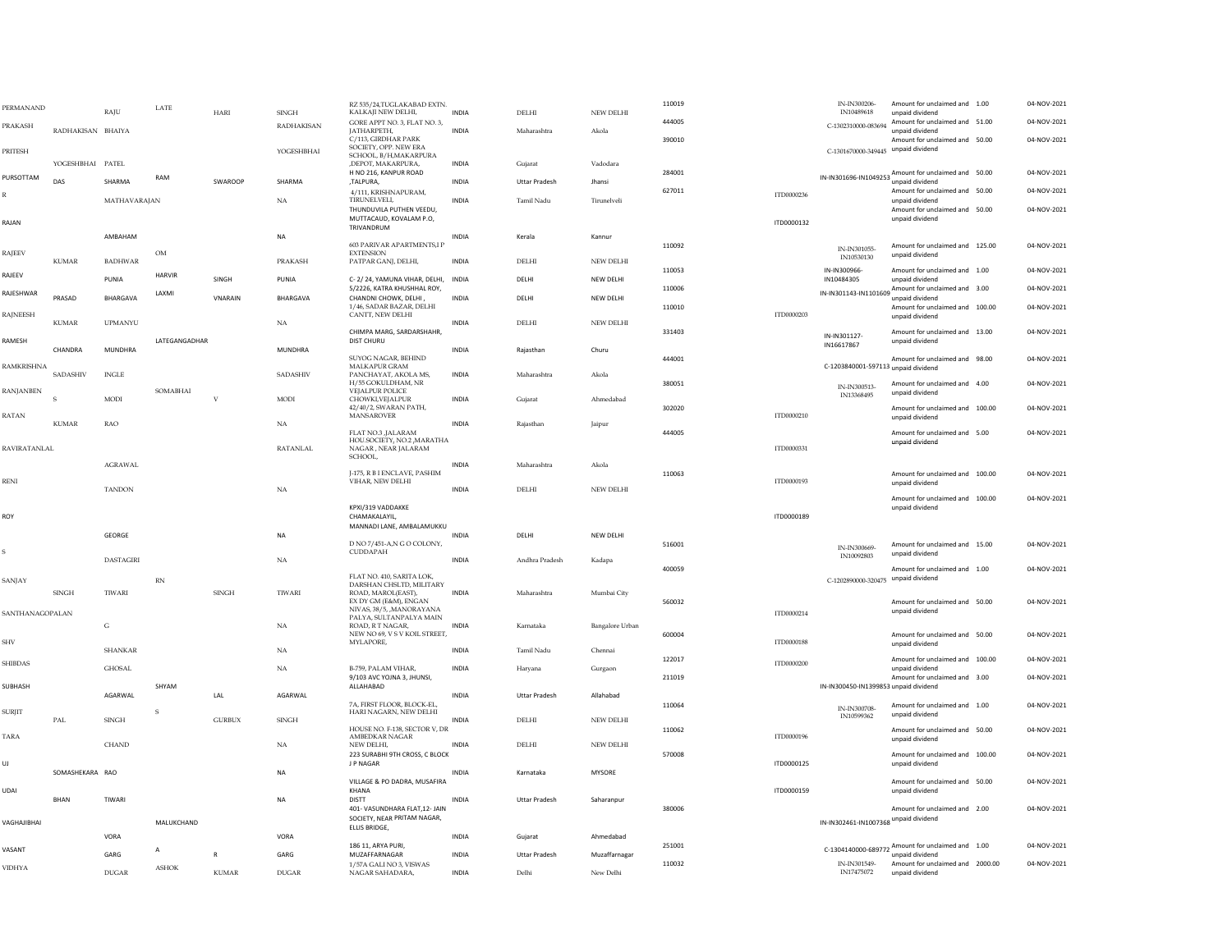| PERMANAND       |                   | RAJU             | LATE          | HARI           | <b>SINGH</b>      | RZ 535/24,TUGLAKABAD EXTN.<br>KALKAJI NEW DELHI,                         | <b>INDIA</b> | <b>DELHI</b>         | NEW DELHI              | 110019 |            | IN-IN300206-<br>IN10489618            | Amount for unclaimed and 1.00<br>unpaid dividend                        | 04-NOV-2021 |
|-----------------|-------------------|------------------|---------------|----------------|-------------------|--------------------------------------------------------------------------|--------------|----------------------|------------------------|--------|------------|---------------------------------------|-------------------------------------------------------------------------|-------------|
| <b>PRAKASH</b>  | RADHAKISAN BHAIYA |                  |               |                | <b>RADHAKISAN</b> | GORE APPT NO. 3, FLAT NO. 3,<br><b>IATHARPETH.</b>                       | <b>INDIA</b> | Maharashtra          | Akola                  | 444005 |            | C-1302310000-083694                   | Amount for unclaimed and 51.00<br>unpaid dividend                       | 04-NOV-2021 |
|                 |                   |                  |               |                |                   | C/113, GIRDHAR PARK<br>SOCIETY, OPP. NEW ERA                             |              |                      |                        | 390010 |            |                                       | Amount for unclaimed and 50.00                                          | 04-NOV-2021 |
| PRITESH         | YOGESHBHAI PATEL  |                  |               |                | YOGESHBHAI        | SCHOOL, B/H, MAKARPURA<br>,DEPOT, MAKARPURA,                             | <b>INDIA</b> | Gujarat              | Vadodara               |        |            | C-1301670000-349445 unpaid dividend   |                                                                         |             |
| PURSOTTAM       | DAS               | SHARMA           | RAM           | SWAROOP        | SHARMA            | H NO 216, KANPUR ROAD<br>,TALPURA,                                       | INDIA        | <b>Uttar Pradesh</b> | Jhansi                 | 284001 |            |                                       | IN-IN301696-IN1049253 Amount for unclaimed and 50.00<br>unpaid dividend | 04-NOV-2021 |
|                 |                   |                  |               |                |                   | 4/111, KRISHNAPURAM,                                                     | <b>INDIA</b> |                      |                        | 627011 | ITD0000236 |                                       | Amount for unclaimed and 50.00                                          | 04-NOV-2021 |
|                 |                   | MATHAVARAJAN     |               |                | $_{\rm NA}$       | TIRUNELVELI,<br>THUNDUVILA PUTHEN VEEDU,                                 |              | Tamil Nadu           | Tirunelveli            |        |            |                                       | unpaid dividend<br>Amount for unclaimed and 50.00                       | 04-NOV-2021 |
| RAJAN           |                   |                  |               |                |                   | MUTTACAUD, KOVALAM P.O,<br>TRIVANDRUM                                    |              |                      |                        |        | ITD0000132 |                                       | unpaid dividend                                                         |             |
|                 |                   | AMBAHAM          |               |                | NA                | 603 PARIVAR APARTMENTS,I P                                               | <b>INDIA</b> | Kerala               | Kannur                 | 110092 |            |                                       | Amount for unclaimed and 125.00                                         | 04-NOV-2021 |
| RAJEEV          | <b>KUMAR</b>      | <b>BADHWAR</b>   | OM            |                | PRAKASH           | <b>EXTENSION</b><br>PATPAR GANJ, DELHI,                                  | <b>INDIA</b> | <b>DELHI</b>         | NEW DELHI              |        |            | IN-IN301055-<br>IN10530130            | unpaid dividend                                                         |             |
| RAJEEV          |                   | PUNIA            | <b>HARVIR</b> | SINGH          | PUNIA             | C-2/24, YAMUNA VIHAR, DELHI, INDIA                                       |              | DELHI                | NFW DFI HI             | 110053 |            | IN-IN300966-<br>IN10484305            | Amount for unclaimed and 1.00<br>unnaid dividend                        | 04-NOV-2021 |
| RAJESHWAR       | PRASAD            | <b>BHARGAVA</b>  | LAXMI         | <b>VNARAIN</b> | <b>BHARGAVA</b>   | 5/2226, KATRA KHUSHHAL ROY,<br>CHANDNI CHOWK, DELHI                      | <b>INDIA</b> | DELHI                | NFW DFI HI             | 110006 |            |                                       | IN-IN301143-IN1101609 Amount for unclaimed and 3.00<br>unpaid dividend  | 04-NOV-2021 |
| <b>RAJNEESH</b> |                   |                  |               |                |                   | 1/46, SADAR BAZAR, DELHI<br>CANTT, NEW DELHI                             |              |                      |                        | 110010 | ITD0000203 |                                       | Amount for unclaimed and 100.00                                         | 04-NOV-2021 |
|                 | <b>KUMAR</b>      | <b>UPMANYU</b>   |               |                | NA                | CHIMPA MARG, SARDARSHAHR,                                                | INDIA        | DELHI                | NEW DELHI              | 331403 |            |                                       | unpaid dividend<br>Amount for unclaimed and 13.00                       | 04-NOV-2021 |
| RAMESH          |                   |                  | LATEGANGADHAR |                |                   | <b>DIST CHURU</b>                                                        |              |                      |                        |        |            | IN-IN301127-<br>IN16617867            | unpaid dividend                                                         |             |
|                 | CHANDRA           | <b>MUNDHRA</b>   |               |                | <b>MUNDHRA</b>    | SUYOG NAGAR, BEHIND                                                      | <b>INDIA</b> | Raiasthan            | Churu                  | 444001 |            |                                       | Amount for unclaimed and 98.00                                          | 04-NOV-2021 |
| RAMKRISHNA      | SADASHIV          | <b>INGLE</b>     |               |                | SADASHIV          | MALKAPUR GRAM<br>PANCHAYAT, AKOLA MS,                                    | <b>INDIA</b> | Maharashtra          | Akola                  |        |            | C-1203840001-597113 unpaid dividend   |                                                                         |             |
| RANJANBEN       |                   |                  | SOMABHAI      |                |                   | H/55 GOKULDHAM, NR<br><b>VEJALPUR POLICE</b>                             |              |                      |                        | 380051 |            | IN-IN300513-<br>IN13368495            | Amount for unclaimed and 4.00<br>unpaid dividend                        | 04-NOV-2021 |
|                 | S                 | MODI             |               | $\overline{V}$ | MODI              | CHOWKI, VEJALPUR<br>42/40/2, SWARAN PATH,                                | INDIA        | Gujarat              | Ahmedabad              | 302020 |            |                                       | Amount for unclaimed and 100.00                                         | 04-NOV-2021 |
| RATAN           | <b>KUMAR</b>      | <b>RAO</b>       |               |                | $_{\rm NA}$       | <b>MANSAROVER</b>                                                        | <b>INDIA</b> | Rajasthan            | Jaipur                 |        | ITD0000210 |                                       | unpaid dividend                                                         |             |
|                 |                   |                  |               |                |                   | FLAT NO.3 , JALARAM<br>HOU.SOCIETY, NO.2, MARATHA                        |              |                      |                        | 444005 |            |                                       | Amount for unclaimed and 5.00<br>unpaid dividend                        | 04-NOV-2021 |
| RAVIRATANLAL    |                   |                  |               |                | <b>RATANLAL</b>   | NAGAR, NEAR JALARAM<br>SCHOOL,                                           |              |                      |                        |        | ITD0000331 |                                       |                                                                         |             |
|                 |                   | <b>AGRAWAL</b>   |               |                |                   | <b>I-175. R B I ENCLAVE. PASHIM</b>                                      | <b>INDIA</b> | Maharashtra          | Akola                  | 110063 |            |                                       | Amount for unclaimed and 100.00                                         | 04-NOV-2021 |
| <b>RENI</b>     |                   | <b>TANDON</b>    |               |                | $_{\rm NA}$       | VIHAR, NEW DELHI                                                         | <b>INDIA</b> | DELHI                | NEW DELHI              |        | ITD0000193 |                                       | unpaid dividend                                                         |             |
|                 |                   |                  |               |                |                   | KPXI/319 VADDAKKE                                                        |              |                      |                        |        |            |                                       | Amount for unclaimed and 100.00<br>unpaid dividend                      | 04-NOV-2021 |
| ROY             |                   |                  |               |                |                   | CHAMAKALAYIL,<br>MANNADI LANE, AMBALAMUKKU                               |              |                      |                        |        | ITD0000189 |                                       |                                                                         |             |
|                 |                   | GEORGE           |               |                | <b>NA</b>         |                                                                          | <b>INDIA</b> | DELHI                | NEW DELHI              |        |            |                                       |                                                                         |             |
|                 |                   | <b>DASTAGIRI</b> |               |                |                   | D NO 7/451-A,N G O COLONY,<br>CUDDAPAH                                   | <b>INDIA</b> | Andhra Pradesh       |                        | 516001 |            | IN-IN300669<br>IN10092803             | Amount for unclaimed and 15.00<br>unpaid dividend                       | 04-NOV-2021 |
|                 |                   |                  |               |                | $_{\rm NA}$       |                                                                          |              |                      | Kadapa                 | 400059 |            |                                       | Amount for unclaimed and 1.00                                           | 04-NOV-2021 |
| SANJAY          |                   |                  | <b>RN</b>     |                |                   | FLAT NO. 410, SARITA LOK,<br>DARSHAN CHSLTD, MILITARY                    |              | Maharashtra          | Mumbai City            |        |            | C-1202890000-320475 unpaid dividend   |                                                                         |             |
|                 | <b>SINGH</b>      | TIWARI           |               | <b>SINGH</b>   | TIWARI            | ROAD, MAROL(EAST),<br>EX DY GM (E&M), ENGAN                              | INDIA        |                      |                        | 560032 |            |                                       | Amount for unclaimed and 50.00                                          | 04-NOV-2021 |
| SANTHANAGOPALAN |                   | G                |               |                |                   | NIVAS, 38/5, , MANORAYANA<br>PALYA, SULTANPALYA MAIN<br>ROAD. R T NAGAR. | <b>INDIA</b> |                      |                        |        | ITD0000214 |                                       | unpaid dividend                                                         |             |
|                 |                   |                  |               |                | NA                | NEW NO 69, V S V KOIL STREET,                                            |              | Karnataka            | <b>Bangalore Urban</b> | 600004 |            |                                       | Amount for unclaimed and 50.00                                          | 04-NOV-2021 |
| SHV             |                   | <b>SHANKAR</b>   |               |                | <b>NA</b>         | MYLAPORE,                                                                | <b>INDIA</b> | <b>Tamil Nadu</b>    | Chennai                |        | ITD0000188 |                                       | unpaid dividend                                                         |             |
| <b>SHIBDAS</b>  |                   | <b>GHOSAL</b>    |               |                | $_{\rm NA}$       | B-759, PALAM VIHAR,                                                      | INDIA        | Harvana              | Gurgaon                | 122017 | ITD0000200 |                                       | Amount for unclaimed and 100.00<br>unpaid dividend                      | 04-NOV-2021 |
| SUBHASH         |                   |                  | SHYAM         |                |                   | 9/103 AVC YOJNA 3, JHUNSI,<br>ALLAHABAD                                  |              |                      |                        | 211019 |            | IN-IN300450-IN1399853 unpaid dividend | Amount for unclaimed and 3.00                                           | 04-NOV-2021 |
|                 |                   | AGARWAI          |               | LAL            | AGARWAI           | 7A, FIRST FLOOR, BLOCK-EL,                                               | <b>INDIA</b> | <b>Uttar Pradesh</b> | Allahahad              | 110064 |            |                                       | Amount for unclaimed and 1.00                                           | 04-NOV-2021 |
| <b>SURJIT</b>   | PAL               | SINGH            |               | <b>GURBUX</b>  | SINGH             | HARI NAGARN, NEW DELHI                                                   | <b>INDIA</b> | DELHI                | NEW DELHI              |        |            | IN-IN300708-<br>IN10599362            | unpaid dividend                                                         |             |
| <b>TARA</b>     |                   |                  |               |                |                   | HOUSE NO. F-138, SECTOR V, DR<br>AMBEDKAR NAGAR                          |              |                      |                        | 110062 | ITD0000196 |                                       | Amount for unclaimed and 50.00<br>unpaid dividend                       | 04-NOV-2021 |
|                 |                   | CHAND            |               |                | NA                | NEW DELHL<br>223 SURABHI 9TH CROSS, C BLOCK                              | INDIA        | DELHI                | NEW DELHI              | 570008 |            |                                       | Amount for unclaimed and 100.00                                         | 04-NOV-2021 |
| UJ.             | SOMASHEKARA RAO   |                  |               |                | NA                | J P NAGAR                                                                | <b>INDIA</b> | Karnataka            | MYSORE                 |        | ITD0000125 |                                       | unpaid dividend                                                         |             |
|                 |                   |                  |               |                |                   | VILLAGE & PO DADRA, MUSAFIRA                                             |              |                      |                        |        |            |                                       | Amount for unclaimed and 50.00                                          | 04-NOV-2021 |
| UDAI            | <b>BHAN</b>       | TIWARI           |               |                | <b>NA</b>         | KHANA<br><b>DISTT</b>                                                    | <b>INDIA</b> | <b>Uttar Pradesh</b> | Saharanpur             |        | ITD0000159 |                                       | unpaid dividend                                                         |             |
| VAGHAJIBHAI     |                   |                  | MALUKCHAND    |                |                   | 401- VASUNDHARA FLAT, 12- JAIN<br>SOCIETY, NEAR PRITAM NAGAR,            |              |                      |                        | 380006 |            | IN-IN302461-IN1007368 unpaid dividend | Amount for unclaimed and 2.00                                           | 04-NOV-2021 |
|                 |                   | VORA             |               |                | VORA              | ELLIS BRIDGE,                                                            | <b>INDIA</b> | Gujarat              | Ahmedahad              |        |            |                                       |                                                                         |             |
| VASANT          |                   | GARG             |               | $\mathsf{R}$   | GARG              | 186 11, ARYA PURI,<br>MUZAFFARNAGAR                                      | <b>INDIA</b> | <b>Uttar Pradesh</b> | Muzaffarnagar          | 251001 |            |                                       | C-1304140000-689772 Amount for unclaimed and 1.00<br>unpaid dividend    | 04-NOV-2021 |
| <b>VIDHYA</b>   |                   | <b>DUGAR</b>     | ASHOK         | KUMAR          | <b>DUGAR</b>      | 1/57A GALI NO 3, VISWAS<br>NAGAR SAHADARA.                               | <b>INDIA</b> | Delhi                | New Delhi              | 110032 |            | IN-IN301549-<br>IN17475072            | Amount for unclaimed and 2000.00<br>unpaid dividend                     | 04-NOV-2021 |
|                 |                   |                  |               |                |                   |                                                                          |              |                      |                        |        |            |                                       |                                                                         |             |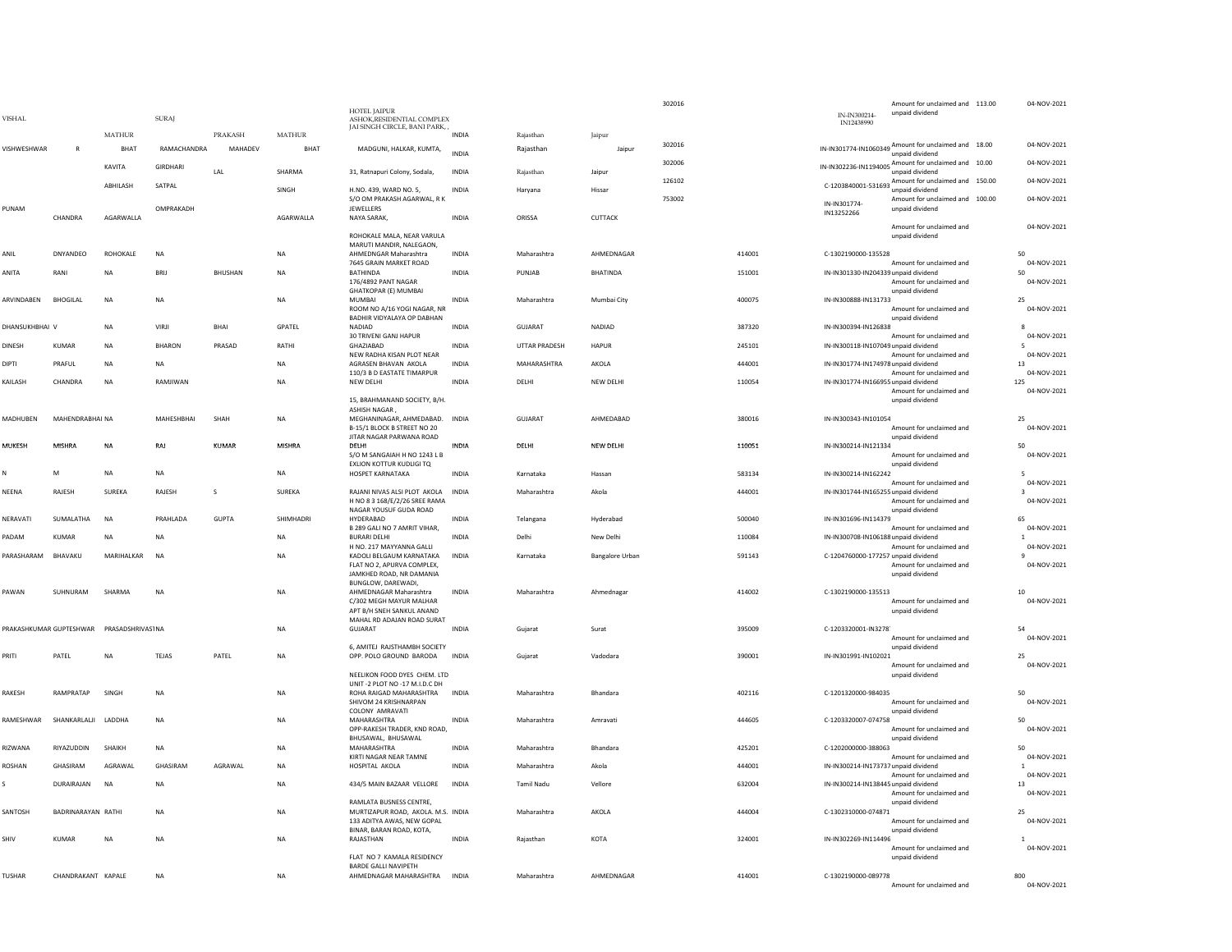| <b>VISHAL</b>  |                         |                   | <b>SURA</b>     |                |               | HOTEL JAIPUR<br>ASHOK.RESIDENTIAL COMPLEX                                                                      |              |                   |                        | 302016 | IN-IN300214-<br>IN12438990           | Amount for unclaimed and 113.00<br>unpaid dividend                      | 04-NOV-2021                      |
|----------------|-------------------------|-------------------|-----------------|----------------|---------------|----------------------------------------------------------------------------------------------------------------|--------------|-------------------|------------------------|--------|--------------------------------------|-------------------------------------------------------------------------|----------------------------------|
|                |                         | <b>MATHUR</b>     |                 | PRAKASH        | <b>MATHUR</b> | JAI SINGH CIRCLE, BANI PARK,                                                                                   | <b>INDIA</b> | Rajasthan         | Jaipur                 |        |                                      |                                                                         |                                  |
| VISHWESHWAR    | $\mathsf{R}$            | BHAT              | RAMACHANDRA     | MAHADEV        | BHAT          | MADGUNI, HALKAR, KUMTA,                                                                                        | <b>INDIA</b> | Rajasthan         | Jaipur                 | 302016 |                                      | IN-IN301774-IN1060349 Amount for unclaimed and 18.00<br>unpaid dividend | 04-NOV-2021                      |
|                |                         | KAVITA            | <b>GIRDHARI</b> | <b>IAI</b>     | SHARMA        | 31, Ratnapuri Colony, Sodala,                                                                                  | <b>INDIA</b> | Rajasthan         | Jaipur                 | 302006 |                                      | IN-IN302236-IN1194005 Amount for unclaimed and 10.00<br>unpaid dividend | 04-NOV-2021                      |
|                |                         | ABHILASH          | SATPAL          |                | <b>SINGH</b>  | H.NO. 439. WARD NO. 5.                                                                                         | <b>INDIA</b> | Harvana           | Hissar                 | 126102 |                                      | C-1203840001-531693 Amount for unclaimed and 150.00<br>unpaid dividend  | 04-NOV-2021                      |
| PUNAM          | CHANDRA                 | AGARWALLA         | OMPRAKADH       |                | AGARWALLA     | S/O OM PRAKASH AGARWAL, R K<br>JEWELLERS                                                                       | INDIA        | ORISSA            | CUTTACK                | 753002 | IN-IN301774<br>IN13252266            | Amount for unclaimed and 100.00<br>unpaid dividend                      | 04-NOV-2021                      |
|                |                         |                   |                 |                |               | NAYA SARAK,<br>ROHOKALE MALA, NEAR VARULA                                                                      |              |                   |                        |        |                                      | Amount for unclaimed and<br>unpaid dividend                             | 04-NOV-2021                      |
| ANIL           | DNYANDEO                | ROHOKALE          | <b>NA</b>       |                | <b>NA</b>     | MARUTI MANDIR, NALEGAON.<br>AHMEDNGAR Maharashtra                                                              | <b>INDIA</b> | Maharashtra       | AHMEDNAGAR             | 414001 | C-1302190000-135528                  |                                                                         | 50                               |
| ANITA          | RANI                    | <b>NA</b>         | <b>BRII</b>     | <b>BHUSHAN</b> | <b>NA</b>     | 7645 GRAIN MARKET ROAD<br>BATHINDA                                                                             | <b>INDIA</b> | PUNJAB            | <b>BHATINDA</b>        | 151001 |                                      | Amount for unclaimed and                                                | 04-NOV-2021<br>50                |
|                |                         |                   |                 |                |               | 176/4892 PANT NAGAR<br><b>GHATKOPAR (E) MUMBAI</b>                                                             |              |                   |                        |        | IN-IN301330-IN204339 unpaid dividend | Amount for unclaimed and<br>unpaid dividend                             | 04-NOV-2021                      |
| ARVINDABEN     | <b>BHOGILAL</b>         | <b>NA</b>         | <b>NA</b>       |                | NA            | <b>MUMBA</b><br>ROOM NO A/16 YOGI NAGAR, NR                                                                    | <b>INDIA</b> | Maharashtra       | Mumbai City            | 400075 | IN-IN300888-IN131733                 | Amount for unclaimed and                                                | 25<br>04-NOV-2021                |
| DHANSUKHBHAI V |                         | <b>NA</b>         | <b>VIRII</b>    | <b>BHAI</b>    | <b>GPATFI</b> | BADHIR VIDYALAYA OP DABHAN<br>NADIAD                                                                           | <b>INDIA</b> | GUIARAT           | <b>NADIAD</b>          | 387320 | IN-IN300394-IN126838                 | unpaid dividend                                                         | $\mathbf{R}$                     |
| <b>DINESH</b>  | <b>KUMAR</b>            | <b>NA</b>         | <b>BHARON</b>   | PRASAD         | RATHI         | 30 TRIVENI GANJ HAPUR<br>GHAZIABAD                                                                             | <b>INDIA</b> | UTTAR PRADESH     | <b>HAPUR</b>           | 245101 | IN-IN300118-IN107049 unpaid dividend | Amount for unclaimed and                                                | 04-NOV-2021<br>-5                |
| DIPTI          | PRAFUL                  | <b>NA</b>         | NA              |                | <b>NA</b>     | NEW RADHA KISAN PLOT NEAR<br>AGRASEN BHAVAN AKOLA                                                              | INDIA        | MAHARASHTRA       | AKOLA                  | 444001 | IN-IN301774-IN174978 unpaid dividend | Amount for unclaimed and                                                | 04-NOV-2021<br>$13\,$            |
| KAILASH        | CHANDRA                 | <b>NA</b>         | RAMJIWAN        |                | <b>NA</b>     | 110/3 B D EASTATE TIMARPUR<br>NEW DELHI                                                                        | <b>INDIA</b> | DELHI             | NEW DELHI              | 110054 | IN-IN301774-IN166955 unpaid dividend | Amount for unclaimed and                                                | 04-NOV-2021<br>125               |
|                |                         |                   |                 |                |               | 15, BRAHMANAND SOCIETY, B/H.                                                                                   |              |                   |                        |        |                                      | Amount for unclaimed and<br>unpaid dividend                             | 04-NOV-2021                      |
| MADHUBEN       | MAHENDRABHAI NA         |                   | MAHESHBHAI      | SHAH           | <b>NA</b>     | <b>ASHISH NAGAR</b><br>MEGHANINAGAR, AHMEDABAD. INDIA                                                          |              | GUJARAT           | AHMEDABAD              | 380016 | IN-IN300343-IN101054                 |                                                                         | 25                               |
|                |                         |                   |                 |                |               | B-15/1 BLOCK B STREET NO 20<br>JITAR NAGAR PARWANA ROAD                                                        |              |                   |                        |        |                                      | Amount for unclaimed and<br>unpaid dividend                             | 04-NOV-2021                      |
| MUKESH         | MISHRA                  | <b>NA</b>         | RAJ             | KUMAR          | MISHRA        | DELHI<br>S/O M SANGAIAH H NO 1243 L B<br><b>EXLION KOTTUR KUDLIGLTO</b>                                        | <b>INDIA</b> | <b>DFIHI</b>      | NEW DELHI              | 110051 | IN-IN300214-IN121334                 | Amount for unclaimed and<br>unnaid dividend                             | 50<br>04-NOV-2021                |
| N              | M                       | <b>NA</b>         | <b>NA</b>       |                | <b>NA</b>     | HOSPET KARNATAKA                                                                                               | <b>INDIA</b> | Karnataka         | Hassan                 | 583134 | IN-IN300214-IN162242                 | Amount for unclaimed and                                                | 04-NOV-2021                      |
| NEENA          | RAJESH                  | SUREKA            | RAJESH          | S              | SUREKA        | RAJANI NIVAS ALSI PLOT AKOLA<br>H NO 8 3 168/E/2/26 SREE RAMA                                                  | INDIA        | Maharashtra       | Akola                  | 444001 | IN-IN301744-IN165255 unpaid dividend | Amount for unclaimed and                                                | 04-NOV-2021                      |
| NERAVATI       | SUMALATHA               | <b>NA</b>         | PRAHLADA        | <b>GUPTA</b>   | SHIMHADRI     | NAGAR YOUSUF GUDA ROAD<br>HYDERABAD                                                                            | <b>INDIA</b> | Telangana         | Hyderabad              | 500040 | IN-IN301696-IN114379                 | unpaid dividend                                                         | 65                               |
| PADAM          | <b>KUMAR</b>            | <b>NA</b>         | <b>NA</b>       |                | <b>NA</b>     | B 289 GALI NO 7 AMRIT VIHAR,<br><b>BURARI DELHI</b>                                                            | <b>INDIA</b> | Delhi             | New Delhi              | 110084 | IN-IN300708-IN106188 unpaid dividend | Amount for unclaimed and                                                | 04-NOV-2021<br>$\mathbf{1}$      |
| PARASHARAM     | BHAVAKU                 | MARIHALKAR        | <b>NA</b>       |                | <b>NA</b>     | H NO. 217 MAYYANNA GALLI<br>KADOLI BELGAUM KARNATAKA<br>FLAT NO 2, APURVA COMPLEX,<br>JAMKHED ROAD, NR DAMANIA | INDIA        | Karnataka         | <b>Bangalore Urban</b> | 591143 | C-1204760000-177257 unpaid dividend  | Amount for unclaimed and<br>Amount for unclaimed and<br>unpaid dividend | 04-NOV-2021<br>04-NOV-2021       |
| PAWAN          | SUHNURAM                | SHARMA            | <b>NA</b>       |                | NA            | BUNGLOW, DAREWADI,<br>AHMEDNAGAR Maharashtra<br>C/302 MEGH MAYUR MALHAR<br>APT B/H SNEH SANKUL ANAND           | INDIA        | Maharashtra       | Ahmednagar             | 414002 | C-1302190000-135513                  | Amount for unclaimed and<br>unpaid dividend                             | 10<br>04-NOV-2021                |
|                | PRAKASHKUMAR GUPTESHWAR | PRASADSHRIVAS1 NA |                 |                | <b>NA</b>     | MAHAL RD ADAJAN ROAD SURAT<br>GUJARAT                                                                          | <b>INDIA</b> | Gujarat           | Surat                  | 395009 | C-1203320001-IN3278                  | Amount for unclaimed and                                                | 54<br>04-NOV-2021                |
| PRITI          | PATEL                   | NA                | TEJAS           | PATEL          | NA            | 6, AMITEJ RAJSTHAMBH SOCIETY<br>OPP. POLO GROUND BARODA                                                        | INDIA        | Gujarat           | Vadodara               | 390001 | IN-IN301991-IN102021                 | unpaid dividend                                                         | 25                               |
|                |                         |                   |                 |                |               | NEELIKON FOOD DYES CHEM. LTD                                                                                   |              |                   |                        |        |                                      | Amount for unclaimed and<br>unpaid dividend                             | 04-NOV-2021                      |
| RAKESH         | RAMPRATAP               | SINGH             | <b>NA</b>       |                | <b>NA</b>     | UNIT -2 PLOT NO -17 M.I.D.C DH<br>ROHA RAIGAD MAHARASHTRA<br>SHIVOM 24 KRISHNARPAN<br>COLONY AMRAVATI          | <b>INDIA</b> | Maharashtra       | Bhandara               | 402116 | C-1201320000-984035                  | Amount for unclaimed and<br>unpaid dividend                             | 50<br>04-NOV-2021                |
| RAMESHWAR      | SHANKARI ALII           | <b>LADDHA</b>     | <b>NA</b>       |                | <b>NA</b>     | MAHARASHTRA<br>OPP-RAKESH TRADER, KND ROAD.                                                                    | <b>INDIA</b> | Maharashtra       | Amravati               | 444605 | C-1203320007-074758                  | Amount for unclaimed and                                                | 50<br>04-NOV-2021                |
| RIZWANA        | RIYAZUDDIN              | SHAIKH            | NA              |                | NA            | BHUSAWAL, BHUSAWAL<br>MAHARASHTRA                                                                              | INDIA        | Maharashtra       | Bhandara               | 425201 | C-1202000000-388063                  | unpaid dividend                                                         | 50                               |
| ROSHAN         | GHASIRAM                | AGRAWAL           | GHASIRAM        | AGRAWAL        | <b>NA</b>     | KIRTI NAGAR NEAR TAMNE<br>HOSPITAL AKOLA                                                                       | <b>INDIA</b> | Maharashtra       | Akola                  | 444001 | IN-IN300214-IN173737 unpaid dividend | Amount for unclaimed and                                                | 04-NOV-2021<br>$\overline{1}$    |
| s              | DURAIRAJAN              | NA                | <b>NA</b>       |                | NA            | 434/5 MAIN BAZAAR VELLORE                                                                                      | INDIA        | <b>Tamil Nadu</b> | Vellore                | 632004 | IN-IN300214-IN138445 unpaid dividend | Amount for unclaimed and<br>Amount for unclaimed and                    | 04-NOV-2021<br>13<br>04-NOV-2021 |
| SANTOSH        | BADRINARAYAN RATHI      |                   | NA              |                | <b>NA</b>     | RAMLATA BUSNESS CENTRE,<br>MURTIZAPUR ROAD, AKOLA. M.S. INDIA                                                  |              | Maharashtra       | AKOLA                  | 444004 | C-1302310000-074871                  | unpaid dividend                                                         | 25                               |
| SHIV           | KUMAR                   | <b>NA</b>         | <b>NA</b>       |                | <b>NA</b>     | 133 ADITYA AWAS, NEW GOPAL<br>BINAR, BARAN ROAD, KOTA,<br>RAJASTHAN                                            | <b>INDIA</b> | Rajasthan         | <b>KOTA</b>            | 324001 | IN-IN302269-IN114496                 | Amount for unclaimed and<br>unpaid dividend                             | 04-NOV-2021                      |
|                |                         |                   |                 |                |               | FLAT NO 7 KAMALA RESIDENCY                                                                                     |              |                   |                        |        |                                      | Amount for unclaimed and<br>unnaid dividend                             | 04-NOV-2021                      |
| <b>TUSHAR</b>  | CHANDRAKANT KAPALE      |                   | <b>NA</b>       |                | <b>NA</b>     | <b>BARDE GALLI NAVIPETH</b><br>AHMEDNAGAR MAHARASHTRA INDIA                                                    |              | Maharashtra       | AHMEDNAGAR             | 414001 | C-1302190000-089778                  | Amount for unclaimed and                                                | 800<br>04-NOV-2021               |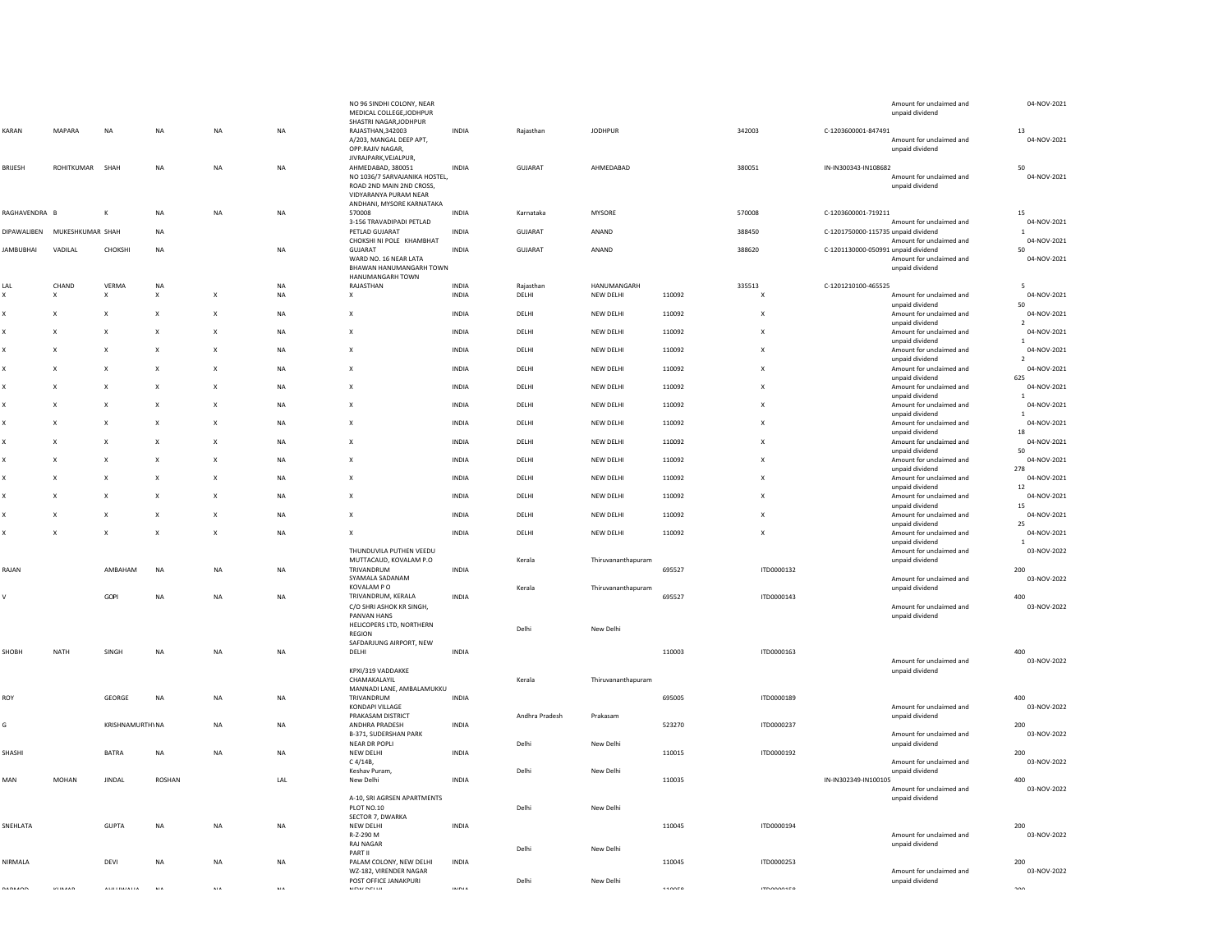|                  |                              |                           |                           |                           |            | NO 96 SINDHI COLONY, NEAR<br>MEDICAL COLLEGE, JODHPUR<br>SHASTRI NAGAR, JODHPUR                         |              |                |                    |        |                           | Amount for unclaimed and<br>unpaid dividend                                        | 04-NOV-2021                   |
|------------------|------------------------------|---------------------------|---------------------------|---------------------------|------------|---------------------------------------------------------------------------------------------------------|--------------|----------------|--------------------|--------|---------------------------|------------------------------------------------------------------------------------|-------------------------------|
| KARAN            | MAPARA                       | <b>NA</b>                 | <b>NA</b>                 | <b>NA</b>                 | <b>NA</b>  | RAJASTHAN, 342003<br>A/203, MANGAL DEEP APT,<br>OPP.RAJIV NAGAR,<br>JIVRAJPARK, VEJALPUR,               | <b>INDIA</b> | Rajasthan      | <b>IODHPUR</b>     |        | 342003                    | C-1203600001-847491<br>Amount for unclaimed and<br>unpaid dividend                 | 13<br>04-NOV-2021             |
| <b>BRIJESH</b>   | ROHITKUMAR SHAH              |                           | <b>NA</b>                 | <b>NA</b>                 | <b>NA</b>  | AHMEDABAD, 380051<br>NO 1036/7 SARVAJANIKA HOSTEL,<br>ROAD 2ND MAIN 2ND CROSS,<br>VIDYARANYA PURAM NEAR | <b>INDIA</b> | GUJARAT        | AHMEDABAD          |        | 380051                    | IN-IN300343-IN108682<br>Amount for unclaimed and<br>unpaid dividend                | 50<br>04-NOV-2021             |
| RAGHAVENDRA B    |                              | К                         | <b>NA</b>                 | <b>NA</b>                 | <b>NA</b>  | ANDHANI, MYSORE KARNATAKA<br>570008                                                                     | <b>INDIA</b> | Karnataka      | <b>MYSORE</b>      |        | 570008                    | C-1203600001-719211                                                                | 15                            |
|                  | DIPAWALIBEN MUKESHKUMAR SHAH |                           | NA                        |                           |            | 3-156 TRAVADIPADI PETLAD<br>PETLAD GUJARAT                                                              | INDIA        | GUJARAT        | ANAND              |        | 388450                    | Amount for unclaimed and<br>C-1201750000-115735 unpaid dividend                    | 04-NOV-2021<br>1              |
|                  |                              |                           |                           |                           |            | CHOKSHI NI POLE KHAMBHAT                                                                                |              |                |                    |        |                           | Amount for unclaimed and                                                           | 04-NOV-2021                   |
| <b>JAMBUBHAI</b> | VADILAL                      | CHOKSHI                   | NA                        |                           | $\sf NA$   | GUJARAT<br>WARD NO. 16 NEAR LATA<br>BHAWAN HANUMANGARH TOWN<br>HANUMANGARH TOWN                         | INDIA        | GUJARAT        | ANAND              |        | 388620                    | C-1201130000-050991 unpaid dividend<br>Amount for unclaimed and<br>unpaid dividend | 50<br>04-NOV-2021             |
| LAL              | CHAND                        | VERMA                     | NA                        |                           | <b>NA</b>  | RAJASTHAN                                                                                               | <b>INDIA</b> | Rajasthan      | HANUMANGARH        |        | 335513                    | C-1201210100-465525                                                                | -5                            |
| X                | X                            | X                         | $\mathsf{x}$              | $\boldsymbol{\mathsf{x}}$ | $\sf NA$   | $\pmb{\chi}$                                                                                            | INDIA        | DELHI          | NEW DELHI          | 110092 | X                         | Amount for unclaimed and<br>unpaid dividend                                        | 04-NOV-2021<br>50             |
| X                | X                            | X                         | $\pmb{\times}$            | $\boldsymbol{\mathsf{X}}$ | NA         | $\boldsymbol{\mathsf{x}}$                                                                               | INDIA        | DELHI          | NEW DELHI          | 110092 | X                         | Amount for unclaimed and<br>unpaid dividend                                        | 04-NOV-2021<br>2              |
| x                | X                            | X                         | $\mathsf{x}$              | $\boldsymbol{\mathsf{x}}$ | NA         | $\boldsymbol{\mathsf{x}}$                                                                               | INDIA        | DELHI          | NEW DELHI          | 110092 | X                         | Amount for unclaimed and<br>unpaid dividend                                        | 04-NOV-2021<br>$\mathbf{1}$   |
| X                | $\boldsymbol{\mathsf{x}}$    | X                         | $\boldsymbol{\mathsf{x}}$ | $\pmb{\times}$            | <b>NA</b>  | $\boldsymbol{\mathsf{x}}$                                                                               | <b>INDIA</b> | DELHI          | <b>NEW DELHI</b>   | 110092 | X                         | Amount for unclaimed and                                                           | 04-NOV-2021                   |
| X                | X                            | X                         | $\mathsf{x}$              | $\boldsymbol{\mathsf{x}}$ | <b>NA</b>  | $\mathbf{x}$                                                                                            | <b>INDIA</b> | DELHI          | NFW DFI HI         | 110092 | $\mathsf{x}$              | unpaid dividend<br>Amount for unclaimed and                                        | 2<br>04-NOV-2021              |
| $\mathbf{x}$     | X                            | X                         | $\mathsf{x}$              | $\boldsymbol{\mathsf{x}}$ | <b>NA</b>  | $\mathbf{x}$                                                                                            | <b>INDIA</b> | DELHI          | NFW DFI HI         | 110092 | $\boldsymbol{\mathsf{x}}$ | unpaid dividend<br>Amount for unclaimed and                                        | 625<br>04-NOV-2021            |
|                  |                              |                           |                           |                           |            |                                                                                                         |              |                |                    |        |                           | unpaid dividend                                                                    |                               |
| x                | $\boldsymbol{\mathsf{x}}$    | $\boldsymbol{\mathsf{x}}$ | $\mathsf{x}$              | $\pmb{\times}$            | NA         | $\boldsymbol{\mathsf{x}}$                                                                               | INDIA        | DELHI          | NEW DELHI          | 110092 | X                         | Amount for unclaimed and<br>unpaid dividend                                        | 04-NOV-2021<br>$\mathbf{1}$   |
| $\mathbf{x}$     | $\boldsymbol{\mathsf{x}}$    | X                         | $\boldsymbol{\mathsf{x}}$ | $\pmb{\times}$            | NA         | $\boldsymbol{\mathsf{x}}$                                                                               | INDIA        | DELHI          | NEW DELHI          | 110092 | $\boldsymbol{\mathsf{x}}$ | Amount for unclaimed and<br>unpaid dividend                                        | 04-NOV-2021<br>18             |
| x                | X                            | X                         | $\boldsymbol{\mathsf{X}}$ | X                         | NA         | $\boldsymbol{\mathsf{x}}$                                                                               | INDIA        | DELHI          | NEW DELHI          | 110092 | $\boldsymbol{\mathsf{x}}$ | Amount for unclaimed and                                                           | 04-NOV-2021                   |
| x                | $\boldsymbol{\mathsf{x}}$    | X                         | $\mathsf{x}$              | $\boldsymbol{\mathsf{x}}$ | <b>NA</b>  | $\boldsymbol{\mathsf{x}}$                                                                               | <b>INDIA</b> | DELHI          | NEW DELHI          | 110092 | $\boldsymbol{\mathsf{x}}$ | unpaid dividend<br>Amount for unclaimed and                                        | 50<br>04-NOV-2021             |
| X                | $\boldsymbol{\mathsf{x}}$    | $\boldsymbol{\mathsf{x}}$ | $\boldsymbol{\mathsf{x}}$ | $\mathsf{x}$              | <b>NA</b>  | $\boldsymbol{\mathsf{x}}$                                                                               | <b>INDIA</b> | DELHI          | <b>NEW DELHI</b>   | 110092 | $\boldsymbol{\mathsf{x}}$ | unpaid dividend<br>Amount for unclaimed and                                        | 278<br>04-NOV-2021            |
| x                | X                            | X                         | $\mathsf{x}$              | $\boldsymbol{\mathsf{x}}$ | <b>NA</b>  | $\mathbf{x}$                                                                                            | <b>INDIA</b> | DELHI          | NFW DFI HI         | 110092 | $\boldsymbol{\mathsf{x}}$ | unpaid dividend<br>Amount for unclaimed and                                        | 12<br>04-NOV-2021             |
|                  |                              |                           |                           |                           |            |                                                                                                         |              |                |                    |        |                           | unpaid dividend                                                                    | 15                            |
| x                | $\boldsymbol{\mathsf{x}}$    | $\boldsymbol{\mathsf{x}}$ | $\mathsf{x}$              | $\mathsf{x}$              | <b>NA</b>  | $\boldsymbol{\mathsf{x}}$                                                                               | <b>INDIA</b> | DELHI          | NEW DELHI          | 110092 | $\boldsymbol{\mathsf{x}}$ | Amount for unclaimed and<br>unpaid dividend                                        | 04-NOV-2021<br>25             |
| X                | $\boldsymbol{\mathsf{x}}$    | $\boldsymbol{\mathsf{x}}$ | $\boldsymbol{\mathsf{x}}$ | $\boldsymbol{\mathsf{x}}$ | <b>NA</b>  | $\times$                                                                                                | <b>INDIA</b> | DELHI          | NEW DELHI          | 110092 | $\boldsymbol{\mathsf{x}}$ | Amount for unclaimed and<br>unpaid dividend                                        | 04-NOV-2021<br>$\overline{1}$ |
|                  |                              |                           |                           |                           |            | THUNDUVILA PUTHEN VEEDU                                                                                 |              |                |                    |        |                           | Amount for unclaimed and                                                           | 03-NOV-2022                   |
| RAJAN            |                              | AMBAHAM                   | NA                        | <b>NA</b>                 | NA         | MUTTACAUD, KOVALAM P.O<br>TRIVANDRUM                                                                    | <b>INDIA</b> | Kerala         | Thiruvananthapuram | 695527 | ITD0000132                | unpaid dividend                                                                    | 200                           |
|                  |                              |                           |                           |                           |            | SYAMALA SADANAM<br>KOVALAM P O                                                                          |              | Kerala         | Thiruvananthapuram |        |                           | Amount for unclaimed and<br>unpaid dividend                                        | 03-NOV-2022                   |
| V                |                              | GOPI                      | <b>NA</b>                 | <b>NA</b>                 | NA         | TRIVANDRUM, KERALA                                                                                      | <b>INDIA</b> |                |                    | 695527 | ITD0000143                |                                                                                    | 400                           |
|                  |                              |                           |                           |                           |            | C/O SHRI ASHOK KR SINGH,<br>PANVAN HANS                                                                 |              |                |                    |        |                           | Amount for unclaimed and<br>unpaid dividend                                        | 03-NOV-2022                   |
|                  |                              |                           |                           |                           |            | HELICOPERS LTD, NORTHERN<br>REGION                                                                      |              | Delhi          | New Delhi          |        |                           |                                                                                    |                               |
| SHOBH            | NATH                         | SINGH                     | <b>NA</b>                 | <b>NA</b>                 | NA         | SAFDARJUNG AIRPORT, NEW<br>DELHI                                                                        | <b>INDIA</b> |                |                    | 110003 | ITD0000163                |                                                                                    | 400                           |
|                  |                              |                           |                           |                           |            |                                                                                                         |              |                |                    |        |                           | Amount for unclaimed and                                                           | 03-NOV-2022                   |
|                  |                              |                           |                           |                           |            | KPXI/319 VADDAKKE<br>CHAMAKALAYIL                                                                       |              | Kerala         | Thiruvananthapuram |        |                           | unpaid dividend                                                                    |                               |
| ROY              |                              | GEORGE                    | NA                        | <b>NA</b>                 | NA         | MANNADI LANE, AMBALAMUKKU<br>TRIVANDRUM                                                                 | INDIA        |                |                    | 695005 | ITD0000189                |                                                                                    | 400                           |
|                  |                              |                           |                           |                           |            | KONDAPI VILLAGE<br>PRAKASAM DISTRICT                                                                    |              | Andhra Pradesh | Prakasam           |        |                           | Amount for unclaimed and<br>unpaid dividend                                        | 03-NOV-2022                   |
| G                |                              | <b>KRISHNAMURTHYNA</b>    |                           | <b>NA</b>                 | <b>NA</b>  | ANDHRA PRADESH                                                                                          | <b>INDIA</b> |                |                    | 523270 | ITD0000237                |                                                                                    | 200                           |
|                  |                              |                           |                           |                           |            | B-371, SUDERSHAN PARK<br>NEAR DR POPLI                                                                  |              | Delhi          | New Delhi          |        |                           | Amount for unclaimed and<br>unpaid dividend                                        | 03-NOV-2022                   |
| SHASHI           |                              | <b>BATRA</b>              | <b>NA</b>                 | <b>NA</b>                 | <b>NA</b>  | NEW DELHI<br>C 4/14B,                                                                                   | <b>INDIA</b> |                |                    | 110015 | ITD0000192                | Amount for unclaimed and                                                           | 200<br>03-NOV-2022            |
|                  |                              |                           |                           |                           |            | Keshav Puram                                                                                            |              | Delhi          | New Delhi          |        |                           | unpaid dividend                                                                    |                               |
| MAN              | MOHAN                        | <b>JINDAL</b>             | ROSHAN                    |                           | LAL        | New Delhi                                                                                               | INDIA        |                |                    | 110035 |                           | IN-IN302349-IN100105<br>Amount for unclaimed and                                   | 400<br>03-NOV-2022            |
|                  |                              |                           |                           |                           |            | A-10, SRI AGRSEN APARTMENTS<br>PLOT NO.10                                                               |              | Delhi          | New Delhi          |        |                           | unpaid dividend                                                                    |                               |
| SNEHLATA         |                              | <b>GUPTA</b>              | NA                        | <b>NA</b>                 | NA         | SECTOR 7, DWARKA<br>NEW DELHI                                                                           | INDIA        |                |                    | 110045 | ITD0000194                |                                                                                    | 200                           |
|                  |                              |                           |                           |                           |            | R-Z-290 M                                                                                               |              |                |                    |        |                           | Amount for unclaimed and                                                           | 03-NOV-2022                   |
|                  |                              |                           |                           |                           |            | <b>RAJ NAGAR</b><br>PART II                                                                             |              | Delhi          | New Delhi          |        |                           | unpaid dividend                                                                    |                               |
| NIRMALA          |                              | DEVI                      | <b>NA</b>                 | <b>NA</b>                 | <b>NA</b>  | PALAM COLONY, NEW DELHI<br>WZ-182, VIRENDER NAGAR                                                       | <b>INDIA</b> |                |                    | 110045 | ITD0000253                | Amount for unclaimed and                                                           | 200<br>03-NOV-2022            |
| 00000000         | <b>VIIMAAD</b>               | ALLI I BA/ALLA            | ALA                       | <b>AIA</b>                | <b>ALA</b> | POST OFFICE JANAKPURI<br>MEM/ NEI LII                                                                   | INIDIA       | Delhi          | New Delhi          | 110050 | <b>ITDADO1ER</b>          | unpaid dividend                                                                    | 200                           |
|                  |                              |                           |                           |                           |            |                                                                                                         |              |                |                    |        |                           |                                                                                    |                               |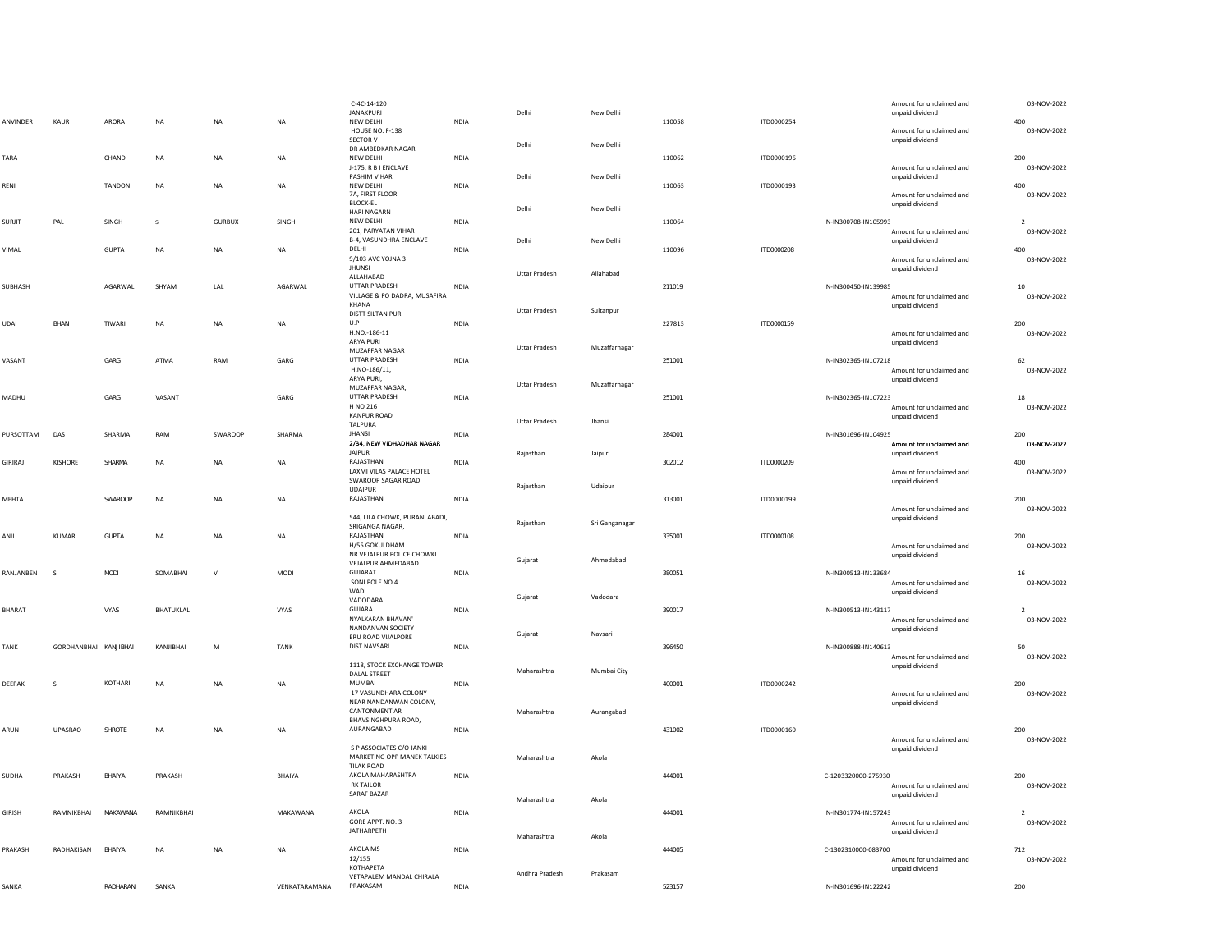|               |                       |               |                  |               |               | $C-4C-14-120$<br>JANAKPURI                        |              | Delhi                | New Delhi      |        |            | Amount for unclaimed and<br>unpaid dividend | 03-NOV-2022        |
|---------------|-----------------------|---------------|------------------|---------------|---------------|---------------------------------------------------|--------------|----------------------|----------------|--------|------------|---------------------------------------------|--------------------|
| ANVINDER      | KAUR                  | ARORA         | <b>NA</b>        | <b>NA</b>     | <b>NA</b>     | NEW DELHI<br>HOUSE NO. F-138<br>SECTOR V          | <b>INDIA</b> |                      |                | 110058 | ITD0000254 | Amount for unclaimed and<br>unpaid dividend | 400<br>03-NOV-2022 |
|               |                       |               |                  |               |               | DR AMBEDKAR NAGAR                                 |              | Delhi                | New Delhi      |        |            |                                             |                    |
| TARA          |                       | CHAND         | NA               | NA            | <b>NA</b>     | NEW DELHI<br>J-175, R B I ENCLAVE                 | <b>INDIA</b> |                      |                | 110062 | ITD0000196 | Amount for unclaimed and                    | 200<br>03-NOV-2022 |
|               |                       |               |                  |               |               | PASHIM VIHAR                                      |              | Delhi                | New Delhi      |        |            | unpaid dividend                             |                    |
| RENI          |                       | TANDON        | <b>NA</b>        | <b>NA</b>     | <b>NA</b>     | NEW DELHI                                         | <b>INDIA</b> |                      |                | 110063 | ITD0000193 |                                             | 400                |
|               |                       |               |                  |               |               | 7A, FIRST FLOOR<br><b>BLOCK-EL</b>                |              |                      |                |        |            | Amount for unclaimed and<br>unpaid dividend | 03-NOV-2022        |
|               |                       |               |                  |               |               | <b>HARI NAGARN</b>                                |              | Delhi                | New Delhi      |        |            |                                             |                    |
| SURJIT        | PAL                   | SINGH         |                  | <b>GURBUX</b> | SINGH         | NEW DELHI                                         | INDIA        |                      |                | 110064 |            | IN-IN300708-IN105993                        | $\overline{2}$     |
|               |                       |               |                  |               |               | 201, PARYATAN VIHAR<br>B-4, VASUNDHRA ENCLAVE     |              |                      |                |        |            | Amount for unclaimed and                    | 03-NOV-2022        |
| VIMAL         |                       | <b>GUPTA</b>  | <b>NA</b>        | <b>NA</b>     | <b>NA</b>     | DELHI                                             | <b>INDIA</b> | Delhi                | New Delhi      | 110096 | ITD0000208 | unpaid dividend                             | 400                |
|               |                       |               |                  |               |               | 9/103 AVC YOJNA 3                                 |              |                      |                |        |            | Amount for unclaimed and                    | 03-NOV-2022        |
|               |                       |               |                  |               |               | <b>JHUNSI</b><br>ALLAHABAD                        |              | Uttar Pradesh        | Allahabad      |        |            | unpaid dividend                             |                    |
| SUBHASH       |                       | AGARWAL       | SHYAM            | LAL           | AGARWAL       | UTTAR PRADESH                                     | INDIA        |                      |                | 211019 |            | IN-IN300450-IN139985                        | $10\,$             |
|               |                       |               |                  |               |               | VILLAGE & PO DADRA, MUSAFIRA                      |              |                      |                |        |            | Amount for unclaimed and                    | 03-NOV-2022        |
|               |                       |               |                  |               |               | KHANA<br><b>DISTT SILTAN PUR</b>                  |              | <b>Uttar Pradesh</b> | Sultanpur      |        |            | unpaid dividend                             |                    |
| UDAI          | BHAN                  | TIWARI        | NA               | NA            | $\sf NA$      | U.P                                               | INDIA        |                      |                | 227813 | ITD0000159 |                                             | 200                |
|               |                       |               |                  |               |               | H.NO.-186-11                                      |              |                      |                |        |            | Amount for unclaimed and                    | 03-NOV-2022        |
|               |                       |               |                  |               |               | ARYA PURI<br>MUZAFFAR NAGAR                       |              | <b>Uttar Pradesh</b> | Muzaffarnagar  |        |            | unpaid dividend                             |                    |
| VASANT        |                       | GARG          | ATMA             | RAM           | GARG          | UTTAR PRADESH                                     | INDIA        |                      |                | 251001 |            | IN-IN302365-IN107218                        | 62                 |
|               |                       |               |                  |               |               | H.NO-186/11,                                      |              |                      |                |        |            | Amount for unclaimed and                    | 03-NOV-2022        |
|               |                       |               |                  |               |               | ARYA PURI,<br>MUZAFFAR NAGAR,                     |              | <b>Uttar Pradesh</b> | Muzaffarnagar  |        |            | unpaid dividend                             |                    |
| MADHU         |                       | GARG          | VASANT           |               | GARG          | <b>UTTAR PRADESH</b>                              | <b>INDIA</b> |                      |                | 251001 |            | IN-IN302365-IN107223                        | 18                 |
|               |                       |               |                  |               |               | H NO 216<br><b>KANPUR ROAD</b>                    |              |                      |                |        |            | Amount for unclaimed and                    | 03-NOV-2022        |
|               |                       |               |                  |               |               | TALPURA                                           |              | <b>Uttar Pradesh</b> | Jhansi         |        |            | unpaid dividend                             |                    |
| PURSOTTAM     | DAS                   | SHARMA        | RAM              | SWAROOP       | SHARMA        | <b>IHANSI</b>                                     | INDIA        |                      |                | 284001 |            | IN-IN301696-IN104925                        | 200                |
|               |                       |               |                  |               |               | 2/34, NEW VIDHADHAR NAGAR<br><b>JAIPUR</b>        |              |                      |                |        |            | Amount for unclaimed and                    | 03-NOV-2022        |
| GIRIRAJ       | KISHORE               | SHARMA        | <b>NA</b>        | <b>NA</b>     | <b>NA</b>     | RAJASTHAN                                         | <b>INDIA</b> | Rajasthan            | Jaipur         | 302012 | ITD0000209 | unpaid dividend                             | 400                |
|               |                       |               |                  |               |               | LAXMI VILAS PALACE HOTEL                          |              |                      |                |        |            | Amount for unclaimed and                    | 03-NOV-2022        |
|               |                       |               |                  |               |               | SWAROOP SAGAR ROAD<br><b>UDAIPUR</b>              |              | Rajasthan            | Udaipur        |        |            | unpaid dividend                             |                    |
| MEHTA         |                       | SWAROOP       | NA               | NA            | NA            | RAJASTHAN                                         | <b>INDIA</b> |                      |                | 313001 | ITD0000199 |                                             | 200                |
|               |                       |               |                  |               |               |                                                   |              |                      |                |        |            | Amount for unclaimed and                    | 03-NOV-2022        |
|               |                       |               |                  |               |               | 544, LILA CHOWK, PURANI ABADI,<br>SRIGANGA NAGAR, |              | Rajasthan            | Sri Ganganagar |        |            | unpaid dividend                             |                    |
| ANIL          | <b>KUMAR</b>          | <b>GUPTA</b>  | NA               | <b>NA</b>     | NA            | RAJASTHAN                                         | INDIA        |                      |                | 335001 | ITD0000108 |                                             | 200                |
|               |                       |               |                  |               |               | H/55 GOKULDHAM                                    |              |                      |                |        |            | Amount for unclaimed and                    | 03-NOV-2022        |
|               |                       |               |                  |               |               | NR VEJALPUR POLICE CHOWKI<br>VEJALPUR AHMEDABAD   |              | Gujarat              | Ahmedabad      |        |            | unpaid dividend                             |                    |
| RANJANBEN     | <sub>S</sub>          | <b>MODI</b>   | SOMABHAI         | $\vee$        | MODI          | GUJARAT                                           | <b>INDIA</b> |                      |                | 380051 |            | IN-IN300513-IN133684                        | 16                 |
|               |                       |               |                  |               |               | SONI POLE NO 4<br>WADI                            |              |                      |                |        |            | Amount for unclaimed and                    | 03-NOV-2022        |
|               |                       |               |                  |               |               | VADODARA                                          |              | Gujarat              | Vadodara       |        |            | unpaid dividend                             |                    |
| <b>BHARAT</b> |                       | VYAS          | <b>BHATUKLAL</b> |               | VYAS          | GUJARA                                            | <b>INDIA</b> |                      |                | 390017 |            | IN-IN300513-IN143117                        |                    |
|               |                       |               |                  |               |               | NYALKARAN BHAVAN'<br>NANDANVAN SOCIETY            |              |                      |                |        |            | Amount for unclaimed and<br>unpaid dividend | 03-NOV-2022        |
|               |                       |               |                  |               |               | ERU ROAD VIJALPORE                                |              | Gujarat              | Navsari        |        |            |                                             |                    |
| <b>TANK</b>   | GORDHANBHAI KANJIBHAI |               | KANJIBHAI        | M             | <b>TANK</b>   | <b>DIST NAVSARI</b>                               | <b>INDIA</b> |                      |                | 396450 |            | IN-IN300888-IN140613                        | 50                 |
|               |                       |               |                  |               |               | 1118, STOCK EXCHANGE TOWER                        |              |                      |                |        |            | Amount for unclaimed and<br>unpaid dividend | 03-NOV-2022        |
|               |                       |               |                  |               |               | DALAL STREET                                      |              | Maharashtra          | Mumbai City    |        |            |                                             |                    |
| DEEPAK        | s                     | KOTHARI       | <b>NA</b>        | <b>NA</b>     | <b>NA</b>     | MUMBAI                                            | <b>INDIA</b> |                      |                | 400001 | ITD0000242 |                                             | 200                |
|               |                       |               |                  |               |               | 17 VASUNDHARA COLONY<br>NEAR NANDANWAN COLONY,    |              |                      |                |        |            | Amount for unclaimed and<br>unpaid dividend | 03-NOV-2022        |
|               |                       |               |                  |               |               | <b>CANTONMENT AR</b>                              |              | Maharashtra          | Aurangabad     |        |            |                                             |                    |
| ARUN          | <b>UPASRAO</b>        | SHROTE        | NA               | <b>NA</b>     | NA            | BHAVSINGHPURA ROAD,<br>AURANGABAD                 | <b>INDIA</b> |                      |                | 431002 | ITD0000160 |                                             | 200                |
|               |                       |               |                  |               |               |                                                   |              |                      |                |        |            | Amount for unclaimed and                    | 03-NOV-2022        |
|               |                       |               |                  |               |               | S P ASSOCIATES C/O JANKI                          |              |                      |                |        |            | unpaid dividend                             |                    |
|               |                       |               |                  |               |               | MARKETING OPP MANEK TALKIES<br><b>TILAK ROAD</b>  |              | Maharashtra          | Akola          |        |            |                                             |                    |
| SUDHA         | PRAKASH               | BHAIYA        | PRAKASH          |               | BHAIYA        | AKOLA MAHARASHTRA                                 | INDIA        |                      |                | 444001 |            | C-1203320000-275930                         | 200                |
|               |                       |               |                  |               |               | <b>RK TAILOR</b>                                  |              |                      |                |        |            | Amount for unclaimed and                    | 03-NOV-2022        |
|               |                       |               |                  |               |               | SARAF BAZAR                                       |              | Maharashtra          | Akola          |        |            | unpaid dividend                             |                    |
| <b>GIRISH</b> | RAMNIKBHAI            | MAKAWANA      | RAMNIKBHAI       |               | MAKAWANA      | AKOLA                                             | INDIA        |                      |                | 444001 |            | IN-IN301774-IN157243                        | $\overline{2}$     |
|               |                       |               |                  |               |               | GORE APPT. NO. 3<br><b>JATHARPETH</b>             |              |                      |                |        |            | Amount for unclaimed and                    | 03-NOV-2022        |
|               |                       |               |                  |               |               |                                                   |              | Maharashtra          | Akola          |        |            | unpaid dividend                             |                    |
| PRAKASH       | RADHAKISAN            | <b>BHAIYA</b> | <b>NA</b>        | <b>NA</b>     | <b>NA</b>     | AKOLA MS                                          | <b>INDIA</b> |                      |                | 444005 |            | C-1302310000-083700                         | 712                |
|               |                       |               |                  |               |               | 12/155<br>КОТНАРЕТА                               |              |                      |                |        |            | Amount for unclaimed and<br>unpaid dividend | 03-NOV-2022        |
|               |                       |               |                  |               |               | VETAPALEM MANDAL CHIRALA                          |              | Andhra Pradesh       | Prakasam       |        |            |                                             |                    |
| SANKA         |                       | RADHARANI     | SANKA            |               | VENKATARAMANA | PRAKASAM                                          | <b>INDIA</b> |                      |                | 523157 |            | IN-IN301696-IN122242                        | 200                |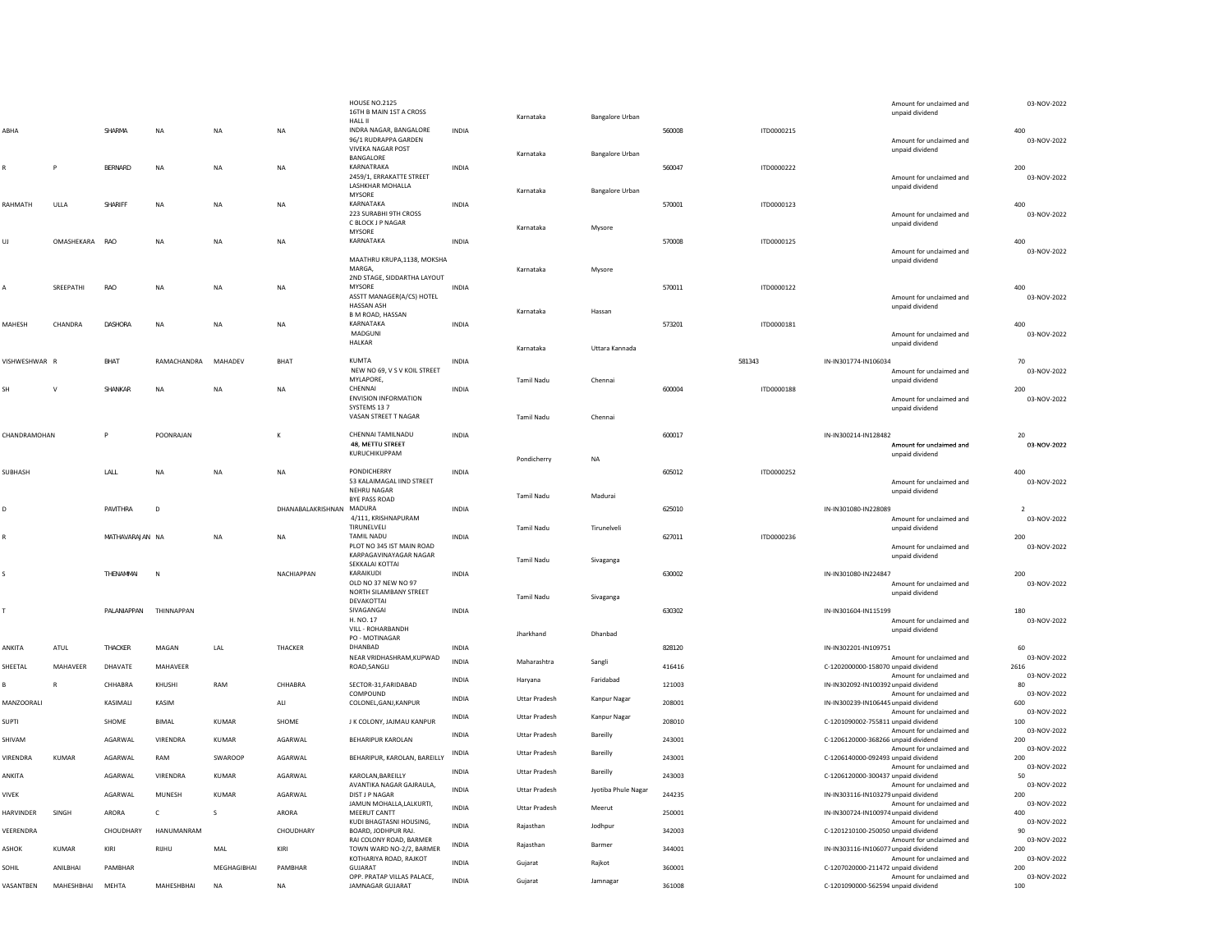|              |                |                 |              |              |                          | <b>HOUSE NO.2125</b><br>16TH B MAIN 1ST A CROSS<br><b>HALL II</b> |              | Karnataka            | Bangalore Urban        |        |                   | Amount for unclaimed and<br>unpaid dividend                                                  | 03-NOV-2022                      |
|--------------|----------------|-----------------|--------------|--------------|--------------------------|-------------------------------------------------------------------|--------------|----------------------|------------------------|--------|-------------------|----------------------------------------------------------------------------------------------|----------------------------------|
| ABHA         |                | SHARMA          | <b>NA</b>    | NA           | <b>NA</b>                | INDRA NAGAR, BANGALORE<br>96/1 RUDRAPPA GARDEN                    | <b>INDIA</b> |                      |                        | 560008 | ITD0000215        | Amount for unclaimed and                                                                     | 400<br>03-NOV-2022               |
|              |                |                 |              |              |                          | <b>VIVEKA NAGAR POST</b><br>BANGALORE                             |              | Karnataka            | Bangalore Urban        |        |                   | unpaid dividend                                                                              |                                  |
|              | P              | BERNARD         | <b>NA</b>    | <b>NA</b>    | <b>NA</b>                | KARNATRAKA<br>2459/1, ERRAKATTE STREET<br>LASHKHAR MOHALLA        | <b>INDIA</b> | Karnataka            |                        | 560047 | ITD0000222        | Amount for unclaimed and<br>unpaid dividend                                                  | 200<br>03-NOV-2022               |
| RAHMATH      | ULLA           | SHARIFF         | NA           | NA           | $_{\sf NA}$              | MYSORE<br>KARNATAKA                                               | INDIA        |                      | <b>Bangalore Urban</b> | 570001 | ITD0000123        |                                                                                              | 400                              |
|              |                |                 |              |              |                          | 223 SURABHI 9TH CROSS<br>C BLOCK J P NAGAR<br>MYSORE              |              | Karnataka            | Mysore                 |        |                   | Amount for unclaimed and<br>unpaid dividend                                                  | 03-NOV-2022                      |
| UJ           | OMASHEKARA     | RAO             | NA           | NA           | $\sf NA$                 | KARNATAKA                                                         | INDIA        |                      |                        | 570008 | ITD0000125        | Amount for unclaimed and                                                                     | 400<br>03-NOV-2022               |
|              |                |                 |              |              |                          | MAATHRU KRUPA,1138, MOKSHA<br>MARGA,                              |              | Karnataka            | Mysore                 |        |                   | unpaid dividend                                                                              |                                  |
|              |                |                 |              |              |                          | 2ND STAGE, SIDDARTHA LAYOUT                                       |              |                      |                        |        |                   |                                                                                              |                                  |
|              | SREEPATHI      | RAO             | <b>NA</b>    | <b>NA</b>    | <b>NA</b>                | MYSORE<br>ASSTT MANAGER(A/CS) HOTEL<br>HASSAN ASH                 | <b>INDIA</b> |                      |                        | 570011 | ITD0000122        | Amount for unclaimed and<br>unpaid dividend                                                  | 400<br>03-NOV-2022               |
|              |                |                 |              |              |                          | <b>B M ROAD, HASSAN</b>                                           |              | Karnataka            | Hassan                 |        |                   |                                                                                              |                                  |
| MAHESH       | CHANDRA        | <b>DASHORA</b>  | <b>NA</b>    | <b>NA</b>    | NA                       | KARNATAKA<br>MADGUNI<br>HALKAR                                    | INDIA        |                      |                        | 573201 | ITD0000181        | Amount for unclaimed and<br>unpaid dividend                                                  | 400<br>03-NOV-2022               |
|              |                |                 |              |              |                          |                                                                   |              | Karnataka            | Uttara Kannada         |        |                   |                                                                                              |                                  |
| VISHWESHWAR  | $\overline{R}$ | BHAT            | RAMACHANDRA  | MAHADEV      | BHAT                     | KUMTA<br>NEW NO 69, V S V KOIL STREET                             | INDIA        |                      |                        |        | 581343            | IN-IN301774-IN106034                                                                         | $70\,$<br>03-NOV-2022            |
|              |                |                 |              |              |                          | MYLAPORE,                                                         |              | <b>Tamil Nadu</b>    | Chennai                |        |                   | Amount for unclaimed and<br>unpaid dividend                                                  |                                  |
| <b>SH</b>    | $\vee$         | SHANKAR         | <b>NA</b>    | <b>NA</b>    | <b>NA</b>                | CHENNAI<br><b>ENVISION INFORMATION</b><br>SYSTEMS 13 7            | <b>INDIA</b> |                      |                        | 600004 | <b>ITD0000188</b> | Amount for unclaimed and<br>unpaid dividend                                                  | 200<br>03-NOV-2022               |
|              |                |                 |              |              |                          | VASAN STREET T NAGAR                                              |              | <b>Tamil Nadu</b>    | Chennai                |        |                   |                                                                                              |                                  |
| CHANDRAMOHAN |                | P               | POONRAJAN    |              | К                        | CHENNAI TAMILNADU                                                 | INDIA        |                      |                        | 600017 |                   | IN-IN300214-IN128482                                                                         | 20                               |
|              |                |                 |              |              |                          | 48, METTU STREET<br>KURUCHIKUPPAM                                 |              | Pondicherry          | <b>NA</b>              |        |                   | Amount for unclaimed and<br>unpaid dividend                                                  | 03-NOV-2022                      |
| SUBHASH      |                | LALL            | <b>NA</b>    | <b>NA</b>    | <b>NA</b>                | <b>PONDICHERRY</b>                                                | <b>INDIA</b> |                      |                        | 605012 | ITD0000252        |                                                                                              | 400                              |
|              |                |                 |              |              |                          | 53 KALAIMAGAL IIND STREET<br><b>NEHRU NAGAR</b><br>BYE PASS ROAD  |              | <b>Tamil Nadu</b>    | Madurai                |        |                   | Amount for unclaimed and<br>unpaid dividend                                                  | 03-NOV-2022                      |
|              |                | PAVITHRA        | D            |              | DHANABALAKRISHNAN MADURA |                                                                   | <b>INDIA</b> |                      |                        | 625010 |                   | IN-IN301080-IN228089                                                                         |                                  |
|              |                |                 |              |              |                          | 4/111, KRISHNAPURAM<br>TIRUNELVELI                                |              | <b>Tamil Nadu</b>    | Tirunelveli            |        |                   | Amount for unclaimed and                                                                     | 03-NOV-2022                      |
|              |                | MATHAVARAJAN NA |              | <b>NA</b>    | <b>NA</b>                | <b>TAMIL NADU</b><br>PLOT NO 345 IST MAIN ROAD                    | INDIA        |                      |                        | 627011 | ITD0000236        | unpaid dividend<br>Amount for unclaimed and                                                  | 200<br>03-NOV-2022               |
|              |                |                 |              |              |                          | KARPAGAVINAYAGAR NAGAR<br>SEKKALAI KOTTAI                         |              | <b>Tamil Nadu</b>    | Sivaganga              |        |                   | unpaid dividend                                                                              |                                  |
|              |                | THENAMMAI       | N            |              | NACHIAPPAN               | KARAIKUDI<br>OLD NO 37 NEW NO 97<br>NORTH SILAMBANY STREET        | <b>INDIA</b> |                      |                        | 630002 |                   | IN-IN301080-IN224847<br>Amount for unclaimed and<br>unpaid dividend                          | 200<br>03-NOV-2022               |
|              |                |                 |              |              |                          | DEVAKOTTAI                                                        |              | <b>Tamil Nadu</b>    | Sivaganga              |        |                   |                                                                                              |                                  |
|              |                | PALANIAPPAN     | THINNAPPAN   |              |                          | SIVAGANGAI<br>H. NO. 17                                           | INDIA        |                      |                        | 630302 |                   | IN-IN301604-IN115199<br>Amount for unclaimed and                                             | 180<br>03-NOV-2022               |
|              |                |                 |              |              |                          | VILL - ROHARBANDH<br>PO - MOTINAGAR                               |              | Jharkhand            | Dhanbad                |        |                   | unpaid dividend                                                                              |                                  |
| ANKITA       | ATUL           | THACKER         | MAGAN        | LAL          | THACKER                  | DHANBAD<br>NEAR VRIDHASHRAM, KUPWAD                               | INDIA        |                      |                        | 828120 |                   | IN-IN302201-IN109751<br>Amount for unclaimed and                                             | 60<br>03-NOV-2022                |
| SHEETAL      | MAHAVEER       | DHAVATE         | MAHAVEER     |              |                          | ROAD, SANGLI                                                      | INDIA        | Maharashtra          | Sangli                 | 416416 |                   | C-1202000000-158070 unpaid dividend                                                          | 2616                             |
|              | ${\sf R}$      | CHHABRA         | KHUSHI       | RAM          | CHHABRA                  | SECTOR-31, FARIDABAD<br>COMPOUND                                  | <b>INDIA</b> | Haryana              | Faridabad              | 121003 |                   | Amount for unclaimed and<br>IN-IN302092-IN100392 unpaid dividend<br>Amount for unclaimed and | 03-NOV-2022<br>80<br>03-NOV-2022 |
| MANZOORALI   |                | KASIMALI        | KASIM        |              | $\mathsf{ALL}$           | COLONEL, GANJ, KANPUR                                             | INDIA        | <b>Uttar Pradesh</b> | Kanpur Nagar           | 208001 |                   | IN-IN300239-IN106445 unpaid dividend                                                         | 600                              |
| <b>SUPTI</b> |                | SHOME           | <b>BIMAI</b> | KUMAR        | SHOME                    | J K COLONY, JAJMAU KANPUR                                         | INDIA        | <b>Uttar Pradesh</b> | Kanpur Nagar           | 208010 |                   | Amount for unclaimed and<br>C-1201090002-755811 unpaid dividend                              | 03-NOV-2022<br>100               |
| SHIVAM       |                | AGARWAL         | VIRENDRA     | <b>KUMAR</b> | AGARWAL                  | <b>BEHARIPUR KAROLAN</b>                                          | <b>INDIA</b> | <b>Uttar Pradesh</b> | Bareilly               | 243001 |                   | Amount for unclaimed and<br>C-1206120000-368266 unpaid dividend                              | 03-NOV-2022<br>200               |
| VIRENDRA     | <b>KUMAR</b>   | AGARWAL         | RAM          | SWAROOP      | AGARWAL                  | BEHARIPUR, KAROLAN, BAREILLY                                      | INDIA        | <b>Uttar Pradesh</b> | Bareilly               | 243001 |                   | Amount for unclaimed and<br>C-1206140000-092493 unpaid dividend                              | 03-NOV-2022<br>200               |
| ANKITA       |                | AGARWAL         | VIRENDRA     | <b>KUMAR</b> | AGARWAL                  | KAROLAN, BAREILLY                                                 | <b>INDIA</b> | <b>Uttar Pradesh</b> | Bareilly               | 243003 |                   | Amount for unclaimed and<br>C-1206120000-300437 unpaid dividend                              | 03-NOV-2022<br>50                |
| <b>VIVEK</b> |                | AGARWAL         | MUNESH       | <b>KUMAR</b> | AGARWAL                  | AVANTIKA NAGAR GAJRAULA,<br><b>DIST J P NAGAR</b>                 | INDIA        | <b>Uttar Pradesh</b> | Jyotiba Phule Nagar    | 244235 |                   | Amount for unclaimed and<br>IN-IN303116-IN103279 unpaid dividend                             | 03-NOV-2022<br>200               |
| HARVINDER    | SINGH          | ARORA           | $\mathsf{C}$ | s            | ARORA                    | JAMUN MOHALLA, LALKURTI,<br>MEERUT CANTT                          | INDIA        | <b>Uttar Pradesh</b> | Meerut                 | 250001 |                   | Amount for unclaimed and<br>IN-IN300724-IN100974 unpaid dividend                             | 03-NOV-2022<br>400               |
| VEERENDRA    |                | CHOUDHARY       | HANUMANRAM   |              | CHOUDHARY                | KUDI BHAGTASNI HOUSING,<br>BOARD, JODHPUR RAJ.                    | <b>INDIA</b> | Rajasthan            | Jodhpur                | 342003 |                   | Amount for unclaimed and<br>C-1201210100-250050 unpaid dividend                              | 03-NOV-2022<br>90                |
| ASHOK        | KUMAR          | KIRI            | <b>RIJHU</b> | MAI          | KIRI                     | RAI COLONY ROAD, BARMER<br>TOWN WARD NO-2/2, BARMER               | INDIA        | Rajasthan            | Barmer                 | 344001 |                   | Amount for unclaimed and<br>IN-IN303116-IN106077 unpaid dividend                             | 03-NOV-2022<br>200               |
| SOHIL        | ANILBHAI       | PAMBHAR         |              | MEGHAGIBHAI  | PAMBHAR                  | KOTHARIYA ROAD, RAJKOT<br><b>GUJARAT</b>                          | INDIA        | Gujarat              | Rajkot                 | 360001 |                   | Amount for unclaimed and<br>C-1207020000-211472 unpaid dividend                              | 03-NOV-2022<br>200               |
| VASANTBEN    | MAHESHBHAI     | MEHTA           | MAHESHBHAI   | <b>NA</b>    | <b>NA</b>                | OPP. PRATAP VILLAS PALACE,<br>JAMNAGAR GUJARAT                    | <b>INDIA</b> | Gujarat              | Jamnagar               | 361008 |                   | Amount for unclaimed and<br>C-1201090000-562594 unpaid dividend                              | 03-NOV-2022<br>100               |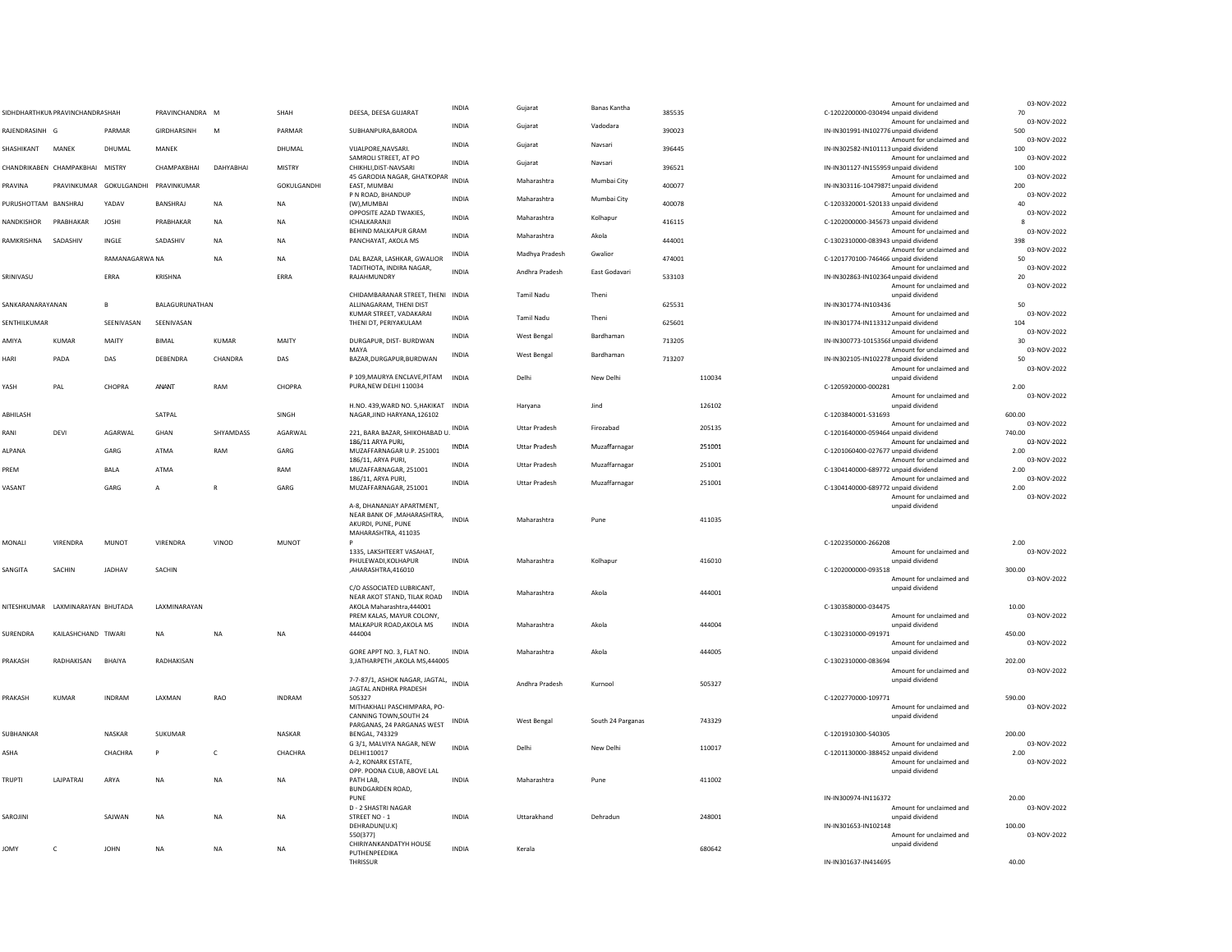|                      |                                 |                |                       |             |              |                                                             |              |                      |                     |        |        | Amount for unclaimed and                                         | 03-NOV-2022           |
|----------------------|---------------------------------|----------------|-----------------------|-------------|--------------|-------------------------------------------------------------|--------------|----------------------|---------------------|--------|--------|------------------------------------------------------------------|-----------------------|
|                      | SIDHDHARTHKUN PRAVINCHANDRASHAH |                | PRAVINCHANDRA M       |             | SHAH         | DEESA, DEESA GUJARAT                                        | <b>INDIA</b> | Gujarat              | <b>Banas Kantha</b> | 385535 |        | C-1202200000-030494 unpaid dividend                              | 70                    |
| RAJENDRASINH G       |                                 | PARMAR         | <b>GIRDHARSINH</b>    | M           | PARMAR       | SUBHANPURA.BARODA                                           | <b>INDIA</b> | Gujarat              | Vadodara            | 390023 |        | Amount for unclaimed and<br>IN-IN301991-IN102776 unpaid dividend | 03-NOV-2022<br>500    |
|                      |                                 |                |                       |             |              |                                                             | <b>INDIA</b> | Gujarat              | Navsari             |        |        | Amount for unclaimed and                                         | 03-NOV-2022           |
| SHASHIKANT           | MANEK                           | DHUMAL         | MANEK                 |             | DHUMAL       | VIJALPORE, NAVSARI.<br>SAMROLI STREET, AT PO                | <b>INDIA</b> |                      |                     | 396445 |        | IN-IN302582-IN101113 unpaid dividend<br>Amount for unclaimed and | 100<br>03-NOV-2022    |
|                      | CHANDRIKABEN CHAMPAKBHAI MISTRY |                | CHAMPAKBHAI           | DAHYABHAI   | MISTRY       | CHIKHLI, DIST-NAVSARI<br>45 GARODIA NAGAR, GHATKOPAR        |              | Gujarat              | Navsari             | 396521 |        | IN-IN301127-IN155959 unpaid dividend<br>Amount for unclaimed and | 100<br>03-NOV-2022    |
| <b>RAVINA</b>        | PRAVINKUMAR GOKULGANDHI         |                | PRAVINKUMAR           |             | GOKULGANDHI  | EAST. MUMBAI                                                | INDIA        | Maharashtra          | Mumbai City         | 400077 |        | IN-IN303116-10479875unpaid dividend                              | 200                   |
| PURUSHOTTAM BANSHRAJ |                                 | YADAV          | BANSHRAJ              | <b>NA</b>   | <b>NA</b>    | P N ROAD, BHANDUP<br>(W), MUMBAI                            | <b>INDIA</b> | Maharashtra          | Mumbai City         | 400078 |        | Amount for unclaimed and<br>C-1203320001-520133 unpaid dividend  | 03-NOV-2022<br>40     |
|                      |                                 |                |                       |             |              | OPPOSITE AZAD TWAKIES,                                      | <b>INDIA</b> | Maharashtra          | Kolhapur            |        |        | Amount for unclaimed and                                         | 03-NOV-2022           |
| NANDKISHOR           | PRABHAKAR                       | <b>JOSHI</b>   | PRABHAKAR             | <b>NA</b>   | <b>NA</b>    | ICHALKARANJI<br>BEHIND MALKAPUR GRAM                        |              |                      |                     | 416115 |        | C-1202000000-345673 unpaid dividend<br>Amount for unclaimed and  | я<br>03-NOV-2022      |
| RAMKRISHNA           | SADASHIV                        | INGLE          | SADASHIV              | <b>NA</b>   | <b>NA</b>    | PANCHAYAT, AKOLA MS                                         | <b>INDIA</b> | Maharashtra          | Akola               | 444001 |        | C-1302310000-083943 unpaid dividend                              | 398<br>03-NOV-2022    |
|                      |                                 | RAMANAGARWA NA |                       | <b>NA</b>   | <b>NA</b>    | DAL BAZAR, LASHKAR, GWALIOR                                 | INDIA        | Madhya Pradesh       | Gwalior             | 474001 |        | Amount for unclaimed and<br>C-1201770100-746466 unpaid dividend  | 50                    |
| SRINIVASU            |                                 | FRRA           | <b>KRISHNA</b>        |             | FRRA         | TADITHOTA, INDIRA NAGAR,<br>RAJAHMUNDRY                     | <b>INDIA</b> | Andhra Pradesh       | East Godavari       | 533103 |        | Amount for unclaimed and<br>IN-IN302863-IN102364 unpaid dividend | 03-NOV-2022<br>$20\,$ |
|                      |                                 |                |                       |             |              |                                                             |              |                      |                     |        |        | Amount for unclaimed and                                         | 03-NOV-2022           |
| SANKARANARAYANAN     |                                 | $\mathbf{B}$   | <b>BALAGURUNATHAN</b> |             |              | CHIDAMBARANAR STREET, THENI INDIA<br>ALLINAGARAM, THENLDIST |              | <b>Tamil Nadu</b>    | Theni               | 625531 |        | unpaid dividend<br>IN-IN301774-IN103436                          | 50                    |
| <b>SENTHILKUMAR</b>  |                                 | SFFNIVASAN     | SFFNIVASAN            |             |              | KUMAR STREET, VADAKARAI                                     | INDIA        | <b>Tamil Nadu</b>    | Theni               | 625601 |        | Amount for unclaimed and                                         | 03-NOV-2022           |
|                      |                                 |                |                       |             |              | THENI DT, PERIYAKULAM                                       | <b>INDIA</b> | West Bengal          | Bardhaman           |        |        | IN-IN301774-IN113312 unpaid dividend<br>Amount for unclaimed and | 104<br>03-NOV-2022    |
| AMIYA                | KUMAR                           | MAITY          | BIMAL                 | KUMAR       | MAITY        | DURGAPUR, DIST- BURDWAN<br>MAYA                             |              |                      |                     | 713205 |        | IN-IN300773-10153568unpaid dividend<br>Amount for unclaimed and  | 30<br>03-NOV-2022     |
| <b>HARI</b>          | PADA                            | DAS            | DEBENDRA              | CHANDRA     | DAS          | BAZAR, DURGAPUR, BURDWAN                                    | INDIA        | <b>West Bengal</b>   | Bardhaman           | 713207 |        | IN-IN302105-IN102278 unpaid dividend                             | 50                    |
|                      |                                 |                |                       |             |              | P 109, MAURYA ENCLAVE, PITAM                                | <b>INDIA</b> | Delhi                | New Delhi           |        | 110034 | Amount for unclaimed and<br>unpaid dividend                      | 03-NOV-2022           |
| YASH                 | PAI                             | CHOPRA         | ANANT                 | RAM         | CHOPRA       | PURA, NEW DELHI 110034                                      |              |                      |                     |        |        | C-1205920000-000281                                              | 2.00                  |
|                      |                                 |                |                       |             |              | H.NO. 439, WARD NO. 5, HAKIKAT                              | INDIA        | Haryana              | Jind                |        | 126102 | Amount for unclaimed and<br>unpaid dividend                      | 03-NOV-2022           |
| ARHII ASH            |                                 |                | SATPAL                |             | <b>SINGH</b> | NAGAR, JIND HARYANA, 126102                                 |              |                      |                     |        |        | C-1203840001-531693                                              | 600.00                |
| RANI                 | DEVI                            | AGARWAI        | GHAN                  | SHYAMDASS   | AGARWAI      | 221, BARA BAZAR, SHIKOHABAD U.                              | INDIA        | <b>Uttar Pradesh</b> | Firozabad           |        | 205135 | Amount for unclaimed and<br>C-1201640000-059464 unpaid dividend  | 03-NOV-2022<br>740.00 |
| ALPANA               |                                 | GARG           | <b>ATMA</b>           | RAM         | GARG         | 186/11 ARYA PURI,<br>MUZAFFARNAGAR U.P. 251001              | <b>INDIA</b> | <b>Uttar Pradesh</b> | Muzaffarnagar       |        | 251001 | Amount for unclaimed and<br>C-1201060400-027677 unpaid dividend  | 03-NOV-2022<br>2.00   |
|                      |                                 |                |                       |             |              | 186/11, ARYA PURI,                                          | <b>INDIA</b> | <b>Uttar Pradesh</b> | Muzaffarnagar       |        | 251001 | Amount for unclaimed and                                         | 03-NOV-2022           |
| <b>REM</b>           |                                 | BALA           | <b>ATMA</b>           |             | RAM          | MUZAFFARNAGAR, 251001<br>186/11, ARYA PURI,                 |              |                      |                     |        |        | C-1304140000-689772 unpaid dividend<br>Amount for unclaimed and  | 2.00<br>03-NOV-2022   |
| /ASANT               |                                 | GARG           | Α                     | $\mathsf R$ | GARG         | MUZAFFARNAGAR, 251001                                       | <b>INDIA</b> | <b>Uttar Pradesh</b> | Muzaffarnagar       |        | 251001 | C-1304140000-689772 unpaid dividend                              | 2.00<br>03-NOV-2022   |
|                      |                                 |                |                       |             |              | A-8, DHANANJAY APARTMENT,                                   |              |                      |                     |        |        | Amount for unclaimed and<br>unpaid dividend                      |                       |
|                      |                                 |                |                       |             |              | NEAR BANK OF , MAHARASHTRA,<br>AKURDI, PUNE, PUNE           | <b>INDIA</b> | Maharashtra          | Pune                |        | 411035 |                                                                  |                       |
|                      |                                 |                |                       |             |              | MAHARASHTRA, 411035                                         |              |                      |                     |        |        |                                                                  |                       |
| MONALI               | VIRENDRA                        | MUNOT          | VIRENDRA              | VINOD       | MUNOT        | 1335, LAKSHTEERT VASAHAT,                                   |              |                      |                     |        |        | C-1202350000-266208<br>Amount for unclaimed and                  | 2.00<br>03-NOV-2022   |
| <b>SANGITA</b>       | SACHIN                          | JADHAV         | SACHIN                |             |              | PHULEWADI.KOLHAPUR<br>,AHARASHTRA,416010                    | <b>INDIA</b> | Maharashtra          | Kolhapu             |        | 416010 | unpaid dividend<br>C-1202000000-093518                           | 300.00                |
|                      |                                 |                |                       |             |              |                                                             |              |                      |                     |        |        | Amount for unclaimed and                                         | 03-NOV-2022           |
|                      |                                 |                |                       |             |              | C/O ASSOCIATED LUBRICANT,<br>NEAR AKOT STAND, TILAK ROAD    | <b>INDIA</b> | Maharashtra          | Akola               |        | 444001 | unpaid dividend                                                  |                       |
| NITESHKUMAR          | LAXMINARAYAN BHUTADA            |                | LAXMINARAYAN          |             |              | AKOLA Maharashtra.444001                                    |              |                      |                     |        |        | C-1303580000-034475                                              | 10.00                 |
|                      |                                 |                |                       |             |              | PREM KALAS, MAYUR COLONY,<br>MALKAPUR ROAD, AKOLA MS        | <b>INDIA</b> | Maharashtra          | Akola               |        | 444004 | Amount for unclaimed and<br>unpaid dividend                      | 03-NOV-2022           |
| SURENDRA             | KAILASHCHAND TIWARI             |                | <b>NA</b>             | NA          | <b>NA</b>    | 444004                                                      |              |                      |                     |        |        | C-1302310000-091971                                              | 450.00                |
|                      |                                 |                |                       |             |              | GORE APPT NO. 3, FLAT NO.                                   | <b>INDIA</b> | Maharashtra          | Akola               |        | 444005 | Amount for unclaimed and<br>unpaid dividend                      | 03-NOV-2022           |
| <b>RAKASH</b>        | RADHAKISAN                      | <b>BHAIYA</b>  | RADHAKISAN            |             |              | 3, JATHARPETH, AKOLA MS, 444005                             |              |                      |                     |        |        | C-1302310000-083694<br>Amount for unclaimed and                  | 202.00<br>03-NOV-2022 |
|                      |                                 |                |                       |             |              | 7-7-87/1, ASHOK NAGAR, JAGTAL,                              | <b>INDIA</b> | Andhra Pradesh       | Kurnool             |        | 505327 | unpaid dividend                                                  |                       |
| <b>RAKASH</b>        | <b>KUMAR</b>                    | INDRAM         | LAXMAN                | RAO         | INDRAM       | JAGTAL ANDHRA PRADESH<br>505327                             |              |                      |                     |        |        | C-1202770000-109771                                              | 590.00                |
|                      |                                 |                |                       |             |              | MITHAKHALI PASCHIMPARA, PO-<br>CANNING TOWN, SOUTH 24       |              |                      |                     |        |        | Amount for unclaimed and<br>unpaid dividend                      | 03-NOV-2022           |
|                      |                                 |                |                       |             |              | PARGANAS, 24 PARGANAS WEST                                  | INDIA        | West Bengal          | South 24 Parganas   |        | 743329 |                                                                  |                       |
| SUBHANKAR            |                                 | NASKAR         | SUKUMAR               |             | NASKAR       | BENGAL, 743329<br>G 3/1, MALVIYA NAGAR, NEW                 |              |                      |                     |        |        | C-1201910300-540305<br>Amount for unclaimed and                  | 200.00<br>03-NOV-2022 |
| ASHA                 |                                 | CHACHRA        | P                     | C           | CHACHRA      | DELHI110017                                                 | <b>INDIA</b> | Delhi                | New Delhi           |        | 110017 | C-1201130000-388452 unpaid dividend                              | 2.00                  |
|                      |                                 |                |                       |             |              | A-2, KONARK ESTATE,<br>OPP. POONA CLUB, ABOVE LAL           |              |                      |                     |        |        | Amount for unclaimed and<br>unpaid dividend                      | 03-NOV-2022           |
| <b>TRUPTI</b>        | LAJPATRAI                       | ARYA           | NA                    | <b>NA</b>   | <b>NA</b>    | PATH LAB,<br>BUNDGARDEN ROAD,                               | INDIA        | Maharashtra          | Pune                |        | 411002 |                                                                  |                       |
|                      |                                 |                |                       |             |              | PUNE                                                        |              |                      |                     |        |        | IN-IN300974-IN116372                                             | 20.00                 |
| <b>SAROJINI</b>      |                                 | SAJWAN         | <b>NA</b>             | <b>NA</b>   | <b>NA</b>    | D - 2 SHASTRI NAGAR<br>STREET NO - 1                        | <b>INDIA</b> | Uttarakhand          | Dehradun            |        | 248001 | Amount for unclaimed and<br>unpaid dividend                      | 03-NOV-2022           |
|                      |                                 |                |                       |             |              | DEHRADUN(U.K)                                               |              |                      |                     |        |        | IN-IN301653-IN102148                                             | 100.00                |
| <b>OMY</b>           | $\mathsf{C}$                    | <b>IOHN</b>    | <b>NA</b>             | <b>NA</b>   | <b>NA</b>    | 550(377)<br>CHIRIYANKANDATYH HOUSE                          | <b>INDIA</b> | Kerala               |                     |        | 680642 | Amount for unclaimed and<br>unpaid dividend                      | 03-NOV-2022           |
|                      |                                 |                |                       |             |              | PUTHENPEEDIKA                                               |              |                      |                     |        |        |                                                                  |                       |
|                      |                                 |                |                       |             |              | THRISSUR                                                    |              |                      |                     |        |        | IN-IN301637-IN414695                                             | 40.00                 |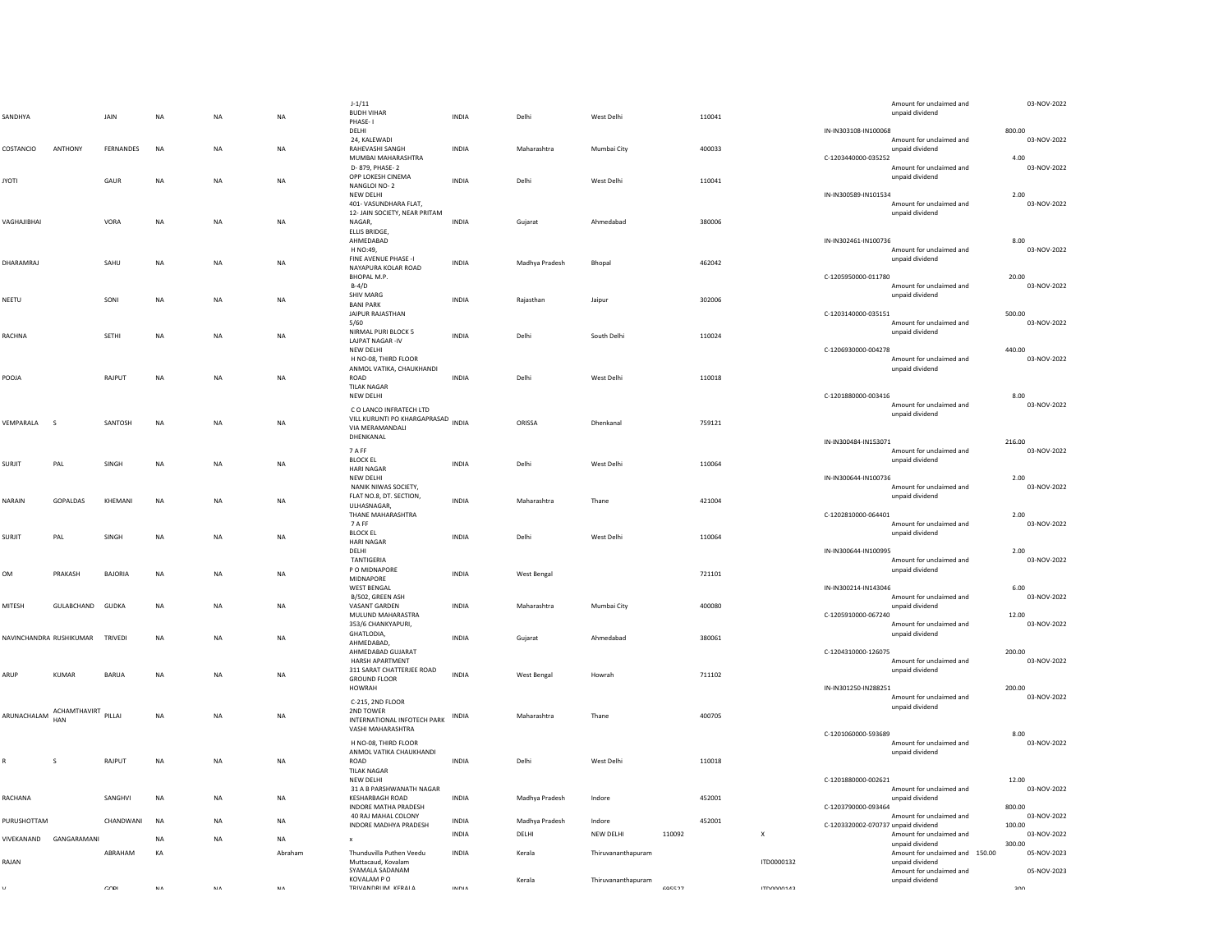| SANDHYA                 |                        | JAIN           | <b>NA</b>  | <b>NA</b>   | $_{\sf NA}$ | $J-1/11$<br><b>BUDH VIHAR</b>                                                                 | <b>INDIA</b> | Delhi              | West Delhi         |        | 110041 |                           |                                     | Amount for unclaimed and<br>unpaid dividend                           | 03-NOV-2022                        |
|-------------------------|------------------------|----------------|------------|-------------|-------------|-----------------------------------------------------------------------------------------------|--------------|--------------------|--------------------|--------|--------|---------------------------|-------------------------------------|-----------------------------------------------------------------------|------------------------------------|
|                         |                        |                |            |             |             | PHASE-1<br>DELHI                                                                              |              |                    |                    |        |        |                           | IN-IN303108-IN100068                |                                                                       | 800.00                             |
| COSTANCIO               | ANTHONY                | FERNANDES      | <b>NA</b>  | NA          | $\sf NA$    | 24. KALEWADI<br>RAHEVASHI SANGH<br>MUMBAI MAHARASHTRA                                         | INDIA        | Maharashtra        | Mumbai City        |        | 400033 |                           | C-1203440000-035252                 | Amount for unclaimed and<br>unpaid dividend                           | 03-NOV-2022<br>4.00<br>03-NOV-2022 |
| IYOTI                   |                        | GAUR           | <b>NA</b>  | NA          | NA          | D- 879, PHASE-2<br>OPP LOKESH CINEMA<br>NANGLOI NO-2<br>NEW DELHI                             | <b>INDIA</b> | Delhi              | West Delhi         |        | 110041 |                           | IN-IN300589-IN101534                | Amount for unclaimed and<br>unpaid dividend                           | 2.00                               |
| VAGHAJIBHAI             |                        | VORA           | <b>NA</b>  | NA          | $_{\sf NA}$ | 401- VASUNDHARA FLAT,<br>12- JAIN SOCIETY, NEAR PRITAM<br>NAGAR.                              | <b>INDIA</b> | Gujarat            | Ahmedabad          |        | 380006 |                           |                                     | Amount for unclaimed and<br>unpaid dividend                           | 03-NOV-2022                        |
|                         |                        |                |            |             |             | ELLIS BRIDGE,<br>AHMEDABAD<br>H NO:49,                                                        |              |                    |                    |        |        |                           | IN-IN302461-IN100736                | Amount for unclaimed and                                              | 8.00<br>03-NOV-2022                |
| DHARAMRAJ               |                        | SAHU           | <b>NA</b>  | NA          | NA          | FINE AVENUE PHASE -I<br>NAYAPURA KOLAR ROAD<br>BHOPAL M.P.                                    | INDIA        | Madhya Pradesh     | Bhopal             |        | 462042 |                           | C-1205950000-011780                 | unpaid dividend                                                       | 20.00                              |
| NEETU                   |                        | SONI           | NA         | NA          | NA          | $B-4/D$<br><b>SHIV MARG</b><br><b>BANI PARK</b><br>JAIPUR RAJASTHAN                           | INDIA        | Rajasthan          | Jaipur             |        | 302006 |                           | C-1203140000-035151                 | Amount for unclaimed and<br>unpaid dividend                           | 03-NOV-2022<br>500.00              |
| RACHNA                  |                        | SETHI          | <b>NA</b>  | <b>NA</b>   | <b>NA</b>   | 5/60<br>NIRMAL PURI BLOCK 5<br><b>LAJPAT NAGAR-IV</b>                                         | <b>INDIA</b> | Delhi              | South Delhi        |        | 110024 |                           |                                     | Amount for unclaimed and<br>unpaid dividend                           | 03-NOV-2022                        |
|                         |                        |                |            |             |             | NEW DELHI<br>H NO-08, THIRD FLOOR<br>ANMOL VATIKA, CHAUKHANDI                                 |              |                    |                    |        |        |                           | C-1206930000-004278                 | Amount for unclaimed and<br>unpaid dividend                           | 440.00<br>03-NOV-2022              |
| ALOOP                   |                        | RAJPUT         | NA         | NA          | $\sf NA$    | ROAD<br><b>TILAK NAGAR</b><br>NEW DELHI                                                       | INDIA        | Delhi              | West Delhi         |        | 110018 |                           | C-1201880000-003416                 | Amount for unclaimed and                                              | 8.00                               |
| VEMPARALA<br>- S        |                        | SANTOSH        | <b>NA</b>  | <b>NA</b>   | $\sf NA$    | C O LANCO INFRATECH LTD<br>VILL KURUNTI PO KHARGAPRASAD INDIA<br>VIA MERAMANDALI<br>DHENKANAL |              | ORISSA             | Dhenkanal          |        | 759121 |                           | IN-IN300484-IN153071                | unpaid dividend                                                       | 03-NOV-2022<br>216.00              |
| SURJIT                  | PAL                    | SINGH          | <b>NA</b>  | NA          | NA          | 7 A FF<br><b>BLOCK EL</b><br><b>HARI NAGAR</b>                                                | INDIA        | Delhi              | West Delhi         |        | 110064 |                           |                                     | Amount for unclaimed and<br>unpaid dividend                           | 03-NOV-2022                        |
| NARAIN                  | GOPALDAS               | KHEMANI        | NA         | NA          | $_{\sf NA}$ | NEW DELHI<br>NANIK NIWAS SOCIETY,<br>FLAT NO.8, DT. SECTION,<br>ULHASNAGAR,                   | <b>INDIA</b> | Maharashtra        | Thane              |        | 421004 |                           | IN-IN300644-IN100736                | Amount for unclaimed and<br>unpaid dividend                           | 2.00<br>03-NOV-2022                |
|                         |                        |                |            |             |             | THANE MAHARASHTRA<br>7 A FF<br><b>BLOCK EL</b>                                                |              |                    |                    |        |        |                           | C-1202810000-064401                 | Amount for unclaimed and<br>unpaid dividend                           | 2.00<br>03-NOV-2022                |
| SURJIT                  | PAL                    | SINGH          | <b>NA</b>  | <b>NA</b>   | NA          | <b>HARI NAGAR</b><br>DELHI<br>TANTIGERIA                                                      | <b>INDIA</b> | Delhi              | West Delhi         |        | 110064 |                           | IN-IN300644-IN100995                | Amount for unclaimed and                                              | 2.00<br>03-NOV-2022                |
| M                       | PRAKASH                | BAJORIA        | NA         | NA          | $\sf NA$    | P O MIDNAPORE<br>MIDNAPORE<br><b>WEST BENGAL</b>                                              | INDIA        | West Bengal        |                    |        | 721101 |                           | IN-IN300214-IN143046                | unpaid dividend                                                       | 6.00                               |
| MITESH                  | GULABCHAND             | <b>GUDKA</b>   | NA         | $_{\sf NA}$ | $\sf NA$    | B/502, GREEN ASH<br>VASANT GARDEN<br>MULUND MAHARASTRA                                        | INDIA        | Maharashtra        | Mumbai City        |        | 400080 |                           | C-1205910000-067240                 | Amount for unclaimed and<br>unpaid dividend                           | 03-NOV-2022<br>12.00               |
| NAVINCHANDRA RUSHIKUMAR |                        | <b>TRIVEDI</b> | <b>NA</b>  | <b>NA</b>   | <b>NA</b>   | 353/6 CHANKYAPURI,<br>GHATLODIA,<br>AHMEDABAD,<br>AHMEDABAD GUJARAT                           | <b>INDIA</b> | Guiarat            | Ahmedabad          |        | 380061 |                           | C-1204310000-126075                 | Amount for unclaimed and<br>unpaid dividend                           | 03-NOV-2022<br>200.00              |
| ARUP                    | KUMAR                  | <b>BARUA</b>   | NA         | NA          | $\sf NA$    | HARSH APARTMENT<br>311 SARAT CHATTERJEE ROAD<br><b>GROUND FLOOR</b>                           | <b>INDIA</b> | <b>West Bengal</b> | Howrah             |        | 711102 |                           |                                     | Amount for unclaimed and<br>unpaid dividend                           | 03-NOV-2022                        |
|                         | ACHAMTHAVIRT           |                |            |             |             | HOWRAH<br>C-215, 2ND FLOOR<br>2ND TOWER                                                       |              |                    |                    |        |        |                           | IN-IN301250-IN288251                | Amount for unclaimed and<br>unpaid dividend                           | 200.00<br>03-NOV-2022              |
| ARUNACHALAM             | HAN                    | PILLAI         | <b>NA</b>  | <b>NA</b>   | <b>NA</b>   | INTERNATIONAL INFOTECH PARK<br>VASHI MAHARASHTRA                                              | <b>INDIA</b> | Maharashtra        | Thane              |        | 400705 |                           | C-1201060000-593689                 |                                                                       | 8.00                               |
| ₹                       | S                      | RAJPUT         | <b>NA</b>  | NA          | NA          | H NO-08, THIRD FLOOR<br>ANMOL VATIKA CHAUKHANDI<br>ROAD<br><b>TILAK NAGAR</b>                 | INDIA        | Delhi              | West Delhi         |        | 110018 |                           |                                     | Amount for unclaimed and<br>unpaid dividend                           | 03-NOV-2022                        |
| RACHANA                 |                        | SANGHVI        | <b>NA</b>  | <b>NA</b>   | <b>NA</b>   | NEW DELHI<br>31 A B PARSHWANATH NAGAR<br><b>KESHARBAGH ROAD</b>                               | <b>INDIA</b> | Madhya Pradesh     | Indore             |        | 452001 |                           | C-1201880000-002621                 | Amount for unclaimed and<br>unpaid dividend                           | 12.00<br>03-NOV-2022               |
| PURUSHOTTAM             |                        | CHANDWANI      | <b>NA</b>  | <b>NA</b>   | NA          | INDORE MATHA PRADESH<br>40 RAJ MAHAL COLONY                                                   | <b>INDIA</b> | Madhya Pradesh     | Indore             |        | 452001 |                           | C-1203790000-093464                 | Amount for unclaimed and                                              | 800.00<br>03-NOV-2022              |
|                         | VIVEKANAND GANGARAMANI |                | NA         | NA          | NA          | INDORE MADHYA PRADESH<br>$\mathbf{x}$                                                         | INDIA        | DELHI              | NEW DELHI          | 110092 |        | $\boldsymbol{\mathsf{x}}$ | C-1203320002-070737 unpaid dividend | Amount for unclaimed and                                              | 100.00<br>03-NOV-2022              |
| RAJAN                   |                        | ABRAHAM        | KA         |             | Abraham     | Thunduvilla Puthen Veedu<br>Muttacaud, Kovalam<br>SYAMALA SADANAM                             | <b>INDIA</b> | Kerala             | Thiruvananthapuram |        |        | ITD0000132                |                                     | unpaid dividend<br>Amount for unclaimed and 150.00<br>unpaid dividend | 300.00<br>05-NOV-2023              |
|                         |                        | CODI           | <b>NIA</b> | <b>NIA</b>  | <b>NIA</b>  | KOVALAM P O<br>TRIVANDRUM KERALA                                                              | INDIA        | Kerala             | Thiruvananthapuram | 695527 |        | <b>ENTODOOTI</b>          |                                     | Amount for unclaimed and<br>unpaid dividend                           | 05-NOV-2023<br>200                 |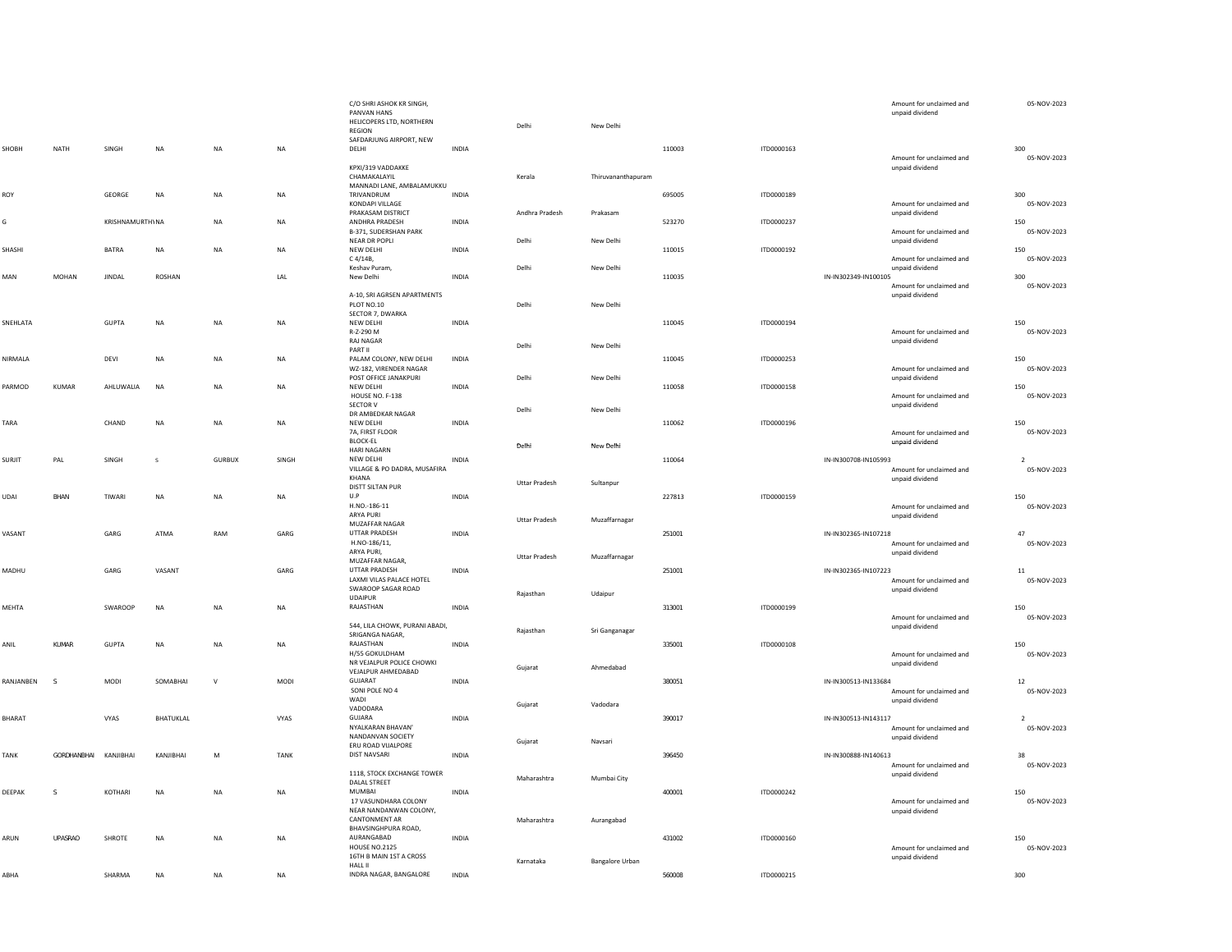|               |             |                 |                  |               |             | C/O SHRI ASHOK KR SINGH,<br>PANVAN HANS<br>HELICOPERS LTD, NORTHERN<br><b>REGION</b> |              | Delhi                | New Delhi              |        |            |                      | Amount for unclaimed and<br>unpaid dividend | 05-NOV-2023                   |
|---------------|-------------|-----------------|------------------|---------------|-------------|--------------------------------------------------------------------------------------|--------------|----------------------|------------------------|--------|------------|----------------------|---------------------------------------------|-------------------------------|
| SHOBH         | <b>NATH</b> | <b>SINGH</b>    | NA               | <b>NA</b>     | <b>NA</b>   | SAFDARJUNG AIRPORT, NEW<br>DELHI                                                     | INDIA        |                      |                        | 110003 | ITD0000163 |                      |                                             | 300                           |
|               |             |                 |                  |               |             | KPXI/319 VADDAKKE<br>CHAMAKALAYIL<br>MANNADI LANE, AMBALAMUKKU                       |              | Kerala               | Thiruvananthapuram     |        |            |                      | Amount for unclaimed and<br>unpaid dividend | 05-NOV-2023                   |
| ROY           |             | GEORGE          | NA               | NA            | NA          | TRIVANDRUM<br>KONDAPI VILLAGE                                                        | INDIA        |                      |                        | 695005 | ITD0000189 |                      | Amount for unclaimed and                    | 300<br>05-NOV-2023            |
| G             |             | KRISHNAMURTH\NA |                  | <b>NA</b>     | <b>NA</b>   | PRAKASAM DISTRICT<br>ANDHRA PRADESH<br>B-371, SUDERSHAN PARK                         | INDIA        | Andhra Pradesh       | Prakasam               | 523270 | ITD0000237 |                      | unpaid dividend<br>Amount for unclaimed and | 150<br>05-NOV-2023            |
| SHASHI        |             | BATRA           | <b>NA</b>        | <b>NA</b>     | NA          | NEAR DR POPLI<br>NEW DELHI                                                           | <b>INDIA</b> | Delhi                | New Delhi              | 110015 | ITD0000192 |                      | unpaid dividend                             | 150<br>05-NOV-2023            |
| MAN           | MOHAN       | <b>JINDAL</b>   | ROSHAN           |               | LAL         | C 4/14B,<br>Keshav Puram.<br>New Delhi                                               | <b>INDIA</b> | Delhi                | New Delhi              | 110035 |            | IN-IN302349-IN100105 | Amount for unclaimed and<br>unpaid dividend | 300                           |
|               |             |                 |                  |               |             | A-10, SRI AGRSEN APARTMENTS<br>PLOT NO.10                                            |              | Delhi                | New Delhi              |        |            |                      | Amount for unclaimed and<br>unpaid dividend | 05-NOV-2023                   |
| SNEHLATA      |             | <b>GUPTA</b>    | NA               | <b>NA</b>     | <b>NA</b>   | SECTOR 7, DWARKA<br>NEW DELHI<br>R-Z-290 M<br>RAJ NAGAR                              | INDIA        |                      |                        | 110045 | ITD0000194 |                      | Amount for unclaimed and<br>unpaid dividend | 150<br>05-NOV-2023            |
| NIRMALA       |             | DEVI            | NA               | NA            | $_{\sf NA}$ | PART II<br>PALAM COLONY, NEW DELHI<br>WZ-182, VIRENDER NAGAR                         | INDIA        | Delhi                | New Delhi              | 110045 | ITD0000253 |                      | Amount for unclaimed and                    | 150<br>05-NOV-2023            |
| PARMOD        | KUMAR       | AHLUWALIA       | <b>NA</b>        | <b>NA</b>     | <b>NA</b>   | POST OFFICE JANAKPURI<br>NEW DELHI                                                   | <b>INDIA</b> | Delhi                | New Delhi              | 110058 | ITD0000158 |                      | unpaid dividend                             | 150                           |
|               |             |                 |                  |               |             | HOUSE NO. F-138<br>SECTOR V<br>DR AMBEDKAR NAGAR                                     |              | Delhi                | New Delhi              |        |            |                      | Amount for unclaimed and<br>unpaid dividend | 05-NOV-2023                   |
| TARA          |             | CHAND           | NA               | <b>NA</b>     | <b>NA</b>   | NEW DELHI<br>7A, FIRST FLOOR<br><b>BLOCK-EL</b>                                      | <b>INDIA</b> | Delhi                | New Delhi              | 110062 | ITD0000196 |                      | Amount for unclaimed and<br>unpaid dividend | 150<br>05-NOV-2023            |
| <b>SURJIT</b> | PAL         | SINGH           | $\mathsf{s}$     | <b>GURBUX</b> | SINGH       | <b>HARI NAGARN</b><br>NEW DELHI<br>VILLAGE & PO DADRA, MUSAFIRA                      | INDIA        |                      |                        | 110064 |            | IN-IN300708-IN105993 | Amount for unclaimed and                    | $\overline{2}$<br>05-NOV-2023 |
|               |             |                 |                  |               |             | KHANA<br>DISTT SILTAN PUR                                                            |              | <b>Uttar Pradesh</b> | Sultanpur              |        |            |                      | unpaid dividend                             |                               |
| UDAI          | BHAN        | TIWARI          | <b>NA</b>        | <b>NA</b>     | <b>NA</b>   | U.P<br>H.NO.-186-11<br>ARYA PURI                                                     | INDIA        |                      |                        | 227813 | ITD0000159 |                      | Amount for unclaimed and<br>unpaid dividend | 150<br>05-NOV-2023            |
| VASANT        |             | GARG            | ATMA             | RAM           | GARG        | MUZAFFAR NAGAR<br>UTTAR PRADESH<br>H.NO-186/11,                                      | INDIA        | <b>Uttar Pradesh</b> | Muzaffarnagar          | 251001 |            | IN-IN302365-IN107218 | Amount for unclaimed and                    | 47<br>05-NOV-2023             |
| MADHU         |             | GARG            | VASANT           |               | GARG        | ARYA PURI,<br>MUZAFFAR NAGAR,<br>UTTAR PRADESH                                       | INDIA        | <b>Uttar Pradesh</b> | Muzaffarnagar          | 251001 |            | IN-IN302365-IN107223 | unpaid dividend                             | 11                            |
|               |             |                 |                  |               |             | LAXMI VILAS PALACE HOTEL<br>SWAROOP SAGAR ROAD<br><b>UDAIPUR</b>                     |              | Rajasthan            | Udaipur                |        |            |                      | Amount for unclaimed and<br>unpaid dividend | 05-NOV-2023                   |
| MEHTA         |             | SWAROOP         | NA               | NA            | $_{\sf NA}$ | RAJASTHAN<br>544, LILA CHOWK, PURANI ABADI,                                          | INDIA        |                      |                        | 313001 | ITD0000199 |                      | Amount for unclaimed and<br>unpaid dividend | 150<br>05-NOV-2023            |
| ANIL          | KUMAR       | GUPTA           | NA               | <b>NA</b>     | NA          | SRIGANGA NAGAR,<br>RAJASTHAN<br>H/55 GOKULDHAM                                       | <b>INDIA</b> | Rajasthan            | Sri Ganganagar         | 335001 | ITD0000108 |                      | Amount for unclaimed and                    | 150<br>05-NOV-2023            |
|               |             |                 |                  |               |             | NR VEJALPUR POLICE CHOWKI<br>VEJALPUR AHMEDABAD                                      |              | Gujarat              | Ahmedabad              |        |            |                      | unpaid dividend                             |                               |
| RANJANBEN     | -S          | MODI            | SOMABHAI         | $\vee$        | MODI        | GUJARAT<br>SONI POLE NO 4<br>WADI                                                    | <b>INDIA</b> | Gujarat              | Vadodara               | 380051 |            | IN-IN300513-IN133684 | Amount for unclaimed and<br>unpaid dividend | 12<br>05-NOV-2023             |
| BHARAT        |             | VYAS            | <b>BHATUKLAL</b> |               | VYAS        | VADODARA<br>GUJARA<br>NYAI KARAN BHAVAN'<br>NANDANVAN SOCIETY                        | INDIA        | Gujarat              | Navsari                | 390017 |            | IN-IN300513-IN143117 | Amount for unclaimed and<br>unpaid dividend | $\overline{2}$<br>05-NOV-2023 |
| TANK          | GORDHANBHAI | KANJIBHAI       | KANJIBHAI        | M             | TANK        | ERU ROAD VIJALPORE<br><b>DIST NAVSARI</b>                                            | <b>INDIA</b> |                      |                        | 396450 |            | IN-IN300888-IN140613 | Amount for unclaimed and                    | 38<br>05-NOV-2023             |
| DEEPAK        | s           | KOTHARI         | NA               | NA            | $_{\sf NA}$ | 1118, STOCK EXCHANGE TOWER<br>DALAL STREET<br><b>MUMBAI</b>                          | INDIA        | Maharashtra          | Mumbai City            | 400001 | ITD0000242 |                      | unpaid dividend                             | 150                           |
|               |             |                 |                  |               |             | 17 VASUNDHARA COLONY<br>NEAR NANDANWAN COLONY,<br><b>CANTONMENT AR</b>               |              | Maharashtra          | Aurangabad             |        |            |                      | Amount for unclaimed and<br>unpaid dividend | 05-NOV-2023                   |
| ARUN          | UPASRAO     | SHROTE          | <b>NA</b>        | <b>NA</b>     | <b>NA</b>   | BHAVSINGHPURA ROAD,<br>AURANGABAD<br><b>HOUSE NO.2125</b><br>16TH B MAIN 1ST A CROSS | <b>INDIA</b> |                      |                        | 431002 | ITD0000160 |                      | Amount for unclaimed and<br>unpaid dividend | 150<br>05-NOV-2023            |
| ABHA          |             | SHARMA          | <b>NA</b>        | <b>NA</b>     | <b>NA</b>   | <b>HALL II</b><br>INDRA NAGAR, BANGALORE                                             | <b>INDIA</b> | Karnataka            | <b>Bangalore Urban</b> | 560008 | ITD0000215 |                      |                                             | 300                           |
|               |             |                 |                  |               |             |                                                                                      |              |                      |                        |        |            |                      |                                             |                               |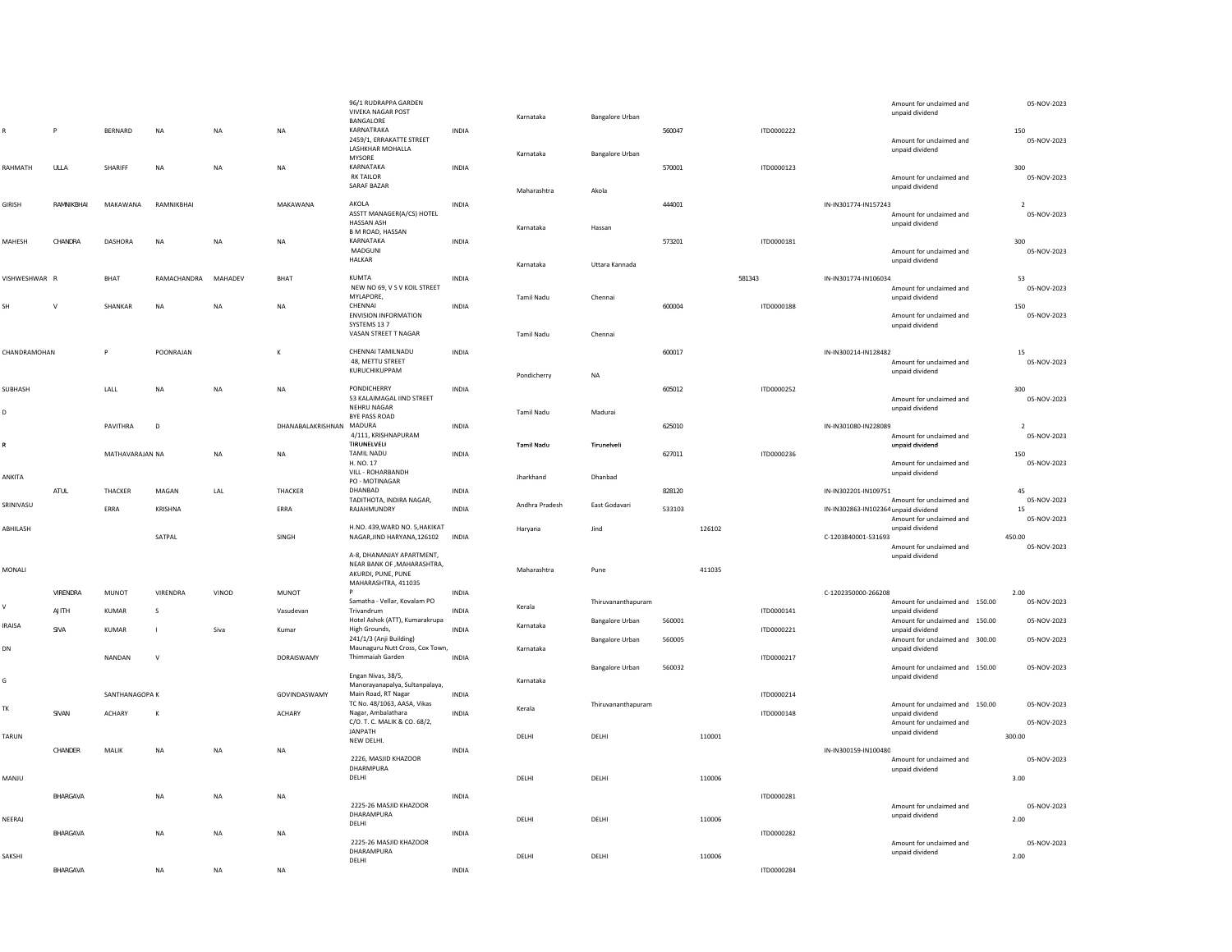| $\mathsf{R}$  | P          | <b>BERNARD</b>  | $_{\sf NA}$  | $_{\sf NA}$ | $_{\sf NA}$              | 96/1 RUDRAPPA GARDEN<br><b>VIVEKA NAGAR POST</b><br>BANGALORE<br>KARNATRAKA<br>2459/1, ERRAKATTE STREET<br>LASHKHAR MOHALLA | <b>INDIA</b> | Karnataka                | <b>Bangalore Urban</b>                           | 560047           |        | ITD0000222 |                                      | Amount for unclaimed and<br>unpaid dividend<br>Amount for unclaimed and<br>unpaid dividend | 05-NOV-2023<br>150<br>05-NOV-2023       |
|---------------|------------|-----------------|--------------|-------------|--------------------------|-----------------------------------------------------------------------------------------------------------------------------|--------------|--------------------------|--------------------------------------------------|------------------|--------|------------|--------------------------------------|--------------------------------------------------------------------------------------------|-----------------------------------------|
| RAHMATH       | ULLA       | SHARIFF         | <b>NA</b>    | <b>NA</b>   | NA                       | MYSORE<br>KARNATAKA<br><b>RK TAILOR</b><br>SARAF BAZAR                                                                      | INDIA        | Karnataka<br>Maharashtra | <b>Bangalore Urban</b><br>Akola                  | 570001           |        | ITD0000123 |                                      | Amount for unclaimed and<br>unpaid dividend                                                | 300<br>05-NOV-2023                      |
| GIRISH        | RAMNIKBHAI | MAKAWANA        | RAMNIKBHAI   |             | MAKAWANA                 | AKOLA<br>ASSTT MANAGER(A/CS) HOTEL<br>HASSAN ASH                                                                            | INDIA        | Karnataka                | Hassan                                           | 444001           |        |            | IN-IN301774-IN157243                 | Amount for unclaimed and<br>unpaid dividend                                                | $\overline{\phantom{a}}$<br>05-NOV-2023 |
| MAHESH        | CHANDRA    | <b>DASHORA</b>  | <b>NA</b>    | <b>NA</b>   | <b>NA</b>                | B M ROAD, HASSAN<br>KARNATAKA<br>MADGUNI<br><b>HALKAR</b>                                                                   | <b>INDIA</b> | Karnataka                | Uttara Kannada                                   | 573201           |        | ITD0000181 |                                      | Amount for unclaimed and<br>unpaid dividend                                                | 300<br>05-NOV-2023                      |
| VISHWESHWAR R |            | <b>BHAT</b>     | RAMACHANDRA  | MAHADEV     | <b>BHAT</b>              | KUMTA                                                                                                                       | <b>INDIA</b> |                          |                                                  |                  | 581343 |            | IN-IN301774-IN106034                 |                                                                                            | 53                                      |
|               |            |                 |              |             |                          | NEW NO 69, V S V KOIL STREET<br>MYLAPORE,                                                                                   |              | Tamil Nadu               | Chennai                                          |                  |        |            |                                      | Amount for unclaimed and<br>unpaid dividend                                                | 05-NOV-2023                             |
| ŚН.           | <b>M</b>   | SHANKAR         | <b>NA</b>    | <b>NA</b>   | <b>NA</b>                | CHENNAI<br><b>ENVISION INFORMATION</b><br>SYSTEMS 13 7<br>VASAN STREET T NAGAR                                              | <b>INDIA</b> | Tamil Nadu               | Chennai                                          | 600004           |        | ITD0000188 |                                      | Amount for unclaimed and<br>unpaid dividend                                                | 150<br>05-NOV-2023                      |
|               |            | $\mathsf{P}$    |              |             | К                        | CHENNAI TAMILNADU                                                                                                           |              |                          |                                                  | 600017           |        |            | IN-IN300214-IN128482                 |                                                                                            |                                         |
| CHANDRAMOHAN  |            |                 | POONRAJAN    |             |                          | 48. METTU STREET<br>KURUCHIKUPPAM                                                                                           | INDIA        | Pondicherry              | <b>NA</b>                                        |                  |        |            |                                      | Amount for unclaimed and<br>unpaid dividend                                                | 15<br>05-NOV-2023                       |
| SUBHASH<br>D  |            | LALL            | <b>NA</b>    | <b>NA</b>   | <b>NA</b>                | PONDICHERRY<br>53 KALAIMAGAL IIND STREET<br>NEHRU NAGAR                                                                     | <b>INDIA</b> | <b>Tamil Nadu</b>        | Madurai                                          | 605012           |        | ITD0000252 |                                      | Amount for unclaimed and<br>unpaid dividend                                                | 300<br>05-NOV-2023                      |
|               |            | PAVITHRA        | $\Omega$     |             | DHANABALAKRISHNAN MADURA | BYE PASS ROAD                                                                                                               | <b>INDIA</b> |                          |                                                  | 625010           |        |            | IN-IN301080-IN228089                 |                                                                                            | $\overline{2}$                          |
| R             |            | MATHAVARAJAN NA |              | <b>NA</b>   | NA                       | 4/111, KRISHNAPURAM<br>TIRUNELVELI<br><b>TAMIL NADU</b>                                                                     | INDIA        | Tamil Nadu               | Tirunelveli                                      | 627011           |        | ITD0000236 |                                      | Amount for unclaimed and<br>unpaid dividend                                                | 05-NOV-2023<br>150                      |
| ANKITA        |            |                 |              |             |                          | H. NO. 17<br>VILL - ROHARBANDH<br>PO - MOTINAGAR                                                                            |              | Jharkhand                | Dhanbad                                          |                  |        |            |                                      | Amount for unclaimed and<br>unpaid dividend                                                | 05-NOV-2023                             |
|               | ATUL       | THACKER         | MAGAN        | LAL         | THACKER                  | DHANBAD                                                                                                                     | <b>INDIA</b> |                          |                                                  | 828120           |        |            | IN-IN302201-IN109751                 |                                                                                            | 45                                      |
| SRINIVASU     |            | FRRA            | KRISHNA      |             | FRRA                     | TADITHOTA, INDIRA NAGAR,<br>RAJAHMUNDRY                                                                                     | <b>INDIA</b> | Andhra Pradesh           | East Godavari                                    | 533103           |        |            | IN-IN302863-IN102364 unpaid dividend | Amount for unclaimed and<br>Amount for unclaimed and                                       | 05-NOV-2023<br>15<br>05-NOV-2023        |
| ABHILASH      |            |                 | SATPAL       |             | SINGH                    | H.NO. 439 WARD NO. 5 HAKIKAT<br>NAGAR, JIND HARYANA, 126102                                                                 | <b>INDIA</b> | Haryana                  | Jind                                             |                  | 126102 |            | C-1203840001-531693                  | unpaid dividend<br>Amount for unclaimed and                                                | 450.00<br>05-NOV-2023                   |
| MONALI        |            |                 |              |             |                          | A-8, DHANANJAY APARTMENT,<br>NEAR BANK OF , MAHARASHTRA,<br>AKURDI, PUNE, PUNE                                              |              | Maharashtra              | Pune                                             |                  | 411035 |            |                                      | unnaid dividend                                                                            |                                         |
|               | VIRENDRA   | <b>MUNOT</b>    | VIRENDRA     | VINOD       | <b>MUNOT</b>             | MAHARASHTRA, 411035                                                                                                         | <b>INDIA</b> |                          |                                                  |                  |        |            | C-1202350000-266208                  |                                                                                            | 2.00                                    |
| V.            | AJITH      | <b>KUMAR</b>    | S            |             | Vasudevan                | Samatha - Vellar, Kovalam PO<br>Trivandrum                                                                                  | <b>INDIA</b> | Kerala                   | Thiruvananthapuram                               |                  |        | ITD0000141 |                                      | Amount for unclaimed and 150.00<br>unpaid dividend                                         | 05-NOV-2023                             |
| RAISA         | SIVA       | KUMAR           | $\mathbf{L}$ | Siva        | Kumar                    | Hotel Ashok (ATT), Kumarakrupa<br>High Grounds,<br>241/1/3 (Anji Building)                                                  | <b>INDIA</b> | Karnataka                | <b>Bangalore Urban</b><br><b>Bangalore Urban</b> | 560001<br>560005 |        | ITD0000221 |                                      | Amount for unclaimed and 150.00<br>unpaid dividend<br>Amount for unclaimed and 300.00      | 05-NOV-2023<br>05-NOV-2023              |
| DN            |            | NANDAN          | $\mathsf{v}$ |             | <b>DORAISWAMY</b>        | Maunaguru Nutt Cross, Cox Town,<br>Thimmaiah Garden                                                                         | <b>INDIA</b> | Karnataka                |                                                  |                  |        | ITD0000217 |                                      | unpaid dividend                                                                            |                                         |
| G             |            |                 |              |             |                          | Engan Nivas, 38/5,                                                                                                          |              | Karnataka                | <b>Bangalore Urban</b>                           | 560032           |        |            |                                      | Amount for unclaimed and 150.00<br>unpaid dividend                                         | 05-NOV-2023                             |
|               |            | SANTHANAGOPA K  |              |             | GOVINDASWAMY             | Manorayanapalya, Sultanpalaya,<br>Main Road, RT Nagar                                                                       | INDIA        |                          |                                                  |                  |        | ITD0000214 |                                      |                                                                                            |                                         |
| ΓK            | SIVAN      | <b>ACHARY</b>   | K            |             | ACHARY                   | TC No. 48/1063, AASA, Vikas<br>Nagar, Ambalathara<br>C/O. T. C. MALIK & CO. 68/2,                                           | INDIA        | Kerala                   | Thiruvananthapuram                               |                  |        | ITD0000148 |                                      | Amount for unclaimed and 150.00<br>unpaid dividend<br>Amount for unclaimed and             | 05-NOV-2023<br>05-NOV-2023              |
| TARUN         |            |                 |              |             |                          | JANPATH<br>NEW DELHI.                                                                                                       |              | DELHI                    | DELHI                                            |                  | 110001 |            |                                      | unpaid dividend                                                                            | 300.00                                  |
|               | CHANDER    | MALIK           | <b>NA</b>    | <b>NA</b>   | NA                       | 2226, MASJID KHAZOOR                                                                                                        | INDIA        |                          |                                                  |                  |        |            | IN-IN300159-IN100480                 | Amount for unclaimed and                                                                   | 05-NOV-2023                             |
| ULIAN         |            |                 |              |             |                          | DHARMPURA<br>DELHI                                                                                                          |              | DELHI                    | DELHI                                            |                  | 110006 |            |                                      | unpaid dividend                                                                            | 3.00                                    |
|               | BHARGAVA   |                 | NA           | <b>NA</b>   | NA                       |                                                                                                                             | INDIA        |                          |                                                  |                  |        | ITD0000281 |                                      |                                                                                            |                                         |
| NEERAJ        |            |                 |              |             |                          | 2225-26 MASJID KHAZOOR<br>DHARAMPURA<br>DELHI                                                                               |              | DELHI                    | DELHI                                            |                  | 110006 |            |                                      | Amount for unclaimed and<br>unpaid dividend                                                | 05-NOV-2023<br>2.00                     |
|               | BHARGAVA   |                 | <b>NA</b>    | <b>NA</b>   | NA                       | 2225-26 MASJID KHAZOOR                                                                                                      | INDIA        |                          |                                                  |                  |        | ITD0000282 |                                      | Amount for unclaimed and                                                                   | 05-NOV-2023                             |
| SAKSHI        |            |                 |              |             |                          | DHARAMPURA<br>DELHI                                                                                                         |              | DELHI                    | DELHI                                            |                  | 110006 |            |                                      | unpaid dividend                                                                            | 2.00                                    |
|               | BHARGAVA   |                 | <b>NA</b>    | <b>NA</b>   | NA                       |                                                                                                                             | <b>INDIA</b> |                          |                                                  |                  |        | ITD0000284 |                                      |                                                                                            |                                         |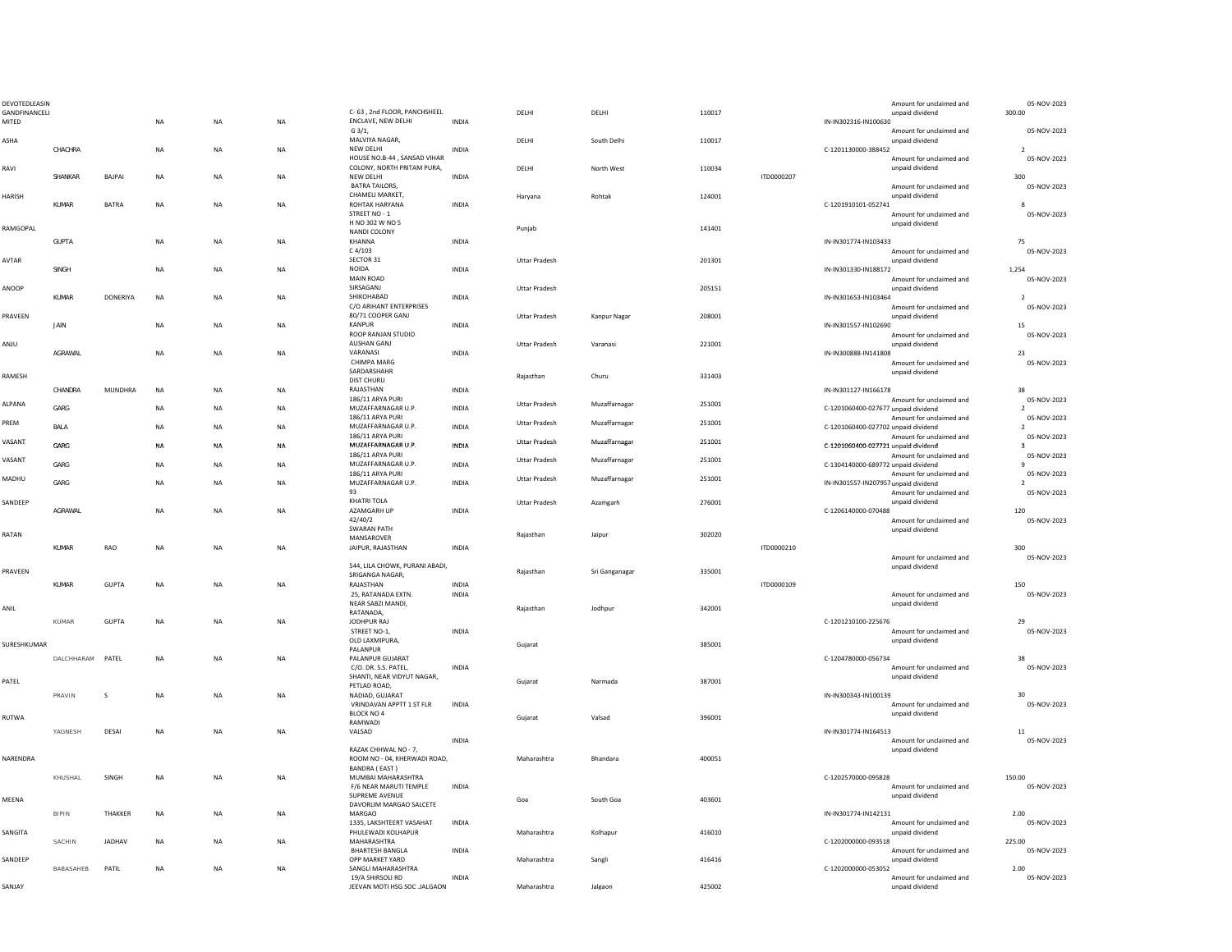| DEVOTEDLEASIN          |                  |                |           |           |           |                                                                        |              |                      |                |        |            | Amount for unclaimed and                                           | 05-NOV-2023                   |
|------------------------|------------------|----------------|-----------|-----------|-----------|------------------------------------------------------------------------|--------------|----------------------|----------------|--------|------------|--------------------------------------------------------------------|-------------------------------|
| GANDFINANCELI<br>MITED |                  |                | <b>NA</b> | <b>NA</b> | NA        | C-63, 2nd FLOOR, PANCHSHEEL<br>ENCLAVE, NEW DELHI                      | <b>INDIA</b> | <b>DELHI</b>         | DELHI          | 110017 |            | unpaid dividend<br>IN-IN302316-IN100630                            | 300.00                        |
|                        |                  |                |           |           |           | $G_3/1,$                                                               |              |                      |                |        |            | Amount for unclaimed and                                           | 05-NOV-2023                   |
| ASHA                   |                  |                |           |           |           | MALVIYA NAGAR.                                                         |              | DELHI                | South Delhi    | 110017 |            | unpaid dividend                                                    |                               |
|                        | CHACHRA          |                | NA        | <b>NA</b> | NA        | NEW DELHI                                                              | INDIA        |                      |                |        |            | C-1201130000-388452                                                | $\overline{2}$                |
| RAVI                   |                  |                |           |           |           | HOUSE NO.B-44, SANSAD VIHAR<br>COLONY, NORTH PRITAM PURA,              |              | DELHI                | North West     | 110034 |            | Amount for unclaimed and<br>unpaid dividend                        | 05-NOV-2023                   |
|                        | SHANKAR          | BAJPAI         | <b>NA</b> | <b>NA</b> | <b>NA</b> | NEW DELHI                                                              | <b>INDIA</b> |                      |                |        | ITD0000207 |                                                                    | 300                           |
|                        |                  |                |           |           |           | <b>BATRA TAILORS,</b>                                                  |              |                      |                |        |            | Amount for unclaimed and                                           | 05-NOV-2023                   |
| HARISH                 |                  |                |           |           |           | CHAMELI MARKET.                                                        |              | Haryana              | Rohtak         | 124001 |            | unpaid dividend                                                    |                               |
|                        | KUMAR            | <b>BATRA</b>   | <b>NA</b> | <b>NA</b> | NA        | ROHTAK HARYANA<br>STREET NO - 1                                        | INDIA        |                      |                |        |            | C-1201910101-052741                                                |                               |
|                        |                  |                |           |           |           | H NO 302 W NO 5                                                        |              |                      |                |        |            | Amount for unclaimed and<br>unpaid dividend                        | 05-NOV-2023                   |
| RAMGOPAL               |                  |                |           |           |           | NANDI COLONY                                                           |              | Punjab               |                | 141401 |            |                                                                    |                               |
|                        | <b>GUPTA</b>     |                | <b>NA</b> | <b>NA</b> | NA        | KHANNA                                                                 | INDIA        |                      |                |        |            | IN-IN301774-IN103433                                               | 75                            |
|                        |                  |                |           |           |           | C4/103                                                                 |              |                      |                |        |            | Amount for unclaimed and                                           | 05-NOV-2023                   |
| AVTAR                  | SINGH            |                | <b>NA</b> | <b>NA</b> | <b>NA</b> | SECTOR 31<br>NOIDA                                                     | <b>INDIA</b> | Uttar Pradesh        |                | 201301 |            | unpaid dividend<br>IN-IN301330-IN188172                            | 1,254                         |
|                        |                  |                |           |           |           | MAIN ROAD                                                              |              |                      |                |        |            | Amount for unclaimed and                                           | 05-NOV-2023                   |
| ANOOP                  |                  |                |           |           |           | SIRSAGANJ                                                              |              | <b>Uttar Pradesh</b> |                | 205151 |            | unpaid dividend                                                    |                               |
|                        | KUMAR            | DONERIYA       | NA        | NA        | NA        | SHIKOHABAD                                                             | <b>INDIA</b> |                      |                |        |            | IN-IN301653-IN103464                                               | $\overline{2}$                |
|                        |                  |                |           |           |           | C/O ARIHANT ENTERPRISES                                                |              |                      |                |        |            | Amount for unclaimed and                                           | 05-NOV-2023                   |
| PRAVEEN                | <b>JAIN</b>      |                | <b>NA</b> | <b>NA</b> | NA        | 80/71 COOPER GANJ<br>KANPUR                                            | <b>INDIA</b> | Uttar Pradesh        | Kanpur Nagar   | 208001 |            | unpaid dividend<br>IN-IN301557-IN102690                            | 15                            |
|                        |                  |                |           |           |           | ROOP RANJAN STUDIO                                                     |              |                      |                |        |            | Amount for unclaimed and                                           | 05-NOV-2023                   |
| UlMA                   |                  |                |           |           |           | AUSHAN GANJ                                                            |              | <b>Uttar Pradesh</b> | Varanasi       | 221001 |            | unpaid dividend                                                    |                               |
|                        | AGRAWAL          |                | NA        | NA        | NA        | VARANASI                                                               | INDIA        |                      |                |        |            | IN-IN300888-IN141808                                               | 23                            |
|                        |                  |                |           |           |           | CHIMPA MARG<br>SARDARSHAHR                                             |              |                      |                |        |            | Amount for unclaimed and<br>unpaid dividend                        | 05-NOV-2023                   |
| RAMESH                 |                  |                |           |           |           | <b>DIST CHURU</b>                                                      |              | Rajasthan            | Churu          | 331403 |            |                                                                    |                               |
|                        | CHANDRA          | <b>MUNDHRA</b> | NA        | <b>NA</b> | NA        | RAJASTHAN                                                              | INDIA        |                      |                |        |            | IN-IN301127-IN166178                                               | 38                            |
| ALPANA                 |                  |                |           |           |           | 186/11 ARYA PURI                                                       |              | Uttar Pradesh        | Muzaffarnagar  | 251001 |            | Amount for unclaimed and                                           | 05-NOV-2023                   |
|                        | GARG             |                | NA        | NA        | NA        | MUZAFFARNAGAR U.P                                                      | <b>INDIA</b> |                      |                |        |            | C-1201060400-027677 unpaid dividend                                | $\overline{2}$                |
| PREM                   | BALA             |                | NA        | NA        | NA        | 186/11 ARYA PURI<br>MUZAFFARNAGAR U.P                                  | INDIA        | Uttar Pradesh        | Muzaffarnagar  | 251001 |            | Amount for unclaimed and<br>C-1201060400-027702 unpaid dividend    | 05-NOV-2023<br>2              |
|                        |                  |                |           |           |           | 186/11 ARYA PURI                                                       |              |                      |                |        |            | Amount for unclaimed and                                           | 05-NOV-2023                   |
| <b>VASANT</b>          | GARG             |                | NA        | NA        | NA        | MUZAFFARNAGAR U.P                                                      | INDIA        | <b>Uttar Pradesh</b> | Muzaffarnagar  | 251001 |            | C-1201060400-027721 unpaid dividend                                | $\mathbf{R}$                  |
| VASANT                 |                  |                |           |           |           | 186/11 ARYA PURI                                                       |              | <b>Uttar Pradesh</b> | Muzaffarnagar  | 251001 |            | Amount for unclaimed and                                           | 05-NOV-2023                   |
|                        | GARG             |                | NA        | <b>NA</b> | NA        | MUZAFFARNAGAR U.P<br>186/11 ARYA PURI                                  | INDIA        |                      |                |        |            | C-1304140000-689772 unpaid dividend                                | 9                             |
| MADHU                  | GARG             |                | NA        | NA        | NA        | MUZAFFARNAGAR U.P                                                      | <b>INDIA</b> | <b>Uttar Pradesh</b> | Muzaffarnagar  | 251001 |            | Amount for unclaimed and<br>IN-IN301557-IN207957 unpaid dividend   | 05-NOV-2023<br>$\overline{2}$ |
|                        |                  |                |           |           |           | 93                                                                     |              |                      |                |        |            | Amount for unclaimed and                                           | 05-NOV-2023                   |
| SANDEEP                |                  |                |           |           |           | KHATRI TOLA                                                            |              | Uttar Pradesh        | Azamgarh       | 276001 |            | unpaid dividend                                                    |                               |
|                        | AGRAWAL          |                | <b>NA</b> | <b>NA</b> | NA        | AZAMGARH UP                                                            | <b>INDIA</b> |                      |                |        |            | C-1206140000-070488                                                | 120                           |
|                        |                  |                |           |           |           | 42/40/2<br><b>SWARAN PATH</b>                                          |              |                      |                |        |            | Amount for unclaimed and<br>unnaid dividend                        | 05-NOV-2023                   |
| RATAN                  |                  |                |           |           |           | MANSAROVER                                                             |              | Rajasthan            | Jaipur         | 302020 |            |                                                                    |                               |
|                        | KUMAR            | RAO            | <b>NA</b> | <b>NA</b> | NA        | JAIPUR, RAJASTHAN                                                      | <b>INDIA</b> |                      |                |        | ITD0000210 |                                                                    | 300                           |
|                        |                  |                |           |           |           |                                                                        |              |                      |                |        |            | Amount for unclaimed and                                           | 05-NOV-2023                   |
| PRAVEEN                |                  |                |           |           |           | 544, LILA CHOWK, PURANI ABADI,<br>SRIGANGA NAGAR,                      |              | Rajasthan            | Sri Ganganagar | 335001 |            | unpaid dividend                                                    |                               |
|                        | KUMAR            | <b>GUPTA</b>   | <b>NA</b> | <b>NA</b> | NA        | RAJASTHAN                                                              | <b>INDIA</b> |                      |                |        | ITD0000109 |                                                                    | 150                           |
|                        |                  |                |           |           |           | 25, RATANADA EXTN.                                                     | INDIA        |                      |                |        |            | Amount for unclaimed and                                           | 05-NOV-2023                   |
| ANIL                   |                  |                |           |           |           | NEAR SABZI MANDI,                                                      |              | Rajasthan            | Jodhpur        | 342001 |            | unpaid dividend                                                    |                               |
|                        |                  |                |           |           |           | RATANADA,                                                              |              |                      |                |        |            | C-1201210100-225676                                                | 29                            |
|                        | KUMAR            | GUPTA          | NA        | NA        | NA        | JODHPUR RAJ<br>STREET NO-1,                                            | <b>INDIA</b> |                      |                |        |            | Amount for unclaimed and                                           | 05-NOV-2023                   |
|                        |                  |                |           |           |           | OLD LAXMIPURA,                                                         |              |                      |                |        |            | unpaid dividend                                                    |                               |
| SURESHKUMAR            |                  |                |           |           |           | PALANPUR                                                               |              | Gujarat              |                | 385001 |            |                                                                    |                               |
|                        | DALCHHARAM PATEL |                | NA        | NA        | NA        | PALANPUR GUJARAT                                                       |              |                      |                |        |            | C-1204780000-056734                                                | 38                            |
|                        |                  |                |           |           |           | C/O. DR. S.S. PATEL.<br>SHANTI, NEAR VIDYUT NAGAR,                     | <b>INDIA</b> |                      |                |        |            | Amount for unclaimed and<br>unpaid dividend                        | 05-NOV-2023                   |
| PATEL                  |                  |                |           |           |           | PETLAD ROAD,                                                           |              | Gujarat              | Narmada        | 387001 |            |                                                                    |                               |
|                        | PRAVIN           | -S             | <b>NA</b> | <b>NA</b> | NA        | NADIAD, GUJARAT                                                        |              |                      |                |        |            | IN-IN300343-IN100139                                               | 30                            |
|                        |                  |                |           |           |           | VRINDAVAN APPTT 1 ST FLR                                               | INDIA        |                      |                |        |            | Amount for unclaimed and                                           | 05-NOV-2023                   |
| RUTWA                  |                  |                |           |           |           | BLOCK NO 4<br>RAMWADI                                                  |              | Gujarat              | Valsad         | 396001 |            | unpaid dividend                                                    |                               |
|                        | YAGNESH          | DESAI          | <b>NA</b> | <b>NA</b> | <b>NA</b> | VALSAD                                                                 |              |                      |                |        |            | IN-IN301774-IN164513                                               | 11                            |
|                        |                  |                |           |           |           |                                                                        | INDIA        |                      |                |        |            | Amount for unclaimed and                                           | 05-NOV-2023                   |
|                        |                  |                |           |           |           | RAZAK CHHWAL NO - 7,                                                   |              |                      |                |        |            | unpaid dividend                                                    |                               |
| NARENDRA               |                  |                |           |           |           | ROOM NO - 04, KHERWADI ROAD,<br>BANDRA (EAST)                          |              | Maharashtra          | Bhandara       | 400051 |            |                                                                    |                               |
|                        | KHUSHAL          | SINGH          | NA        | NA        | NA        | MUMBAI MAHARASHTRA                                                     |              |                      |                |        |            | C-1202570000-095828                                                | 150.00                        |
|                        |                  |                |           |           |           | F/6 NEAR MARUTI TEMPLE                                                 | INDIA        |                      |                |        |            | Amount for unclaimed and                                           | 05-NOV-2023                   |
| MEENA                  |                  |                |           |           |           | SUPREME AVENUE                                                         |              | Goa                  | South Goa      | 403601 |            | unpaid dividend                                                    |                               |
|                        |                  |                |           |           |           | DAVORLIM MARGAO SALCETE                                                |              |                      |                |        |            |                                                                    |                               |
|                        | <b>BIPIN</b>     | THAKKER        | <b>NA</b> | <b>NA</b> | NA        | MARGAO<br>1335, LAKSHTEERT VASAHAT                                     | INDIA        |                      |                |        |            | IN-IN301774-IN142131<br>Amount for unclaimed and                   | 2.00<br>05-NOV-2023           |
| SANGITA                |                  |                |           |           |           | PHULEWADI KOLHAPUR                                                     |              | Maharashtra          | Kolhapur       | 416010 |            | unpaid dividend                                                    |                               |
|                        | SACHIN           | JADHAV         | NA        | NA        | NA        | MAHARASHTRA                                                            |              |                      |                |        |            | C-1202000000-093518                                                | 225.00                        |
|                        |                  |                |           |           |           | <b>BHARTESH BANGLA</b>                                                 | INDIA        |                      |                |        |            | Amount for unclaimed and                                           | 05-NOV-2023                   |
| SANDEEP                |                  |                |           |           |           | OPP MARKET YARD                                                        |              | Maharashtra          | Sangli         | 416416 |            | unpaid dividend                                                    |                               |
|                        |                  |                | <b>NA</b> |           |           |                                                                        |              |                      |                |        |            |                                                                    |                               |
| SANJAY                 | BABASAHEB        | PATIL          |           | <b>NA</b> | NA        | SANGLI MAHARASHTRA<br>19/A SHIRSOLI RD<br>JEEVAN MOTI HSG SOC .JALGAON | <b>INDIA</b> | Maharashtra          |                | 425002 |            | C-1202000000-053052<br>Amount for unclaimed and<br>unpaid dividend | 2.00<br>05-NOV-2023           |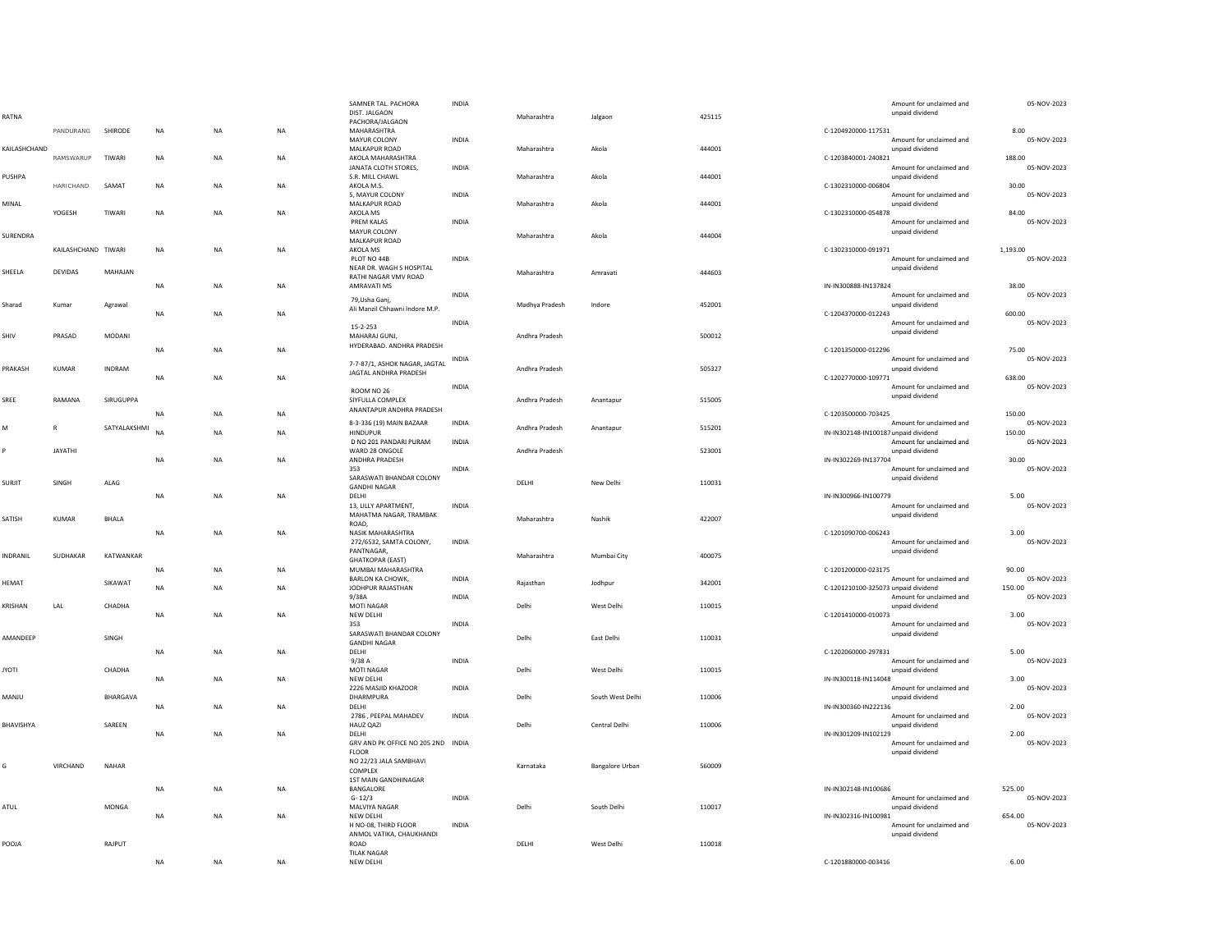| RATNA        |                     |               |           |             |           | SAMNER TAL. PACHORA<br>DIST. JALGAON             | INDIA        | Maharashtra    | Jalgaon                | 425115 |                                      | Amount for unclaimed and<br>unpaid dividend | 05-NOV-2023           |
|--------------|---------------------|---------------|-----------|-------------|-----------|--------------------------------------------------|--------------|----------------|------------------------|--------|--------------------------------------|---------------------------------------------|-----------------------|
|              | PANDURANG           | SHIRODE       | <b>NA</b> | NA          | <b>NA</b> | PACHORA/JALGAON<br>MAHARASHTRA                   |              |                |                        |        | C-1204920000-117531                  |                                             | 8.00                  |
|              |                     |               |           |             |           | MAYUR COLONY                                     | INDIA        |                |                        |        |                                      | Amount for unclaimed and                    | 05-NOV-2023           |
| KAILASHCHAND | RAMSWARUP           | TIWARI        | <b>NA</b> | <b>NA</b>   | <b>NA</b> | MALKAPUR ROAD<br>AKOLA MAHARASHTRA               |              | Maharashtra    | Akola                  | 444001 | C-1203840001-240821                  | unpaid dividend                             | 188.00                |
|              |                     |               |           |             |           | JANATA CLOTH STORES,                             | INDIA        |                |                        |        |                                      | Amount for unclaimed and                    | 05-NOV-2023           |
| PUSHPA       | HARICHAND           | SAMAT         | NA        | NA          | NA        | S.R. MILL CHAWL<br>AKOLA M.S.                    |              | Maharashtra    | Akola                  | 444001 | C-1302310000-006804                  | unnaid dividend                             | 30.00                 |
|              |                     |               |           |             |           | 5, MAYUR COLONY                                  | <b>INDIA</b> |                |                        |        |                                      | Amount for unclaimed and                    | 05-NOV-2023           |
| MINAL        | YOGESH              | TIWARI        | <b>NA</b> | <b>NA</b>   | <b>NA</b> | MALKAPUR ROAD<br>AKOLA MS                        |              | Maharashtra    | Akola                  | 444001 | C-1302310000-054878                  | unpaid dividend                             | 84.00                 |
|              |                     |               |           |             |           | PREM KALAS                                       | <b>INDIA</b> |                |                        |        |                                      | Amount for unclaimed and                    | 05-NOV-2023           |
| SURENDRA     |                     |               |           |             |           | MAYUR COLONY<br><b>MALKAPUR ROAD</b>             |              | Maharashtra    | Akola                  | 444004 |                                      | unpaid dividend                             |                       |
|              | KAILASHCHAND TIWARI |               | NA        | <b>NA</b>   | <b>NA</b> | AKOLA MS                                         |              |                |                        |        | C-1302310000-091971                  |                                             | 1,193.00              |
|              |                     |               |           |             |           | PLOT NO 44B<br>NEAR DR. WAGH S HOSPITAL          | <b>INDIA</b> |                |                        |        |                                      | Amount for unclaimed and<br>unpaid dividend | 05-NOV-2023           |
| SHEELA       | DEVIDAS             | MAHAJAN       |           |             | <b>NA</b> | RATHI NAGAR VMV ROAD                             |              | Maharashtra    | Amravati               | 444603 |                                      |                                             | 38.00                 |
|              |                     |               | NA        | <b>NA</b>   |           | AMRAVATI MS<br>79.Usha Gani.                     | <b>INDIA</b> |                |                        |        | IN-IN300888-IN137824                 | Amount for unclaimed and                    | 05-NOV-2023           |
| Sharad       | Kumar               | Agrawal       | <b>NA</b> | NA          | <b>NA</b> | Ali Manzil Chhawni Indore M.P.                   |              | Madhya Pradesh | Indore                 | 452001 | C-1204370000-012243                  | unpaid dividend                             | 600.00                |
|              |                     |               |           |             |           | $15 - 2 - 253$                                   | <b>INDIA</b> |                |                        |        |                                      | Amount for unclaimed and                    | 05-NOV-2023           |
| SHIV         | PRASAD              | <b>MODANI</b> |           |             |           | MAHARAJ GUNJ,                                    |              | Andhra Pradesh |                        | 500012 |                                      | unpaid dividend                             |                       |
|              |                     |               | <b>NA</b> | NA          | NA        | HYDERABAD. ANDHRA PRADESH                        |              |                |                        |        | C-1201350000-012296                  |                                             | 75.00                 |
| PRAKASH      | KUMAR               | INDRAM        |           |             |           | 7-7-87/1, ASHOK NAGAR, JAGTAL                    | INDIA        | Andhra Pradesh |                        | 505327 |                                      | Amount for unclaimed and<br>unpaid dividend | 05-NOV-2023           |
|              |                     |               | <b>NA</b> | <b>NA</b>   | <b>NA</b> | JAGTAL ANDHRA PRADESH                            |              |                |                        |        | C-1202770000-109771                  |                                             | 638.00                |
|              |                     |               |           |             |           | ROOM NO 26                                       | INDIA        |                |                        |        |                                      | Amount for unclaimed and<br>unpaid dividend | 05-NOV-2023           |
| SREE         | RAMANA              | SIRUGUPPA     |           |             |           | SIYFULLA COMPLEX<br>ANANTAPUR ANDHRA PRADESH     |              | Andhra Pradesh | Anantapur              | 515005 |                                      |                                             |                       |
|              |                     |               | <b>NA</b> | <b>NA</b>   | <b>NA</b> | 8-3-336 (19) MAIN BAZAAR                         | <b>INDIA</b> |                |                        |        | C-1203500000-703425                  | Amount for unclaimed and                    | 150.00<br>05-NOV-2023 |
| M            | $\mathsf{R}$        | SATYALAKSHMI  | <b>NA</b> | <b>NA</b>   | <b>NA</b> | <b>HINDUPUR</b>                                  |              | Andhra Pradesh | Anantapur              | 515201 | IN-IN302148-IN100187 unpaid dividend |                                             | 150.00                |
| Þ            | JAYATHI             |               |           |             |           | D NO 201 PANDARI PURAM<br>WARD 28 ONGOLE         | INDIA        | Andhra Pradesh |                        | 523001 |                                      | Amount for unclaimed and<br>unpaid dividend | 05-NOV-2023           |
|              |                     |               | <b>NA</b> | <b>NA</b>   | <b>NA</b> | ANDHRA PRADESH                                   |              |                |                        |        | IN-IN302269-IN137704                 |                                             | 30.00                 |
| SURJIT       | SINGH               | ALAG          |           |             |           | 353<br>SARASWATI BHANDAR COLONY                  | <b>INDIA</b> | DELHI          | New Delhi              | 110031 |                                      | Amount for unclaimed and<br>unpaid dividend | 05-NOV-2023           |
|              |                     |               | NA        | $_{\sf NA}$ | NA        | <b>GANDHI NAGAR</b><br>DELHI                     |              |                |                        |        | IN-IN300966-IN100779                 |                                             | 5.00                  |
|              |                     |               |           |             |           | 13. LILLY APARTMENT.                             | <b>INDIA</b> |                |                        |        |                                      | Amount for unclaimed and                    | 05-NOV-2023           |
| SATISH       | <b>KUMAR</b>        | BHALA         |           |             |           | MAHATMA NAGAR, TRAMBAK<br>ROAD,                  |              | Maharashtra    | Nashik                 | 422007 |                                      | unpaid dividend                             |                       |
|              |                     |               | NA        | NA          | <b>NA</b> | NASIK MAHARASHTRA                                |              |                |                        |        | C-1201090700-006243                  |                                             | 3.00                  |
|              |                     |               |           |             |           | 272/6532, SAMTA COLONY,<br>PANTNAGAR,            | <b>INDIA</b> |                |                        |        |                                      | Amount for unclaimed and<br>unpaid dividend | 05-NOV-2023           |
| NDRANIL      | SUDHAKAR            | KATWANKAR     |           |             |           | <b>GHATKOPAR (EAST)</b>                          |              | Maharashtra    | Mumbai City            | 400075 |                                      |                                             |                       |
|              |                     |               | <b>NA</b> | <b>NA</b>   | <b>NA</b> | MUMBAI MAHARASHTRA<br>BARLON KA CHOWK,           | INDIA        |                |                        |        | C-1201200000-023175                  | Amount for unclaimed and                    | 90.00<br>05-NOV-2023  |
| HEMAT        |                     | SIKAWAT       | <b>NA</b> | <b>NA</b>   | <b>NA</b> | JODHPUR RAJASTHAN                                |              | Rajasthan      | Jodhpur                | 342001 | C-1201210100-325073 unpaid dividend  |                                             | 150.00                |
| KRISHAN      | LAL                 | CHADHA        |           |             |           | 9/38A<br><b>MOTI NAGAR</b>                       | INDIA        | Delhi          | West Delhi             | 110015 |                                      | Amount for unclaimed and<br>unpaid dividend | 05-NOV-2023           |
|              |                     |               | $\sf NA$  | NA          | NA        | NEW DELHI                                        |              |                |                        |        | C-1201410000-010073                  |                                             | 3.00                  |
|              |                     |               |           |             |           | 353<br>SARASWATI BHANDAR COLONY                  | INDIA        |                |                        |        |                                      | Amount for unclaimed and<br>unpaid dividend | 05-NOV-2023           |
| AMANDEEP     |                     | SINGH         |           |             |           | <b>GANDHI NAGAR</b>                              |              | Delhi          | East Delhi             | 110031 |                                      |                                             |                       |
|              |                     |               | <b>NA</b> | <b>NA</b>   | <b>NA</b> | DELHI<br>9/38A                                   | INDIA        |                |                        |        | C-1202060000-297831                  | Amount for unclaimed and                    | 5.00<br>05-NOV-2023   |
| <b>TOYI</b>  |                     | CHADHA        | NA        | NA          | <b>NA</b> | <b>MOTI NAGAR</b><br>NEW DELHI                   |              | Delhi          | West Delhi             | 110015 | IN-IN300118-IN114048                 | unnaid dividend                             | 3.00                  |
|              |                     |               |           |             |           | 2226 MASJID KHAZOOR                              | <b>INDIA</b> |                |                        |        |                                      | Amount for unclaimed and                    | 05-NOV-2023           |
| ULIAN        |                     | BHARGAVA      | <b>NA</b> | <b>NA</b>   | NA        | DHARMPURA<br>DELHI                               |              | Delhi          | South West Delhi       | 110006 | IN-IN300360-IN222136                 | unpaid dividend                             | 2.00                  |
|              |                     |               |           |             |           | 2786, PEEPAL MAHADEV                             | INDIA        |                |                        |        |                                      | Amount for unclaimed and                    | 05-NOV-2023           |
| BHAVISHYA    |                     | SAREEN        | NA        | <b>NA</b>   | NA        | HAUZ QAZI<br><b>DELHI</b>                        |              | Delhi          | Central Delhi          | 110006 | IN-IN301209-IN102129                 | unpaid dividend                             | 2.00                  |
|              |                     |               |           |             |           | GRV AND PK OFFICE NO 205 2ND INDIA               |              |                |                        |        |                                      | Amount for unclaimed and                    | 05-NOV-2023           |
|              |                     |               |           |             |           | <b>FLOOR</b><br>NO 22/23 JALA SAMBHAVI           |              |                |                        |        |                                      | unpaid dividend                             |                       |
| G            | VIRCHAND            | <b>NAHAR</b>  |           |             |           | COMPLEX                                          |              | Karnataka      | <b>Bangalore Urban</b> | 560009 |                                      |                                             |                       |
|              |                     |               | <b>NA</b> | <b>NA</b>   | NA        | 1ST MAIN GANDHINAGAR<br>BANGALORE                |              |                |                        |        | IN-IN302148-IN100686                 |                                             | 525.00                |
| ATUL         |                     | MONGA         |           |             |           | $G - 12/3$<br>MALVIYA NAGAR                      | INDIA        | Delhi          | South Delhi            | 110017 |                                      | Amount for unclaimed and<br>unpaid dividend | 05-NOV-2023           |
|              |                     |               | $\sf NA$  | <b>NA</b>   | NA        | NEW DELHI                                        |              |                |                        |        | IN-IN302316-IN100981                 |                                             | 654.00                |
|              |                     |               |           |             |           | H NO-08, THIRD FLOOR<br>ANMOL VATIKA, CHAUKHANDI | INDIA        |                |                        |        |                                      | Amount for unclaimed and<br>unpaid dividend | 05-NOV-2023           |
| POOJA        |                     | RAJPUT        |           |             |           | ROAD                                             |              | DELHI          | West Delhi             | 110018 |                                      |                                             |                       |
|              |                     |               | NA        | <b>NA</b>   | <b>NA</b> | <b>TILAK NAGAR</b><br>NEW DELHI                  |              |                |                        |        | C-1201880000-003416                  |                                             | 6.00                  |
|              |                     |               |           |             |           |                                                  |              |                |                        |        |                                      |                                             |                       |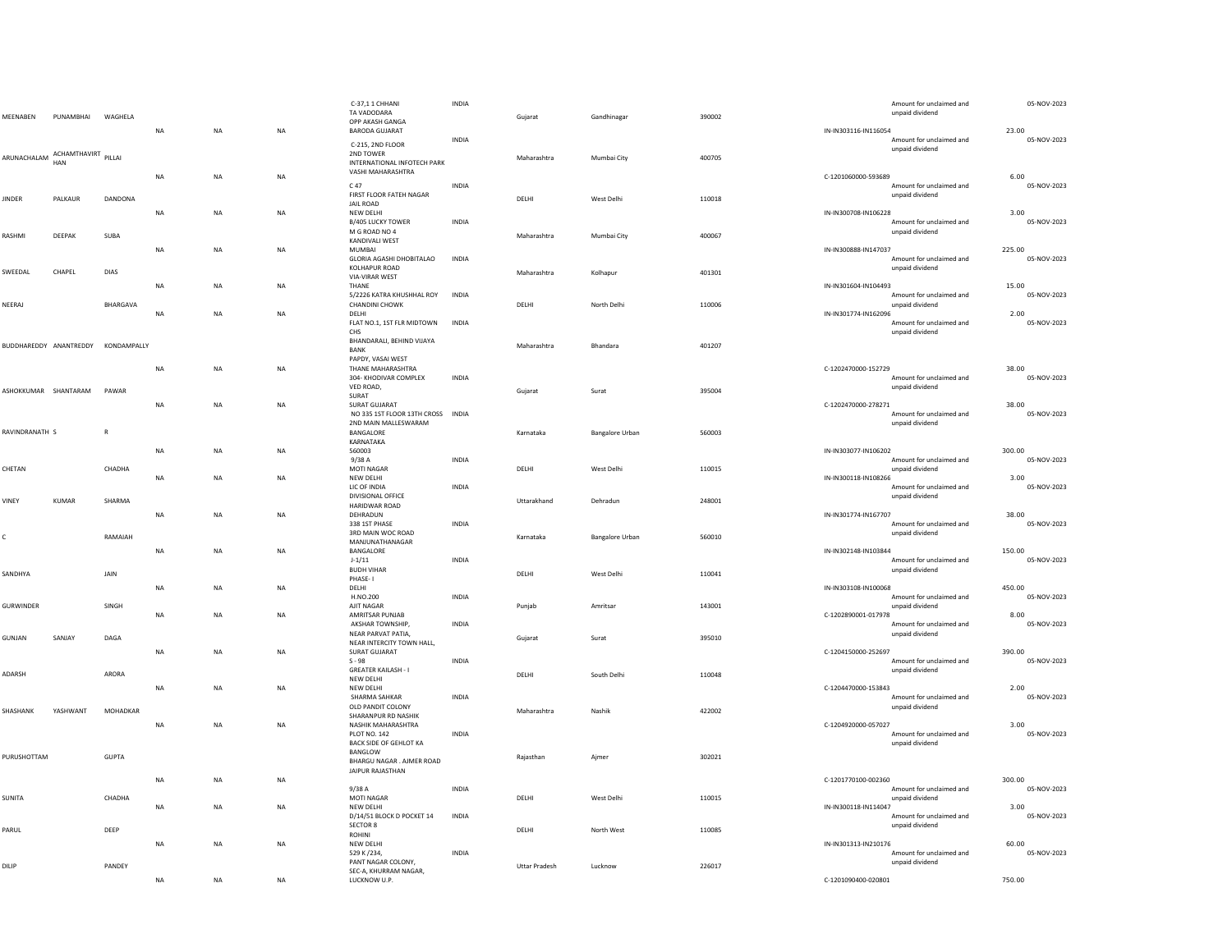| MEENABEN               | PUNAMBHAI                              | WAGHELA      | NA        | $\sf NA$  | $_{\sf NA}$ | C-37,11 CHHANI<br>TA VADODARA<br>OPP AKASH GANGA<br><b>BARODA GUJARAT</b>            | <b>INDIA</b> | Gujarat              | Gandhinagar            | 390002 | IN-IN303116-IN116054 | Amount for unclaimed and<br>unpaid dividend | 05-NOV-2023<br>23.00  |
|------------------------|----------------------------------------|--------------|-----------|-----------|-------------|--------------------------------------------------------------------------------------|--------------|----------------------|------------------------|--------|----------------------|---------------------------------------------|-----------------------|
|                        | ARUNACHALAM ACHAMTHAVIRT PILLAI<br>HAN |              |           |           |             | C-215, 2ND FLOOR<br>2ND TOWER<br>INTERNATIONAL INFOTECH PARK<br>VASHI MAHARASHTRA    | <b>INDIA</b> | Maharashtra          | Mumbai City            | 400705 |                      | Amount for unclaimed and<br>unpaid dividend | 05-NOV-2023           |
|                        |                                        |              | NA        | <b>NA</b> | $_{\sf NA}$ | C 47<br>FIRST FLOOR FATEH NAGAR                                                      | INDIA        |                      |                        | 110018 | C-1201060000-593689  | Amount for unclaimed and<br>unpaid dividend | 6.00<br>05-NOV-2023   |
| <b>JINDER</b>          | PALKAUR                                | DANDONA      | NA        | <b>NA</b> | $_{\sf NA}$ | <b>JAIL ROAD</b><br>NEW DELHI<br>B/405 LUCKY TOWER                                   | <b>INDIA</b> | DELHI                | West Delhi             |        | IN-IN300708-IN106228 | Amount for unclaimed and                    | 3.00<br>05-NOV-2023   |
| RASHMI                 | DEEPAK                                 | SUBA         | NA        | <b>NA</b> | NA          | M G ROAD NO 4<br><b>KANDIVALI WEST</b><br>MUMBAI<br><b>GLORIA AGASHI DHOBITALAO</b>  | INDIA        | Maharashtra          | Mumbai City            | 400067 | IN-IN300888-IN147037 | unpaid dividend<br>Amount for unclaimed and | 225.00<br>05-NOV-2023 |
| SWEEDAL                | CHAPEL                                 | DIAS         | NA        | <b>NA</b> | NA          | KOLHAPUR ROAD<br><b>VIA-VIRAR WEST</b><br>THANE                                      |              | Maharashtra          | Kolhapur               | 401301 | IN-IN301604-IN104493 | unpaid dividend                             | 15.00                 |
| NEERAJ                 |                                        | BHARGAVA     | NA        | <b>NA</b> | <b>NA</b>   | 5/2226 KATRA KHUSHHAL ROY<br><b>CHANDINI CHOWK</b><br>DELHI                          | <b>INDIA</b> | DELHI                | North Delhi            | 110006 | IN-IN301774-IN162096 | Amount for unclaimed and<br>unpaid dividend | 05-NOV-2023<br>2.00   |
| BUDDHAREDDY ANANTREDDY |                                        | KONDAMPALLY  |           |           |             | FLAT NO.1, 1ST FLR MIDTOWN<br>CHS<br>BHANDARALI, BEHIND VIJAYA<br><b>BANK</b>        | INDIA        | Maharashtra          | <b>Bhandara</b>        | 401207 |                      | Amount for unclaimed and<br>unpaid dividend | 05-NOV-2023           |
|                        |                                        |              | NA        | <b>NA</b> | NA          | PAPDY, VASAI WEST<br>THANE MAHARASHTRA<br>304- KHODIVAR COMPLEX                      | INDIA        |                      |                        |        | C-1202470000-152729  | Amount for unclaimed and                    | 38.00<br>05-NOV-2023  |
| ASHOKKUMAR SHANTARAM   |                                        | PAWAR        | NA        | <b>NA</b> | NA          | VED ROAD.<br>SURAT<br><b>SURAT GUJARAT</b>                                           |              | Gujarat              | Surat                  | 395004 | C-1202470000-278271  | unpaid dividend                             | 38.00                 |
| RAVINDRANATH S         |                                        | $\mathsf{R}$ |           |           |             | NO 335 1ST FLOOR 13TH CROSS INDIA<br>2ND MAIN MALLESWARAM<br>BANGALORE               |              | Karnataka            | <b>Bangalore Urban</b> | 560003 |                      | Amount for unclaimed and<br>unpaid dividend | 05-NOV-2023           |
|                        |                                        |              | NA        | <b>NA</b> | NA          | KARNATAKA<br>560003<br>9/38A                                                         | INDIA        |                      |                        |        | IN-IN303077-IN106202 | Amount for unclaimed and                    | 300.00<br>05-NOV-2023 |
| CHETAN                 |                                        | CHADHA       | NA        | <b>NA</b> | <b>NA</b>   | <b>MOTI NAGAR</b><br>NEW DELHI<br>LIC OF INDIA                                       | <b>INDIA</b> | DELHI                | West Delhi             | 110015 | IN-IN300118-IN108266 | unpaid dividend<br>Amount for unclaimed and | 3.00<br>05-NOV-2023   |
| VINEY                  | KUMAR                                  | SHARMA       | NA        | <b>NA</b> | NA          | DIVISIONAL OFFICE<br><b>HARIDWAR ROAD</b><br>DEHRADUN                                | <b>INDIA</b> | Uttarakhand          | Dehradun               | 248001 | IN-IN301774-IN167707 | unpaid dividend                             | 38.00                 |
| Ċ                      |                                        | RAMAIAH      | NA        | <b>NA</b> | NA          | 338 1ST PHASE<br>3RD MAIN WOC ROAD<br>MANJUNATHANAGAR<br>BANGALORE                   |              | Karnataka            | <b>Bangalore Urban</b> | 560010 | IN-IN302148-IN103844 | Amount for unclaimed and<br>unpaid dividend | 05-NOV-2023<br>150.00 |
| SANDHYA                |                                        | JAIN         |           |           |             | $J - 1/11$<br><b>BUDH VIHAR</b><br>PHASE-1                                           | <b>INDIA</b> | DELHI                | West Delhi             | 110041 |                      | Amount for unclaimed and<br>unpaid dividend | 05-NOV-2023           |
| GURWINDER              |                                        | SINGH        | NA        | <b>NA</b> | NA          | DELHI<br>H.NO.200<br>AJIT NAGAR                                                      | <b>INDIA</b> | Punjab               | Amritsar               | 143001 | IN-IN303108-IN100068 | Amount for unclaimed and<br>unpaid dividend | 450.00<br>05-NOV-2023 |
| GUNJAN                 | SANJAY                                 | DAGA         | <b>NA</b> | <b>NA</b> | <b>NA</b>   | AMRITSAR PUNJAB<br>AKSHAR TOWNSHIP,<br>NEAR PARVAT PATIA,                            | <b>INDIA</b> | Guiarat              | Surat                  | 395010 | C-1202890001-017978  | Amount for unclaimed and<br>unpaid dividend | 8.00<br>05-NOV-2023   |
|                        |                                        |              | <b>NA</b> | <b>NA</b> | <b>NA</b>   | NEAR INTERCITY TOWN HALL,<br>SURAT GUJARAT<br>$S - 98$<br><b>GREATER KAILASH - I</b> | <b>INDIA</b> |                      |                        |        | C-1204150000-252697  | Amount for unclaimed and<br>unpaid dividend | 390.00<br>05-NOV-2023 |
| ADARSH                 |                                        | ARORA        | NA        | <b>NA</b> | <b>NA</b>   | NEW DELHI<br>NEW DELHI<br>SHARMA SAHKAR                                              | <b>INDIA</b> | DELHI                | South Delhi            | 110048 | C-1204470000-153843  | Amount for unclaimed and                    | 2.00<br>05-NOV-2023   |
| SHASHANK               | YASHWANT                               | MOHADKAR     | NA        | NA        | NA          | OLD PANDIT COLONY<br>SHARANPUR RD NASHIK<br>NASHIK MAHARASHTRA                       |              | Maharashtra          | Nashik                 | 422002 | C-1204920000-057027  | unpaid dividend                             | 3.00                  |
| PURUSHOTTAM            |                                        | <b>GUPTA</b> |           |           |             | <b>PLOT NO. 142</b><br>BACK SIDE OF GEHLOT KA<br>BANGLOW                             | INDIA        | Rajasthan            | Ajmer                  | 302021 |                      | Amount for unclaimed and<br>unpaid dividend | 05-NOV-2023           |
|                        |                                        |              | <b>NA</b> | <b>NA</b> | <b>NA</b>   | BHARGU NAGAR . AJMER ROAD<br>JAIPUR RAJASTHAN                                        |              |                      |                        |        | C-1201770100-002360  |                                             | 300.00                |
| SUNITA                 |                                        | CHADHA       | NA        | <b>NA</b> | $_{\sf NA}$ | 9/38A<br>MOTI NAGAR<br>NEW DELHI                                                     | INDIA        | DELHI                | West Delhi             | 110015 | IN-IN300118-IN114047 | Amount for unclaimed and<br>unpaid dividend | 05-NOV-2023<br>3.00   |
| PARUL                  |                                        | DEEP         | <b>NA</b> | <b>NA</b> | <b>NA</b>   | D/14/51 BLOCK D POCKET 14<br><b>SECTOR 8</b><br>ROHINI<br>NEW DELHI                  | <b>INDIA</b> | DELHI                | North West             | 110085 |                      | Amount for unclaimed and<br>unpaid dividend | 05-NOV-2023<br>60.00  |
| DILIP                  |                                        | PANDEY       |           |           |             | 529 K /234,<br>PANT NAGAR COLONY,<br>SEC-A, KHURRAM NAGAR,                           | <b>INDIA</b> | <b>Uttar Pradesh</b> | Lucknow                | 226017 | IN-IN301313-IN210176 | Amount for unclaimed and<br>unpaid dividend | 05-NOV-2023           |
|                        |                                        |              | <b>NA</b> | <b>NA</b> | <b>NA</b>   | LUCKNOW U.P.                                                                         |              |                      |                        |        | C-1201090400-020801  |                                             | 750.00                |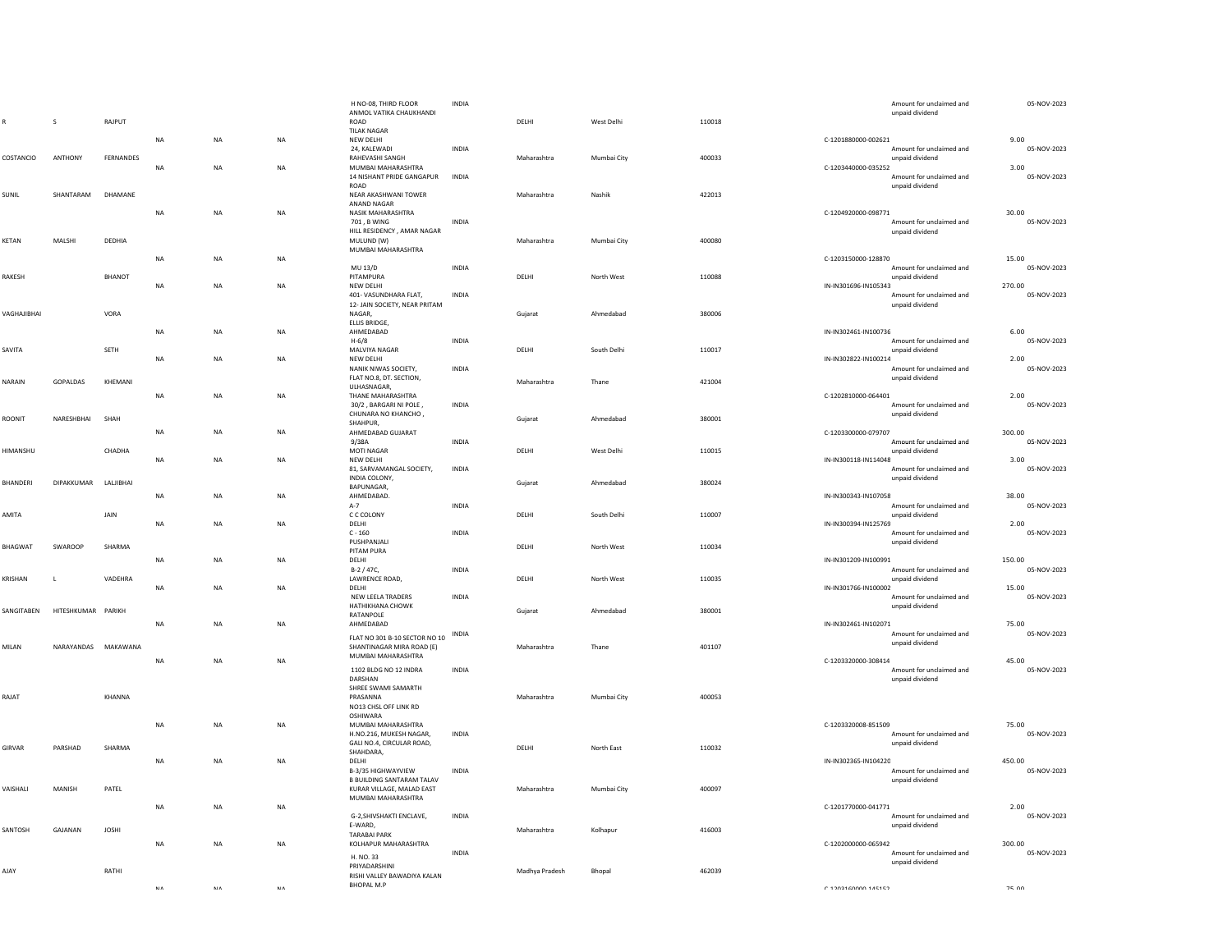|                |                     |              |             |            |            | H NO-08. THIRD FLOOR<br>ANMOL VATIKA CHAUKHANDI        | <b>INDIA</b> |                |             |        |                      | Amount for unclaimed and<br>unpaid dividend | 05-NOV-2023           |
|----------------|---------------------|--------------|-------------|------------|------------|--------------------------------------------------------|--------------|----------------|-------------|--------|----------------------|---------------------------------------------|-----------------------|
|                | s                   | RAJPUT       |             |            |            | ROAD                                                   |              | DELHI          | West Delhi  | 110018 |                      |                                             |                       |
|                |                     |              | NA          | <b>NA</b>  | NA         | <b>TILAK NAGAR</b><br>NEW DELHI                        |              |                |             |        | C-1201880000-002621  |                                             | 9.00                  |
|                |                     |              |             |            |            | 24, KALEWADI                                           | <b>INDIA</b> |                |             |        |                      | Amount for unclaimed and                    | 05-NOV-2023           |
| COSTANCIO      | ANTHONY             | FERNANDES    |             |            |            | RAHEVASHI SANGH                                        |              | Maharashtra    | Mumbai City | 400033 |                      | unpaid dividend                             |                       |
|                |                     |              | <b>NA</b>   | <b>NA</b>  | <b>NA</b>  | MUMBAI MAHARASHTRA<br>14 NISHANT PRIDE GANGAPUR        | INDIA        |                |             |        | C-1203440000-035252  | Amount for unclaimed and                    | 3.00<br>05-NOV-2023   |
|                |                     |              |             |            |            | <b>ROAD</b>                                            |              |                |             |        |                      | unnaid dividend                             |                       |
| SUNIL          | SHANTARAM           | DHAMANE      |             |            |            | NEAR AKASHWANI TOWER<br>ANAND NAGAR                    |              | Maharashtra    | Nashik      | 422013 |                      |                                             |                       |
|                |                     |              | NA          | NA         | NA         | NASIK MAHARASHTRA                                      |              |                |             |        | C-1204920000-098771  |                                             | 30.00                 |
|                |                     |              |             |            |            | 701, B WING                                            | <b>INDIA</b> |                |             |        |                      | Amount for unclaimed and                    | 05-NOV-2023           |
| KETAN          | MALSHI              | DEDHIA       |             |            |            | HILL RESIDENCY, AMAR NAGAR<br>MULUND (W)               |              | Maharashtra    | Mumbai City | 400080 |                      | unpaid dividend                             |                       |
|                |                     |              |             |            |            | MUMBAI MAHARASHTRA                                     |              |                |             |        |                      |                                             |                       |
|                |                     |              | NA          | NA         | NA         | MU 13/D                                                | <b>INDIA</b> |                |             |        | C-1203150000-128870  | Amount for unclaimed and                    | 15.00<br>05-NOV-2023  |
| RAKESH         |                     | BHANOT       |             |            |            | PITAMPURA                                              |              | DELHI          | North West  | 110088 |                      | unpaid dividend                             |                       |
|                |                     |              | NA          | <b>NA</b>  | <b>NA</b>  | NEW DELHI                                              |              |                |             |        | IN-IN301696-IN105343 |                                             | 270.00                |
|                |                     |              |             |            |            | 401- VASUNDHARA FLAT,<br>12- JAIN SOCIETY, NEAR PRITAM | <b>INDIA</b> |                |             |        |                      | Amount for unclaimed and<br>unpaid dividend | 05-NOV-2023           |
| VAGHAJIBHAI    |                     | VORA         |             |            |            | NAGAR.                                                 |              | Gujarat        | Ahmedabad   | 380006 |                      |                                             |                       |
|                |                     |              | <b>NA</b>   | NA         | <b>NA</b>  | ELLIS BRIDGE,<br>AHMEDABAD                             |              |                |             |        | IN-IN302461-IN100736 |                                             | 6.00                  |
|                |                     |              |             |            |            | $H - 6/8$                                              | INDIA        |                |             |        |                      | Amount for unclaimed and                    | 05-NOV-2023           |
| SAVITA         |                     | SETH         |             |            |            | MAI VIYA NAGAR                                         |              | DELHI          | South Delhi | 110017 |                      | unnaid dividend                             |                       |
|                |                     |              | NA          | NA         | NA         | NEW DELHI<br>NANIK NIWAS SOCIETY,                      | INDIA        |                |             |        | IN-IN302822-IN100214 | Amount for unclaimed and                    | 2.00<br>05-NOV-2023   |
| NARAIN         | GOPALDAS            | KHEMANI      |             |            |            | FLAT NO.8, DT. SECTION,                                |              | Maharashtra    | Thane       | 421004 |                      | unpaid dividend                             |                       |
|                |                     |              | NA          | NA         | NA         | ULHASNAGAR,<br>THANE MAHARASHTRA                       |              |                |             |        | C-1202810000-064401  |                                             | 2.00                  |
|                |                     |              |             |            |            | 30/2, BARGARI NI POLE,                                 | INDIA        |                |             |        |                      | Amount for unclaimed and                    | 05-NOV-2023           |
| ROONIT         | NARESHBHAI          | SHAH         |             |            |            | CHUNARA NO KHANCHO,                                    |              | Gujarat        | Ahmedabad   | 380001 |                      | unpaid dividend                             |                       |
|                |                     |              | <b>NA</b>   | NA         | <b>NA</b>  | SHAHPUR,<br>AHMEDABAD GUJARAT                          |              |                |             |        | C-1203300000-079707  |                                             | 300.00                |
|                |                     |              |             |            |            | 9/38A                                                  | INDIA        |                |             |        |                      | Amount for unclaimed and                    | 05-NOV-2023           |
| HIMANSHU       |                     | CHADHA       | NA          | <b>NA</b>  | NA         | MOTI NAGAR<br>NEW DELHI                                |              | DELHI          | West Delhi  | 110015 | IN-IN300118-IN114048 | unnaid dividend                             | 3.00                  |
|                |                     |              |             |            |            | 81, SARVAMANGAL SOCIETY,                               | INDIA        |                |             |        |                      | Amount for unclaimed and                    | 05-NOV-2023           |
| BHANDERI       | DIPAKKUMAR          | LALJIBHAI    |             |            |            | INDIA COLONY,                                          |              | Gujarat        | Ahmedabad   | 380024 |                      | unpaid dividend                             |                       |
|                |                     |              | <b>NA</b>   | <b>NA</b>  | <b>NA</b>  | BAPUNAGAR,<br>AHMEDABAD.                               |              |                |             |        | IN-IN300343-IN107058 |                                             | 38.00                 |
|                |                     |              |             |            |            | $A-7$                                                  | INDIA        |                |             |        |                      | Amount for unclaimed and                    | 05-NOV-2023           |
| AMITA          |                     | JAIN         | NA          | NA         | NA         | C C COLONY<br>DELHI                                    |              | DELHI          | South Delhi | 110007 | IN-IN300394-IN125769 | unpaid dividend                             | 2.00                  |
|                |                     |              |             |            |            | $C - 160$                                              | <b>INDIA</b> |                |             |        |                      | Amount for unclaimed and                    | 05-NOV-2023           |
| <b>BHAGWAT</b> | <b>SWAROOP</b>      | SHARMA       |             |            |            | PUSHPANJALI                                            |              | <b>DELHI</b>   | North West  | 110034 |                      | unpaid dividend                             |                       |
|                |                     |              | NA          | NA         | NA         | PITAM PURA<br>DELHI                                    |              |                |             |        | IN-IN301209-IN100991 |                                             | 150.00                |
|                |                     |              |             |            |            | B-2 / 47C,                                             | <b>INDIA</b> |                |             |        |                      | Amount for unclaimed and                    | 05-NOV-2023           |
| KRISHAN        | $\mathsf{L}$        | VADEHRA      | NA          | NA         | NA         | LAWRENCE ROAD,<br>DELHI                                |              | DELHI          | North West  | 110035 | IN-IN301766-IN100002 | unpaid dividend                             | 15.00                 |
|                |                     |              |             |            |            | NEW LEELA TRADERS                                      | <b>INDIA</b> |                |             |        |                      | Amount for unclaimed and                    | 05-NOV-2023           |
| SANGITABEN     | HITESHKUMAR PARIKH  |              |             |            |            | HATHIKHANA CHOWK<br><b>RATANPOLE</b>                   |              | Gujarat        | Ahmedabad   | 380001 |                      | unpaid dividend                             |                       |
|                |                     |              | NA          | NA         | NA         | AHMEDABAD                                              |              |                |             |        | IN-IN302461-IN102071 |                                             | 75.00                 |
|                |                     |              |             |            |            | FLAT NO 301 B-10 SECTOR NO 10                          | <b>INDIA</b> |                |             |        |                      | Amount for unclaimed and                    | 05-NOV-2023           |
| MILAN          | NARAYANDAS MAKAWANA |              |             |            |            | SHANTINAGAR MIRA ROAD (E)                              |              | Maharashtra    | Thane       | 401107 |                      | unpaid dividend                             |                       |
|                |                     |              | <b>NA</b>   | <b>NA</b>  | <b>NA</b>  | MUMBAI MAHARASHTRA                                     |              |                |             |        | C-1203320000-308414  |                                             | 45.00                 |
|                |                     |              |             |            |            | 1102 BLDG NO 12 INDRA<br>DARSHAN                       | <b>INDIA</b> |                |             |        |                      | Amount for unclaimed and<br>unpaid dividend | 05-NOV-2023           |
|                |                     |              |             |            |            | SHREE SWAMI SAMARTH                                    |              |                |             |        |                      |                                             |                       |
| RAJAT          |                     | KHANNA       |             |            |            | PRASANNA                                               |              | Maharashtra    | Mumbai City | 400053 |                      |                                             |                       |
|                |                     |              |             |            |            | NO13 CHSL OFF LINK RD<br><b>OSHIWARA</b>               |              |                |             |        |                      |                                             |                       |
|                |                     |              | $_{\sf NA}$ | <b>NA</b>  | NA         | MUMBAI MAHARASHTRA                                     |              |                |             |        | C-1203320008-851509  |                                             | 75.00                 |
|                |                     |              |             |            |            | H.NO.216, MUKESH NAGAR,<br>GALI NO.4, CIRCULAR ROAD,   | INDIA        |                |             |        |                      | Amount for unclaimed and<br>unpaid dividend | 05-NOV-2023           |
| GIRVAR         | PARSHAD             | SHARMA       |             |            |            | SHAHDARA,                                              |              | DELHI          | North East  | 110032 |                      |                                             |                       |
|                |                     |              | <b>NA</b>   | <b>NA</b>  | <b>NA</b>  | DELHI<br>B-3/35 HIGHWAYVIEW                            | INDIA        |                |             |        | IN-IN302365-IN104220 | Amount for unclaimed and                    | 450.00<br>05-NOV-2023 |
|                |                     |              |             |            |            | <b>B BUILDING SANTARAM TALAV</b>                       |              |                |             |        |                      | unpaid dividend                             |                       |
| VAISHALI       | MANISH              | PATEL        |             |            |            | KURAR VILLAGE, MALAD EAST<br>MUMBAI MAHARASHTRA        |              | Maharashtra    | Mumbai City | 400097 |                      |                                             |                       |
|                |                     |              | ΝA          | NA         | NA         |                                                        |              |                |             |        | C-1201770000-041771  |                                             | 2.00                  |
|                |                     |              |             |            |            | G-2, SHIVSHAKTI ENCLAVE,                               | INDIA        |                |             |        |                      | Amount for unclaimed and                    | 05-NOV-2023           |
| SANTOSH        | GAJANAN             | <b>JOSHI</b> |             |            |            | E-WARD.<br><b>TARABAI PARK</b>                         |              | Maharashtra    | Kolhapur    | 416003 |                      | unpaid dividend                             |                       |
|                |                     |              | <b>NA</b>   | <b>NA</b>  | <b>NA</b>  | KOLHAPUR MAHARASHTRA                                   |              |                |             |        | C-1202000000-065942  |                                             | 300.00                |
|                |                     |              |             |            |            | H. NO. 33                                              | <b>INDIA</b> |                |             |        |                      | Amount for unclaimed and<br>unpaid dividend | 05-NOV-2023           |
| AJAY           |                     | RATHI        |             |            |            | PRIYADARSHINI<br>RISHI VALLEY BAWADIYA KALAN           |              | Madhya Pradesh | Bhopal      | 462039 |                      |                                             |                       |
|                |                     |              |             |            |            |                                                        |              |                |             |        |                      |                                             |                       |
|                |                     |              | M A         | <b>NIA</b> | <b>NIA</b> | <b>BHOPAL M.P</b>                                      |              |                |             |        | C 1202160000 145152  |                                             | 75.00                 |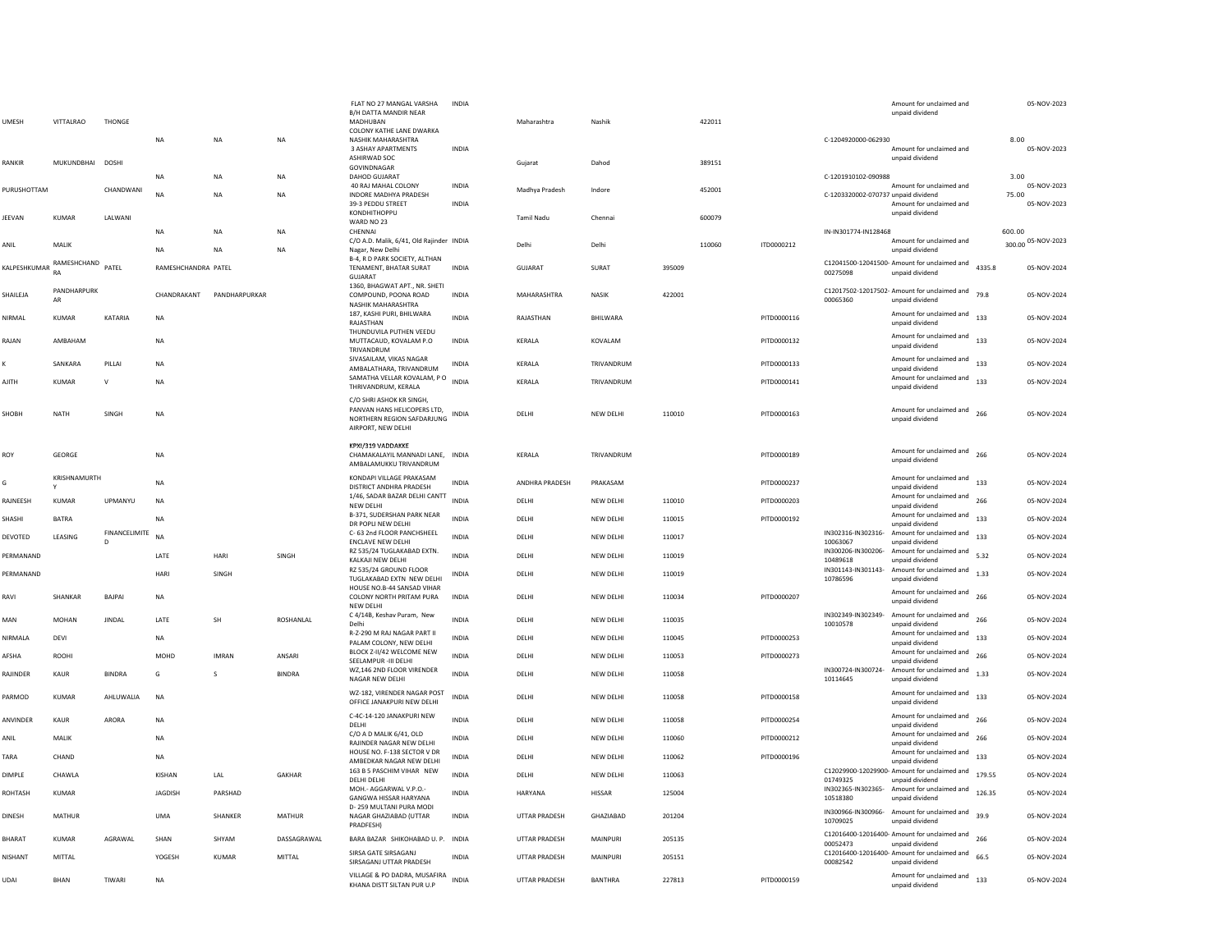| <b>UMFSH</b>   | VITTAI RAO              | <b>THONGE</b>      |                     |               |               | FLAT NO 27 MANGAL VARSHA<br>B/H DATTA MANDIR NEAR<br>MADHURAN<br>COLONY KATHE LANE DWARKA                   | INDIA                        | Maharashtra          | Nashik         |        | 422011 |             |                                     | Amount for unclaimed and<br>unpaid dividend                     |        | 05-NOV-2023                |
|----------------|-------------------------|--------------------|---------------------|---------------|---------------|-------------------------------------------------------------------------------------------------------------|------------------------------|----------------------|----------------|--------|--------|-------------|-------------------------------------|-----------------------------------------------------------------|--------|----------------------------|
|                |                         |                    | <b>NA</b>           | <b>NA</b>     | <b>NA</b>     | NASHIK MAHARASHTRA<br>3 ASHAY APARTMENTS<br>ASHIRWAD SOC                                                    | <b>INDIA</b>                 |                      |                |        |        |             | C-1204920000-062930                 | Amount for unclaimed and<br>unpaid dividend                     | 8.00   | 05-NOV-2023                |
| RANKIR         | MUKUNDBHAI DOSHI        |                    | <b>NA</b>           | <b>NA</b>     | NA            | GOVINDNAGAR<br>DAHOD GUJARAT                                                                                |                              | Gujarat              | Dahod          |        | 389151 |             | C-1201910102-090988                 |                                                                 | 3.00   |                            |
| PURUSHOTTAM    |                         | CHANDWANI          | <b>NA</b>           | <b>NA</b>     | <b>NA</b>     | 40 RAJ MAHAL COLONY<br>INDORE MADHYA PRADESH<br>39-3 PEDDU STREET                                           | <b>INDIA</b><br><b>INDIA</b> | Madhya Pradesh       | Indore         |        | 452001 |             | C-1203320002-070737 unpaid dividend | Amount for unclaimed and<br>Amount for unclaimed and            | 75.00  | 05-NOV-2023<br>05-NOV-2023 |
| JEEVAN         | <b>KUMAR</b>            | LALWANI            |                     |               |               | KONDHITHOPPL<br>WARD NO 23                                                                                  |                              | <b>Tamil Nadu</b>    | Chennai        |        | 600079 |             |                                     | unpaid dividend                                                 |        |                            |
|                |                         |                    | <b>NA</b>           | <b>NA</b>     | NA            | CHENNAI<br>C/O A.D. Malik, 6/41, Old Rajinder INDIA                                                         |                              |                      |                |        |        |             | IN-IN301774-IN128468                | Amount for unclaimed and                                        | 600.00 | 300.00 05-NOV-2023         |
| ANIL           | MALIK                   |                    | <b>NA</b>           | <b>NA</b>     | NA            | Nagar, New Delhi<br>B-4, R D PARK SOCIETY, ALTHAN                                                           |                              | Delhi                | Delhi          |        | 110060 | ITD0000212  |                                     | unpaid dividend                                                 |        |                            |
| KALPESHKUMAR   | RAMESHCHAND PATEL<br>RA |                    | RAMESHCHANDRA PATEL |               |               | TENAMENT, BHATAR SURAT<br>GUJARAT                                                                           | <b>INDIA</b>                 | <b>GUJARAT</b>       | SURAT          | 395009 |        |             | 00275098                            | C12041500-12041500- Amount for unclaimed and<br>unpaid dividend | 4335.8 | 05-NOV-2024                |
| SHAILEJA       | PANDHARPURK<br>AR       |                    | CHANDRAKANT         | PANDHARPURKAR |               | 1360, BHAGWAT APT., NR. SHETI<br>COMPOUND, POONA ROAD<br>NASHIK MAHARASHTRA                                 | <b>INDIA</b>                 | MAHARASHTRA          | NASIK          | 422001 |        |             | 00065360                            | C12017502-12017502- Amount for unclaimed and<br>unpaid dividend | 79.8   | 05-NOV-2024                |
| NIRMAL         | <b>KUMAR</b>            | KATARIA            | <b>NA</b>           |               |               | 187, KASHI PURI, BHILWARA<br>RAJASTHAN<br>THUNDUVILA PUTHEN VEEDU                                           | <b>INDIA</b>                 | RAJASTHAN            | BHILWARA       |        |        | PITD0000116 |                                     | Amount for unclaimed and<br>unpaid dividend                     | 133    | 05-NOV-2024                |
| RAJAN          | AMBAHAM                 |                    | <b>NA</b>           |               |               | MUTTACAUD, KOVALAM P.O<br>TRIVANDRUM                                                                        | <b>INDIA</b>                 | KERALA               | KOVALAM        |        |        | PITD0000132 |                                     | Amount for unclaimed and<br>unpaid dividend                     | 133    | 05-NOV-2024                |
|                | SANKARA                 | PILLAI             | <b>NA</b>           |               |               | SIVASAILAM, VIKAS NAGAR<br>AMBALATHARA, TRIVANDRUM                                                          | <b>INDIA</b>                 | KERALA               | TRIVANDRUM     |        |        | PITD0000133 |                                     | Amount for unclaimed and<br>unpaid dividend                     | 133    | 05-NOV-2024                |
| <b>AJITH</b>   | <b>KUMAR</b>            | $\vee$             | <b>NA</b>           |               |               | SAMATHA VELLAR KOVALAM, PO<br>THRIVANDRUM, KERALA                                                           | <b>INDIA</b>                 | KERALA               | TRIVANDRUM     |        |        | PITD0000141 |                                     | Amount for unclaimed and<br>unpaid dividend                     | 133    | 05-NOV-2024                |
| SHOBH          | <b>NATH</b>             | SINGH              | NA                  |               |               | C/O SHRI ASHOK KR SINGH,<br>PANVAN HANS HELICOPERS LTD.<br>NORTHERN REGION SAFDARJUNG<br>AIRPORT, NEW DELHI | <b>INDIA</b>                 | DELHI                | NEW DELHI      | 110010 |        | PITD0000163 |                                     | Amount for unclaimed and<br>unpaid dividend                     | 266    | 05-NOV-2024                |
| ROY            | GEORGE                  |                    | <b>NA</b>           |               |               | KPXI/319 VADDAKKE<br>CHAMAKALAYIL MANNADI LANE. INDIA<br>AMBALAMUKKU TRIVANDRUM                             |                              | <b>KFRAIA</b>        | TRIVANDRUM     |        |        | PITD0000189 |                                     | Amount for unclaimed and<br>unpaid dividend                     | 266    | 05-NOV-2024                |
| G              | KRISHNAMURTH<br>Y       |                    | NA                  |               |               | KONDAPI VILLAGE PRAKASAM<br>DISTRICT ANDHRA PRADESH                                                         | <b>INDIA</b>                 | ANDHRA PRADESH       | PRAKASAM       |        |        | PITD0000237 |                                     | Amount for unclaimed and<br>unpaid dividend                     | 133    | 05-NOV-2024                |
| RAJNEESH       | <b>KUMAR</b>            | UPMANYU            | <b>NA</b>           |               |               | 1/46, SADAR BAZAR DELHI CANTT<br>NEW DELHI                                                                  | <b>INDIA</b>                 | DELHI                | NEW DELHI      | 110010 |        | PITD0000203 |                                     | Amount for unclaimed and<br>unpaid dividend                     | 266    | 05-NOV-2024                |
| SHASHI         | <b>BATRA</b>            |                    | NA                  |               |               | B-371, SUDERSHAN PARK NEAR<br>DR POPLI NEW DELHI                                                            | <b>INDIA</b>                 | DELHI                | NEW DELHI      | 110015 |        | PITD0000192 |                                     | Amount for unclaimed and<br>unpaid dividend                     | 133    | 05-NOV-2024                |
| DEVOTED        | LEASING                 | FINANCELIMITE<br>D | <b>NA</b>           |               |               | C- 63 2nd FLOOR PANCHSHEEL<br><b>ENCLAVE NEW DELHI</b>                                                      | <b>INDIA</b>                 | DELHI                | NEW DELHI      | 110017 |        |             | IN302316-IN302316-<br>10063067      | Amount for unclaimed and<br>unpaid dividend                     | 133    | 05-NOV-2024                |
| PERMANAND      |                         |                    | LATE                | HARI          | SINGH         | RZ 535/24 TUGLAKABAD EXTN.<br>KALKAJI NEW DELHI                                                             | <b>INDIA</b>                 | DELHI                | NEW DELHI      | 110019 |        |             | IN300206-IN300206-<br>10489618      | Amount for unclaimed and<br>unpaid dividend                     | 5.32   | 05-NOV-2024                |
| PERMANAND      |                         |                    | HARI                | SINGH         |               | RZ 535/24 GROUND FLOOR<br>TUGLAKABAD EXTN NEW DELHI<br>HOUSE NO.B-44 SANSAD VIHAR                           | <b>INDIA</b>                 | <b>DELHI</b>         | NEW DELHI      | 110019 |        |             | IN301143-IN301143-<br>10786596      | Amount for unclaimed and<br>unpaid dividend                     | 1.33   | 05-NOV-2024                |
| RAVI           | SHANKAR                 | <b>BAJPAI</b>      | <b>NA</b>           |               |               | COLONY NORTH PRITAM PURA<br>NEW DELHI                                                                       | <b>INDIA</b>                 | DELHI                | NEW DELHI      | 110034 |        | PITD0000207 |                                     | Amount for unclaimed and<br>unpaid dividend                     | 266    | 05-NOV-2024                |
| MAN            | MOHAN                   | <b>JINDAL</b>      | LATE                | <b>SH</b>     | ROSHANLAL     | C 4/14B, Keshav Puram, New<br>Delhi                                                                         | <b>INDIA</b>                 | DELHI                | NEW DELHI      | 110035 |        |             | IN302349-IN302349-<br>10010578      | Amount for unclaimed and<br>unpaid dividend                     | 266    | 05-NOV-2024                |
| NIRMALA        | DEVI                    |                    | NA                  |               |               | R-Z-290 M RAJ NAGAR PART II<br>PALAM COLONY, NEW DELHI                                                      | <b>INDIA</b>                 | DELHI                | NEW DELHI      | 110045 |        | PITD0000253 |                                     | Amount for unclaimed and<br>unpaid dividend                     | 133    | 05-NOV-2024                |
| AFSHA          | <b>ROOHI</b>            |                    | <b>MOHD</b>         | <b>IMRAN</b>  | ANSARI        | BLOCK Z-II/42 WELCOME NEW<br>SEELAMPUR -III DELHI                                                           | <b>INDIA</b>                 | DELHI                | NEW DELHI      | 110053 |        | PITD0000273 |                                     | Amount for unclaimed and<br>unpaid dividend                     | 266    | 05-NOV-2024                |
| RAJINDER       | KAUR                    | <b>BINDRA</b>      | G                   | $\mathsf{s}$  | <b>BINDRA</b> | WZ,146 2ND FLOOR VIRENDER<br>NAGAR NEW DELHI                                                                | <b>INDIA</b>                 | DELHI                | NEW DELHI      | 110058 |        |             | IN300724-IN300724-<br>10114645      | Amount for unclaimed and<br>unpaid dividend                     | 1.33   | 05-NOV-2024                |
| PARMOD         | KUMAR                   | AHLUWALIA          | NA                  |               |               | WZ-182, VIRENDER NAGAR POST<br>OFFICE JANAKPURI NEW DELHI                                                   | INDIA                        | DELHI                | NEW DELHI      | 110058 |        | PITD0000158 |                                     | Amount for unclaimed and<br>unpaid dividend                     | 133    | 05-NOV-2024                |
| ANVINDER       | KAUR                    | ARORA              | NA                  |               |               | C-4C-14-120 JANAKPURI NEW<br>DELHI                                                                          | <b>INDIA</b>                 | DELHI                | NEW DELHI      | 110058 |        | PITD0000254 |                                     | Amount for unclaimed and<br>unpaid dividend                     | 266    | 05-NOV-2024                |
| ANIL           | MALIK                   |                    | <b>NA</b>           |               |               | C/O A D MALIK 6/41, OLD<br>RAJINDER NAGAR NEW DELHI                                                         | <b>INDIA</b>                 | DELHI                | NEW DELHI      | 110060 |        | PITD0000212 |                                     | Amount for unclaimed and<br>unpaid dividend                     | 266    | 05-NOV-2024                |
| TARA           | CHAND                   |                    | <b>NA</b>           |               |               | HOUSE NO. F-138 SECTOR V DR<br>AMBEDKAR NAGAR NEW DELHI                                                     | <b>INDIA</b>                 | DELHI                | NEW DELHI      | 110062 |        | PITD0000196 |                                     | Amount for unclaimed and<br>unpaid dividend                     | 133    | 05-NOV-2024                |
| <b>DIMPLE</b>  | CHAWLA                  |                    | <b>KISHAN</b>       | LAL           | <b>GAKHAR</b> | 163 B 5 PASCHIM VIHAR NEW<br>DELHI DELHI                                                                    | <b>INDIA</b>                 | DELHI                | NEW DELHI      | 110063 |        |             | 01749325                            | C12029900-12029900- Amount for unclaimed and<br>unpaid dividend | 179.55 | 05-NOV-2024                |
| ROHTASH        | <b>KUMAR</b>            |                    | JAGDISH             | PARSHAD       |               | MOH.- AGGARWAL V.P.O.-<br>GANGWA HISSAR HARYANA<br>D- 259 MULTANI PURA MODI                                 | <b>INDIA</b>                 | <b>HARYANA</b>       | <b>HISSAR</b>  | 125004 |        |             | IN302365-IN302365-<br>10518380      | Amount for unclaimed and<br>unpaid dividend                     | 126.35 | 05-NOV-2024                |
| <b>DINESH</b>  | MATHUR                  |                    | <b>UMA</b>          | SHANKER       | MATHUR        | NAGAR GHAZIABAD (UTTAR<br>PRADFESH)                                                                         | INDIA                        | UTTAR PRADESH        | GHAZIABAD      | 201204 |        |             | 10709025                            | IN300966-IN300966- Amount for unclaimed and<br>unpaid dividend  | 39.9   | 05-NOV-2024                |
| BHARAT         | <b>KUMAR</b>            | AGRAWAL            | SHAN                | SHYAM         | DASSAGRAWAL   | BARA BAZAR SHIKOHABAD U. P.                                                                                 | <b>INDIA</b>                 | UTTAR PRADESH        | MAINPURI       | 205135 |        |             | 00052473                            | C12016400-12016400- Amount for unclaimed and<br>unpaid dividend | 266    | 05-NOV-2024                |
| <b>NISHANT</b> | MITTAL                  |                    | YOGESH              | KUMAR         | MITTAL        | SIRSA GATE SIRSAGANJ<br>SIRSAGANJ UTTAR PRADESH                                                             | <b>INDIA</b>                 | <b>UTTAR PRADESH</b> | MAINPURI       | 205151 |        |             | 00082542                            | C12016400-12016400- Amount for unclaimed and<br>unpaid dividend | 66.5   | 05-NOV-2024                |
| UDAI           | <b>BHAN</b>             | TIWARI             | <b>NA</b>           |               |               | VILLAGE & PO DADRA, MUSAFIRA<br>KHANA DISTT SILTAN PUR U.P                                                  | <b>INDIA</b>                 | <b>UTTAR PRADESH</b> | <b>BANTHRA</b> | 227813 |        | PITD0000159 |                                     | Amount for unclaimed and<br>unpaid dividend                     | 133    | 05-NOV-2024                |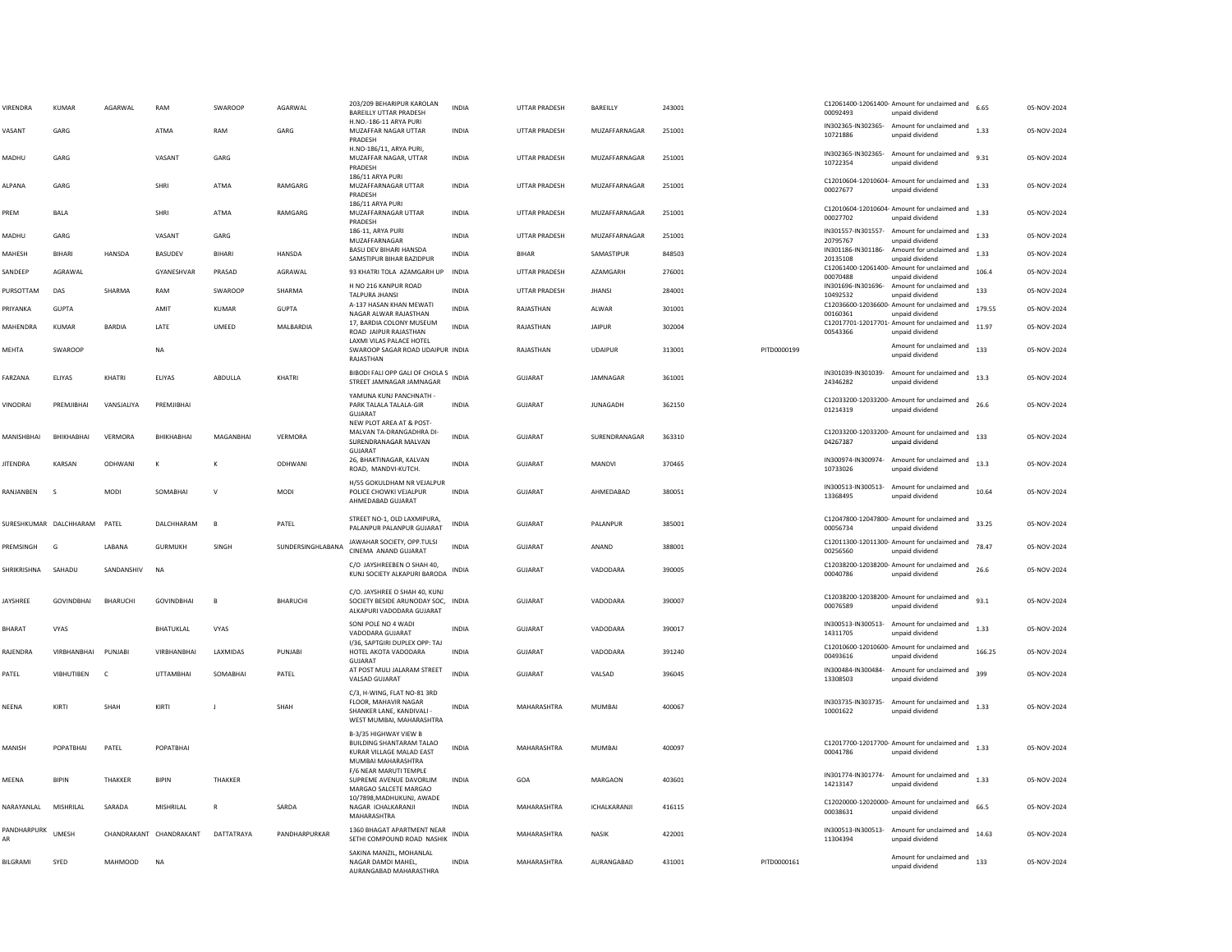| VIRENDRA               | <b>KUMAR</b>      | AGARWAL                 | RAM               | SWAROOP        | AGARWAL           | 203/209 BEHARIPUR KAROLAN<br><b>BAREILLY UTTAR PRADESH</b>                                                          | <b>INDIA</b> | <b>UTTAR PRADESH</b> | BAREILLY        | 243001 |             | 00092493                       | C12061400-12061400- Amount for unclaimed and<br>unpaid dividend | 6.65   | 05-NOV-2024 |
|------------------------|-------------------|-------------------------|-------------------|----------------|-------------------|---------------------------------------------------------------------------------------------------------------------|--------------|----------------------|-----------------|--------|-------------|--------------------------------|-----------------------------------------------------------------|--------|-------------|
| VASANT                 | GARG              |                         | ATMA              | RAM            | GARG              | H.NO.-186-11 ARYA PURI<br>MUZAFFAR NAGAR UTTAR<br>PRADESH                                                           | <b>INDIA</b> | <b>UTTAR PRADESH</b> | MUZAFFARNAGAR   | 251001 |             | 10721886                       | IN302365-IN302365- Amount for unclaimed and<br>unpaid dividend  | 1.33   | 05-NOV-2024 |
| MADHU                  | GARG              |                         | VASANT            | GARG           |                   | H.NO-186/11, ARYA PURI,<br>MUZAFFAR NAGAR, UTTAR<br>PRADESH                                                         | <b>INDIA</b> | UTTAR PRADESH        | MUZAFFARNAGAR   | 251001 |             | 10722354                       | IN302365-IN302365- Amount for unclaimed and<br>unpaid dividend  | 9.31   | 05-NOV-2024 |
| AI PANA                | GARG              |                         | SHRI              | ATMA           | RAMGARG           | 186/11 ARYA PURI<br>MUZAFFARNAGAR UTTAR<br>PRADESH                                                                  | <b>INDIA</b> | <b>UTTAR PRADESH</b> | MUZAFFARNAGAR   | 251001 |             | 00027677                       | C12010604-12010604- Amount for unclaimed and<br>unpaid dividend | 1.33   | 05-NOV-2024 |
| PREM                   | <b>BALA</b>       |                         | SHRI              | <b>ATMA</b>    | RAMGARG           | 186/11 ARYA PURI<br>MUZAFFARNAGAR UTTAR<br>PRADESH                                                                  | <b>INDIA</b> | <b>UTTAR PRADESH</b> | MUZAFFARNAGAR   | 251001 |             | 00027702                       | C12010604-12010604- Amount for unclaimed and<br>unpaid dividend | 1.33   | 05-NOV-2024 |
| MADHU                  | GARG              |                         | VASANT            | GARG           |                   | 186-11, ARYA PURI<br>MUZAFFARNAGAR                                                                                  | <b>INDIA</b> | UTTAR PRADESH        | MUZAFFARNAGAR   | 251001 |             | IN301557-IN301557-<br>20795767 | Amount for unclaimed and<br>unpaid dividend                     | 1.33   | 05-NOV-2024 |
| MAHESH                 | <b>BIHARI</b>     | HANSDA                  | BASUDEV           | BIHARI         | HANSDA            | <b>BASU DEV BIHARI HANSDA</b><br>SAMSTIPUR BIHAR BAZIDPUR                                                           | <b>INDIA</b> | <b>BIHAR</b>         | SAMASTIPUR      | 848503 |             | 20135108                       | IN301186-IN301186- Amount for unclaimed and<br>unpaid dividend  | 1.33   | 05-NOV-2024 |
| SANDEEP                | AGRAWAL           |                         | GYANESHVAR        | PRASAD         | AGRAWAL           | 93 KHATRI TOLA AZAMGARH UP                                                                                          | INDIA        | UTTAR PRADESH        | AZAMGARH        | 276001 |             | 00070488                       | C12061400-12061400- Amount for unclaimed and<br>unpaid dividend | 106.4  | 05-NOV-2024 |
| PURSOTTAM              | DAS               | SHARMA                  | RAM               | SWAROOP        | SHARMA            | H NO 216 KANPUR ROAD<br><b>TALPURA JHANS</b>                                                                        | <b>INDIA</b> | UTTAR PRADESH        | <b>JHANSI</b>   | 284001 |             | 10492532                       | IN301696-IN301696- Amount for unclaimed and<br>unpaid dividend  | 133    | 05-NOV-2024 |
| PRIYANKA               | <b>GUPTA</b>      |                         | AMIT              | KUMAR          | <b>GUPTA</b>      | A-137 HASAN KHAN MEWATI<br>NAGAR ALWAR RAJASTHAN                                                                    | <b>INDIA</b> | RAJASTHAN            | ALWAR           | 301001 |             | 00160361                       | C12036600-12036600- Amount for unclaimed and<br>unpaid dividend | 179.55 | 05-NOV-2024 |
| MAHENDRA               | <b>KUMAR</b>      | <b>BARDIA</b>           | LATE              | UMEED          | MALBARDIA         | 17. BARDIA COLONY MUSEUM<br>ROAD JAIPUR RAJASTHAN                                                                   | <b>INDIA</b> | RAJASTHAN            | <b>JAIPUR</b>   | 302004 |             | 00543366                       | C12017701-12017701- Amount for unclaimed and<br>unpaid dividend | 11.97  | 05-NOV-2024 |
| MEHTA                  | SWAROOP           |                         | <b>NA</b>         |                |                   | LAXMI VILAS PALACE HOTEL<br>SWAROOP SAGAR ROAD UDAIPUR INDIA<br>RAJASTHAN                                           |              | RAJASTHAN            | <b>UDAIPUR</b>  | 313001 | PITD0000199 |                                | Amount for unclaimed and<br>unpaid dividend                     | 133    | 05-NOV-2024 |
| FARZANA                | ELIYAS            | KHATRI                  | ELIYAS            | ABDULLA        | KHATRI            | BIBODI FALI OPP GALI OF CHOLA S<br>INDIA<br>STREET JAMNAGAR JAMNAGAR                                                |              | <b>GUJARAT</b>       | JAMNAGAR        | 361001 |             | IN301039-IN301039-<br>24346282 | Amount for unclaimed and<br>unpaid dividend                     | 13.3   | 05-NOV-2024 |
| VINODRAI               | PREMJIBHA         | VANSJALIYA              | PREMJIBHAI        |                |                   | YAMUNA KUNJ PANCHNATH -<br>PARK TALALA TALALA-GIR<br>GUJARAT                                                        | <b>INDIA</b> | GUJARAT              | <b>JUNAGADH</b> | 362150 |             | 01214319                       | C12033200-12033200- Amount for unclaimed and<br>unpaid dividend | 26.6   | 05-NOV-2024 |
| MANISHBHAI             | BHIKHABHAI        | VERMORA                 | BHIKHABHAI        | MAGANBHAI      | VERMORA           | NEW PLOT AREA AT & POST-<br>MALVAN TA-DRANGADHRA DI<br>SURENDRANAGAR MALVAN<br>GUJARAT                              | <b>INDIA</b> | GUJARAT              | SURENDRANAGAR   | 363310 |             | 04267387                       | C12033200-12033200- Amount for unclaimed and<br>unpaid dividend | 133    | 05-NOV-2024 |
| <b>JITENDRA</b>        | KARSAN            | ODHWANI                 | к                 |                | ODHWANI           | 26, BHAKTINAGAR, KALVAN<br>ROAD, MANDVI-KUTCH.                                                                      | INDIA        | GUJARAT              | MANDVI          | 370465 |             | 10733026                       | IN300974-IN300974- Amount for unclaimed and<br>unpaid dividend  | 13.3   | 05-NOV-2024 |
| RANIANREN              | $\zeta$           | <b>MODI</b>             | SOMARHAI          | $\mathbf{v}$   | <b>MODI</b>       | H/55 GOKULDHAM NR VEJALPUR<br>POLICE CHOWKI VEJALPUR<br>AHMEDABAD GUJARAT                                           | <b>INDIA</b> | GUIARAT              | AHMFDARAD       | 380051 |             | 13368495                       | IN300513-IN300513- Amount for unclaimed and<br>unpaid dividend  | 10.64  | 05-NOV-2024 |
| SURESHKUMAR DALCHHARAM |                   | PATEL                   | DALCHHARAM        | $\overline{B}$ | PATEL             | STREET NO-1, OLD LAXMIPURA,<br>PALANPUR PALANPUR GUJARAT                                                            | <b>INDIA</b> | GUJARAT              | PALANPUR        | 385001 |             | 00056734                       | C12047800-12047800- Amount for unclaimed and<br>unpaid dividend | 33.25  | 05-NOV-2024 |
| PREMSINGH              | G                 | LABANA                  | <b>GURMUKH</b>    | SINGH          | SUNDERSINGHLABANA | JAWAHAR SOCIETY, OPP.TULSI<br>CINEMA ANAND GUJARAT                                                                  | <b>INDIA</b> | <b>GUJARAT</b>       | ANAND           | 388001 |             | 00256560                       | C12011300-12011300- Amount for unclaimed and<br>unpaid dividend | 78.47  | 05-NOV-2024 |
| SHRIKRISHNA            | SAHADU            | SANDANSHIV              | <b>NA</b>         |                |                   | C/O JAYSHREEBEN O SHAH 40,<br>KUNJ SOCIETY ALKAPURI BARODA                                                          | <b>INDIA</b> | GUJARAT              | VADODARA        | 390005 |             | 00040786                       | C12038200-12038200- Amount for unclaimed and<br>unpaid dividend |        | 05-NOV-2024 |
| IAYSHREE               | <b>GOVINDBHAI</b> | <b>BHARUCHI</b>         | <b>GOVINDBHAI</b> |                | <b>BHARUCHI</b>   | C/O. JAYSHREE O SHAH 40, KUNJ<br>SOCIETY BESIDE ARUNODAY SOC,<br>ALKAPURI VADODARA GUJARAT                          | INDIA        | <b>GUJARAT</b>       | VADODARA        | 390007 |             | 00076589                       | C12038200-12038200- Amount for unclaimed and<br>unpaid dividend | 93.1   | 05-NOV-2024 |
| BHARAT                 | <b>VYAS</b>       |                         | <b>BHATUKLAL</b>  | VYAS           |                   | SONI POLE NO 4 WADI<br>VADODARA GUJARAT                                                                             | <b>INDIA</b> | GUJARAT              | VADODARA        | 390017 |             | 14311705                       | IN300513-IN300513- Amount for unclaimed and<br>unpaid dividend  | 1.33   | 05-NOV-2024 |
| RAJENDRA               | VIRBHANBHAI       | PUNJABI                 | VIRBHANBHAI       | LAXMIDAS       | PUNJABI           | I/36, SAPTGIRI DUPLEX OPP: TAJ<br>HOTEL AKOTA VADODARA<br>GUJARAT                                                   | <b>INDIA</b> | GUJARAT              | VADODARA        | 391240 |             | 00493616                       | C12010600-12010600- Amount for unclaimed and<br>unpaid dividend | 166.25 | 05-NOV-2024 |
| PATEL                  | VIBHUTIBEN        | C                       | <b>UTTAMBHAI</b>  | SOMABHA        | PATEL             | AT POST MULI JALARAM STREET<br>VALSAD GUJARAT                                                                       | <b>INDIA</b> | <b>GUJARAT</b>       | VALSAD          | 396045 |             | 13308503                       | IN300484-IN300484- Amount for unclaimed and<br>unpaid dividend  | 399    | 05-NOV-2024 |
| NEENA                  | KIRTI             | SHAH                    | KIRTI             |                | SHAH              | C/3. H-WING, FLAT NO-81 3RD<br><b>FLOOR, MAHAVIR NAGAR</b><br>SHANKER LANE, KANDIVALI -<br>WEST MUMBAI, MAHARASHTRA | <b>INDIA</b> | MAHARASHTRA          | <b>MUMBAI</b>   | 400067 |             | 10001622                       | IN303735-IN303735- Amount for unclaimed and<br>unpaid dividend  | 1.33   | 05-NOV-2024 |
| MANISH                 | POPATBHAI         | PATEL                   | POPATBHAI         |                |                   | B-3/35 HIGHWAY VIEW B<br><b>BUILDING SHANTARAM TALAO</b><br>KURAR VILLAGE MALAD EAST<br>MUMBAI MAHARASHTRA          | <b>INDIA</b> | MAHARASHTRA          | MUMBAI          | 400097 |             | 00041786                       | C12017700-12017700- Amount for unclaimed and<br>unpaid dividend | 1.33   | 05-NOV-2024 |
| MEENA                  | <b>BIPIN</b>      | <b>THAKKFR</b>          | <b>BIPIN</b>      | <b>THAKKER</b> |                   | F/6 NEAR MARUTI TEMPLE<br>SUPREME AVENUE DAVORLIM<br>MARGAO SALCETE MARGAO                                          | <b>INDIA</b> | GOA                  | MARGAON         | 403601 |             | 14213147                       | IN301774-IN301774- Amount for unclaimed and<br>unpaid dividend  | 1.33   | 05-NOV-2024 |
| NARAYANLAL             | MISHRILAL         | SARADA                  | MISHRILAL         |                | SARDA             | 10/7898, MADHUKUNJ, AWADE<br>NAGAR ICHALKARANJI<br>MAHARASHTRA                                                      | <b>INDIA</b> | MAHARASHTRA          | ICHALKARANJI    | 416115 |             | 00038631                       | C12020000-12020000- Amount for unclaimed and<br>unpaid dividend | 66.5   | 05-NOV-2024 |
| PANDHARPURK<br>AR      | <b>UMFSH</b>      | CHANDRAKANT CHANDRAKANT |                   | DATTATRAYA     | PANDHARPURKAR     | 1360 BHAGAT APARTMENT NEAR<br>SETHI COMPOUND ROAD NASHIK                                                            | <b>INDIA</b> | MAHARASHTRA          | <b>NASIK</b>    | 422001 |             | IN300513-IN300513-<br>11304394 | Amount for unclaimed and<br>unpaid dividend                     | 14.63  | 05-NOV-2024 |
| BILGRAMI               | SYED              | MAHMOOD                 | <b>NA</b>         |                |                   | SAKINA MANZIL, MOHANLAL<br>NAGAR DAMDI MAHEL,<br>AURANGABAD MAHARASTHRA                                             | <b>INDIA</b> | MAHARASHTRA          | AURANGABAD      | 431001 | PITD0000161 |                                | Amount for unclaimed and<br>unpaid dividend                     | 133    | 05-NOV-2024 |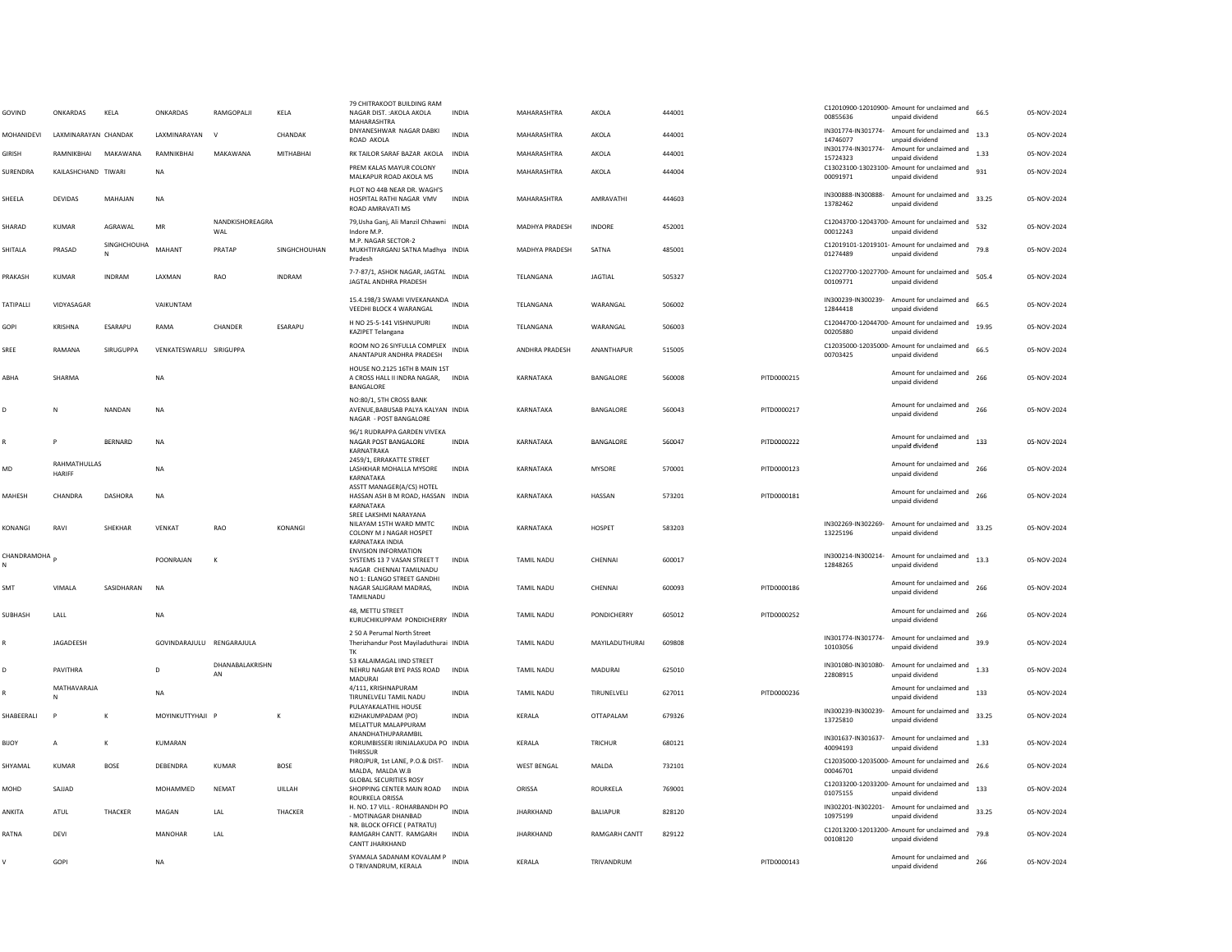| GOVIND          | ONKARDAS                      | KELA           | ONKARDAS                  | RAMGOPALJI             | KELA           | 79 CHITRAKOOT BUILDING RAM<br>NAGAR DIST. : AKOLA AKOLA<br>MAHARASHTRA                        | <b>INDIA</b> | MAHARASHTRA           | AKOLA                | 444001 |             | 00855636                       | C12010900-12010900- Amount for unclaimed and<br>unpaid dividend                                               | 66.5  | 05-NOV-2024 |
|-----------------|-------------------------------|----------------|---------------------------|------------------------|----------------|-----------------------------------------------------------------------------------------------|--------------|-----------------------|----------------------|--------|-------------|--------------------------------|---------------------------------------------------------------------------------------------------------------|-------|-------------|
| MOHANIDEVI      | LAXMINARAYAN CHANDAK          |                | LAXMINARAYAN              | $\vee$                 | CHANDAK        | DNYANESHWAR NAGAR DABKI<br>ROAD AKOLA                                                         | <b>INDIA</b> | MAHARASHTRA           | AKOLA                | 444001 |             | 14746077                       | IN301774-IN301774- Amount for unclaimed and<br>unpaid dividend<br>IN301774-IN301774- Amount for unclaimed and | 13.3  | 05-NOV-2024 |
| <b>GIRISH</b>   | RAMNIKBHAI                    | MAKAWANA       | RAMNIKBHAI                | MAKAWANA               | MITHABHAI      | RK TAILOR SARAF BAZAR AKOLA<br>PREM KALAS MAYUR COLONY                                        | <b>INDIA</b> | MAHARASHTRA           | AKOLA                | 444001 |             | 15724323                       | unpaid dividend<br>C13023100-13023100- Amount for unclaimed and                                               | 1.33  | 05-NOV-2024 |
| <b>SURENDRA</b> | KAILASHCHAND TIWARI           |                | <b>NA</b>                 |                        |                | MALKAPUR ROAD AKOLA MS                                                                        | <b>INDIA</b> | MAHARASHTRA           | AKOLA                | 444004 |             | 00091971                       | unpaid dividend                                                                                               | 931   | 05-NOV-2024 |
| SHEELA          | <b>DEVIDAS</b>                | MAHAJAN        | <b>NA</b>                 |                        |                | PLOT NO 44B NEAR DR. WAGH'S<br>HOSPITAL RATHI NAGAR VMV<br>ROAD AMRAVATI MS                   | <b>INDIA</b> | MAHARASHTRA           | AMRAVATHI            | 444603 |             | 13782462                       | IN300888-IN300888- Amount for unclaimed and 33.25<br>unpaid dividend                                          |       | 05-NOV-2024 |
| SHARAD          | <b>KUMAR</b>                  | AGRAWAL        | ${\sf MR}$                | NANDKISHOREAGRA<br>WAL |                | 79, Usha Ganj, Ali Manzil Chhawni<br>Indore M.P.                                              | <b>INDIA</b> | MADHYA PRADESH        | INDORE               | 452001 |             | 00012243                       | C12043700-12043700- Amount for unclaimed and<br>unpaid dividend                                               | 532   | 05-NOV-2024 |
| SHITALA         | PRASAD                        | SINGHCHOUHA    | MAHANT                    | PRATAP                 | SINGHCHOUHAN   | M.P. NAGAR SECTOR-2<br>MUKHTIYARGANJ SATNA Madhya INDIA<br>Pradesh                            |              | <b>MADHYA PRADESH</b> | SATNA                | 485001 |             | 01274489                       | C12019101-12019101- Amount for unclaimed and<br>unpaid dividend                                               | 79.8  | 05-NOV-2024 |
| PRAKASH         | KUMAR                         | INDRAM         | LAXMAN                    | RAO                    | <b>INDRAM</b>  | 7-7-87/1, ASHOK NAGAR, JAGTAL<br>JAGTAL ANDHRA PRADESH                                        | <b>INDIA</b> | TELANGANA             | <b>JAGTIAL</b>       | 505327 |             | 00109771                       | C12027700-12027700- Amount for unclaimed and<br>unpaid dividend                                               | 505.4 | 05-NOV-2024 |
| TATIPALL        | VIDYASAGAR                    |                | VAIKUNTAM                 |                        |                | 15.4.198/3 SWAMI VIVEKANANDA<br>VEEDHI BLOCK 4 WARANGAL                                       | <b>INDIA</b> | TELANGANA             | WARANGAL             | 506002 |             | 12844418                       | IN300239-IN300239- Amount for unclaimed and<br>unpaid dividend                                                | 66.5  | 05-NOV-2024 |
| GOPI            | KRISHNA                       | <b>FSARAPU</b> | RAMA                      | CHANDER                | <b>FSARAPU</b> | H NO 25-5-141 VISHNUPURI<br>KAZIPET Telangana                                                 | <b>INDIA</b> | <b>TFI ANGANA</b>     | WARANGAL             | 506003 |             | 00205880                       | C12044700-12044700- Amount for unclaimed and<br>unpaid dividend                                               | 19.95 | 05-NOV-2024 |
| SREE            | RAMANA                        | SIRUGUPPA      | VENKATESWARLU SIRIGUPPA   |                        |                | ROOM NO 26 SIYFULLA COMPLEX<br>ANANTAPUR ANDHRA PRADESH                                       | <b>INDIA</b> | ANDHRA PRADESH        | ANANTHAPUR           | 515005 |             | 00703425                       | C12035000-12035000- Amount for unclaimed and<br>unpaid dividend                                               | 66.5  | 05-NOV-2024 |
| ABHA            | SHARMA                        |                | NA                        |                        |                | HOUSE NO.2125 16TH B MAIN 1ST<br>A CROSS HALL II INDRA NAGAR,<br>BANGALORE                    | INDIA        | KARNATAKA             | BANGALORE            | 560008 | PITD0000215 |                                | Amount for unclaimed and<br>unpaid dividend                                                                   | 266   | 05-NOV-2024 |
| D               | N                             | <b>NANDAN</b>  | <b>NA</b>                 |                        |                | NO:80/1, 5TH CROSS BANK<br>AVENUE.BABUSAB PALYA KALYAN INDIA<br>NAGAR - POST BANGALORE        |              | KARNATAKA             | BANGALORE            | 560043 | PITD0000217 |                                | Amount for unclaimed and<br>unpaid dividend                                                                   | 266   | 05-NOV-2024 |
|                 |                               | BERNARD        | NA                        |                        |                | 96/1 RUDRAPPA GARDEN VIVEKA<br>NAGAR POST BANGALORE<br>KARNATRAKA                             | INDIA        | KARNATAKA             | BANGALORE            | 560047 | PITD0000222 |                                | Amount for unclaimed and<br>unpaid dividend                                                                   | 133   | 05-NOV-2024 |
| MD              | RAHMATHULLAS<br><b>HARIFF</b> |                | <b>NA</b>                 |                        |                | 2459/1, ERRAKATTE STREET<br>LASHKHAR MOHALLA MYSORE<br>KARNATAKA                              | <b>INDIA</b> | KARNATAKA             | <b>MYSORE</b>        | 570001 | PITD0000123 |                                | Amount for unclaimed and<br>unpaid dividend                                                                   | 266   | 05-NOV-2024 |
| MAHESH          | CHANDRA                       | DASHORA        | <b>NA</b>                 |                        |                | ASSTT MANAGER(A/CS) HOTEL<br>HASSAN ASH B M ROAD, HASSAN INDIA<br>KARNATAKA                   |              | KARNATAKA             | HASSAN               | 573201 | PITD0000181 |                                | Amount for unclaimed and<br>unpaid dividend                                                                   | 266   | 05-NOV-2024 |
| KONANGI         | RAVI                          | <b>SHFKHAR</b> | <b>VFNKAT</b>             | <b>RAO</b>             | KONANGI        | SREE LAKSHMI NARAYANA<br>NILAYAM 15TH WARD MMTC<br>COLONY M J NAGAR HOSPET<br>KARNATAKA INDIA | <b>INDIA</b> | KARNATAKA             | HOSPET               | 583203 |             | 13225196                       | IN302269-IN302269- Amount for unclaimed and<br>unpaid dividend                                                | 33.25 | 05-NOV-2024 |
| CHANDRAMOHA     |                               |                | POONRAJAN                 | K                      |                | <b>ENVISION INFORMATION</b><br>SYSTEMS 13 7 VASAN STREET T<br>NAGAR CHENNAI TAMILNADU         | <b>INDIA</b> | TAMIL NADU            | CHENNAI              | 600017 |             | 12848265                       | IN300214-IN300214- Amount for unclaimed and<br>unpaid dividend                                                | 13.3  | 05-NOV-2024 |
| SMT             | VIMAI A                       | SASIDHARAN     | <b>NA</b>                 |                        |                | NO 1: ELANGO STREET GANDHI<br>NAGAR SALIGRAM MADRAS.<br>TAMILNADU                             | <b>INDIA</b> | <b>TAMIL NADU</b>     | CHENNAL              | 600093 | PITD0000186 |                                | Amount for unclaimed and<br>unpaid dividend                                                                   | 266   | 05-NOV-2024 |
| SUBHASH         | LALL                          |                | <b>NA</b>                 |                        |                | 48, METTU STREET<br>KURUCHIKUPPAM PONDICHERRY                                                 | INDIA        | <b>TAMIL NADU</b>     | PONDICHERRY          | 605012 | PITD0000252 |                                | Amount for unclaimed and<br>unpaid dividend                                                                   | 266   | 05-NOV-2024 |
|                 | JAGADEESH                     |                | GOVINDARAJULU RENGARAJULA |                        |                | 250 A Perumal North Street<br>Therizhandur Post Mayiladuthurai INDIA<br>TK                    |              | TAMIL NADU            | MAYILADUTHURAI       | 609808 |             | 10103056                       | IN301774-IN301774- Amount for unclaimed and<br>unpaid dividend                                                | 39.9  | 05-NOV-2024 |
|                 | PAVITHRA                      |                | $\Omega$                  | DHANABALAKRISHN<br>AN  |                | 53 KALAIMAGAL IIND STREET<br>NEHRU NAGAR BYE PASS ROAD<br>MADURAI                             | <b>INDIA</b> | <b>TAMIL NADU</b>     | <b>MADURAI</b>       | 625010 |             | IN301080-IN301080-<br>22808915 | Amount for unclaimed and<br>unpaid dividend                                                                   | 1.33  | 05-NOV-2024 |
|                 | MATHAVARAJA                   |                | <b>NA</b>                 |                        |                | 4/111, KRISHNAPURAM<br>TIRUNELVELI TAMIL NADU<br>PULAYAKALATHIL HOUSE                         | <b>INDIA</b> | <b>TAMIL NADU</b>     | TIRUNELVELI          | 627011 | PITD0000236 |                                | Amount for unclaimed and<br>unpaid dividend                                                                   | 133   | 05-NOV-2024 |
| SHABEERALI      |                               | K              | MOYINKUTTYHAJI            |                        | $\mathsf{K}$   | KIZHAKUMPADAM (PO)<br>MELATTUR MALAPPURAM                                                     | <b>INDIA</b> | KERALA                | OTTAPALAM            | 679326 |             | 13725810                       | IN300239-IN300239- Amount for unclaimed and<br>unpaid dividend                                                | 33.25 | 05-NOV-2024 |
| BIJOY           | $\overline{A}$                | К              | KUMARAN                   |                        |                | ANANDHATHUPARAMBIL<br>KORUMBISSERI IRINJALAKUDA PO INDIA<br><b>THRISSUR</b>                   |              | KERALA                | TRICHUR              | 680121 |             | 40094193                       | IN301637-IN301637- Amount for unclaimed and<br>unpaid dividend                                                | 1.33  | 05-NOV-2024 |
| SHYAMAL         | KUMAR                         | <b>BOSE</b>    | DEBENDRA                  | <b>KUMAR</b>           | <b>BOSE</b>    | PIROJPUR, 1st LANE, P.O.& DIST-<br>MALDA, MALDA W.B<br><b>GLOBAL SECURITIES ROSY</b>          | <b>INDIA</b> | <b>WEST BENGAL</b>    | MALDA                | 732101 |             | 00046701                       | C12035000-12035000- Amount for unclaimed and<br>unpaid dividend                                               | 26.6  | 05-NOV-2024 |
| MOHD            | SAJJAD                        |                | MOHAMMED                  | <b>NEMAT</b>           | UILLAH         | SHOPPING CENTER MAIN ROAD INDIA<br>ROURKELA ORISSA                                            |              | ORISSA                | ROURKELA             | 769001 |             | 01075155                       | C12033200-12033200- Amount for unclaimed and<br>unpaid dividend                                               | 133   | 05-NOV-2024 |
| ANKITA          | ATUL                          | THACKER        | MAGAN                     | <b>IAI</b>             | THACKER        | H. NO. 17 VILL - ROHARBANDH PO<br>- MOTINAGAR DHANBAD                                         | <b>INDIA</b> | <b>IHARKHAND</b>      | <b>BALIAPUR</b>      | 828120 |             | IN302201-IN302201-<br>10975199 | Amount for unclaimed and<br>unpaid dividend                                                                   | 33.25 | 05-NOV-2024 |
| RATNA           | DEVI                          |                | MANOHAR                   | LAL                    |                | NR. BLOCK OFFICE ( PATRATU)<br>RAMGARH CANTT, RAMGARH<br>CANTT JHARKHAND                      | <b>INDIA</b> | <b>JHARKHAND</b>      | <b>RAMGARH CANTT</b> | 829122 |             | 00108120                       | C12013200-12013200- Amount for unclaimed and<br>unpaid dividend                                               | 79.8  | 05-NOV-2024 |
|                 | GOPI                          |                | NA                        |                        |                | SYAMALA SADANAM KOVALAM P<br>O TRIVANDRUM, KERALA                                             | <b>INDIA</b> | KERALA                | TRIVANDRUM           |        | PITD0000143 |                                | Amount for unclaimed and<br>unpaid dividend                                                                   | 266   | 05-NOV-2024 |